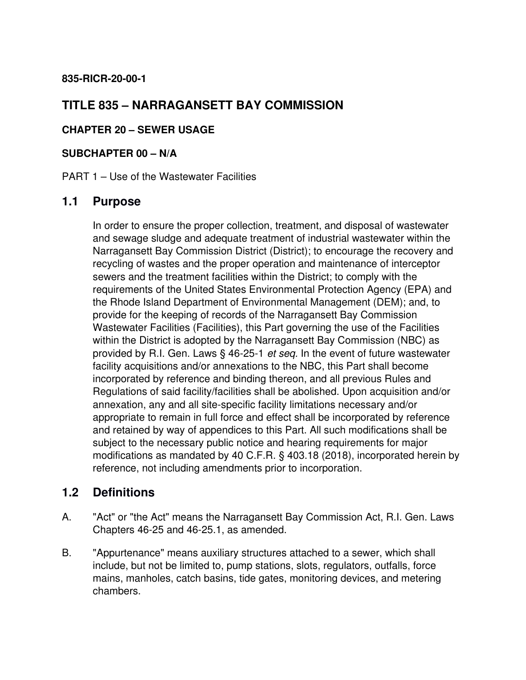#### **835-RICR-20-00-1**

# **TITLE 835 – NARRAGANSETT BAY COMMISSION**

#### **CHAPTER 20 – SEWER USAGE**

#### **SUBCHAPTER 00 – N/A**

PART 1 – Use of the Wastewater Facilities

# **1.1 Purpose**

In order to ensure the proper collection, treatment, and disposal of wastewater and sewage sludge and adequate treatment of industrial wastewater within the Narragansett Bay Commission District (District); to encourage the recovery and recycling of wastes and the proper operation and maintenance of interceptor sewers and the treatment facilities within the District; to comply with the requirements of the United States Environmental Protection Agency (EPA) and the Rhode Island Department of Environmental Management (DEM); and, to provide for the keeping of records of the Narragansett Bay Commission Wastewater Facilities (Facilities), this Part governing the use of the Facilities within the District is adopted by the Narragansett Bay Commission (NBC) as provided by R.I. Gen. Laws § 46-25-1 *et seq.* In the event of future wastewater facility acquisitions and/or annexations to the NBC, this Part shall become incorporated by reference and binding thereon, and all previous Rules and Regulations of said facility/facilities shall be abolished. Upon acquisition and/or annexation, any and all site-specific facility limitations necessary and/or appropriate to remain in full force and effect shall be incorporated by reference and retained by way of appendices to this Part. All such modifications shall be subject to the necessary public notice and hearing requirements for major modifications as mandated by 40 C.F.R. § 403.18 (2018), incorporated herein by reference, not including amendments prior to incorporation.

# **1.2 Definitions**

- A. "Act" or "the Act" means the Narragansett Bay Commission Act, R.I. Gen. Laws Chapters 46-25 and 46-25.1, as amended.
- B. "Appurtenance" means auxiliary structures attached to a sewer, which shall include, but not be limited to, pump stations, slots, regulators, outfalls, force mains, manholes, catch basins, tide gates, monitoring devices, and metering chambers.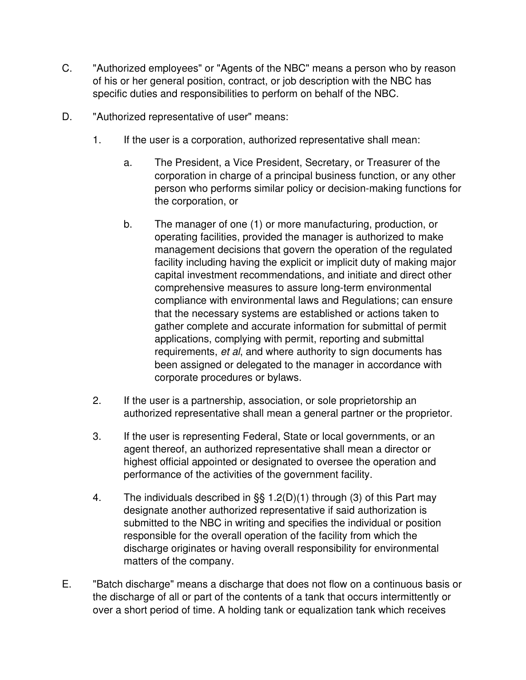- C. "Authorized employees" or "Agents of the NBC" means a person who by reason of his or her general position, contract, or job description with the NBC has specific duties and responsibilities to perform on behalf of the NBC.
- D. "Authorized representative of user" means:
	- 1. If the user is a corporation, authorized representative shall mean:
		- a. The President, a Vice President, Secretary, or Treasurer of the corporation in charge of a principal business function, or any other person who performs similar policy or decision-making functions for the corporation, or
		- b. The manager of one (1) or more manufacturing, production, or operating facilities, provided the manager is authorized to make management decisions that govern the operation of the regulated facility including having the explicit or implicit duty of making major capital investment recommendations, and initiate and direct other comprehensive measures to assure long-term environmental compliance with environmental laws and Regulations; can ensure that the necessary systems are established or actions taken to gather complete and accurate information for submittal of permit applications, complying with permit, reporting and submittal requirements, *et al*, and where authority to sign documents has been assigned or delegated to the manager in accordance with corporate procedures or bylaws.
	- 2. If the user is a partnership, association, or sole proprietorship an authorized representative shall mean a general partner or the proprietor.
	- 3. If the user is representing Federal, State or local governments, or an agent thereof, an authorized representative shall mean a director or highest official appointed or designated to oversee the operation and performance of the activities of the government facility.
	- 4. The individuals described in §§ 1.2(D)(1) through (3) of this Part may designate another authorized representative if said authorization is submitted to the NBC in writing and specifies the individual or position responsible for the overall operation of the facility from which the discharge originates or having overall responsibility for environmental matters of the company.
- E. "Batch discharge" means a discharge that does not flow on a continuous basis or the discharge of all or part of the contents of a tank that occurs intermittently or over a short period of time. A holding tank or equalization tank which receives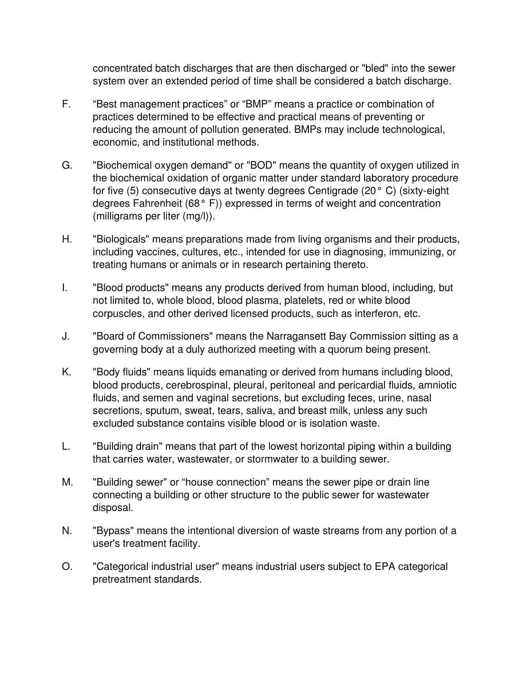concentrated batch discharges that are then discharged or "bled" into the sewer system over an extended period of time shall be considered a batch discharge.

- F. "Best management practices" or "BMP" means a practice or combination of practices determined to be effective and practical means of preventing or reducing the amount of pollution generated. BMPs may include technological, economic, and institutional methods.
- G. "Biochemical oxygen demand" or "BOD" means the quantity of oxygen utilized in the biochemical oxidation of organic matter under standard laboratory procedure for five (5) consecutive days at twenty degrees Centigrade (20° C) (sixty-eight degrees Fahrenheit (68° F)) expressed in terms of weight and concentration (milligrams per liter (mg/l)).
- H. "Biologicals" means preparations made from living organisms and their products, including vaccines, cultures, etc., intended for use in diagnosing, immunizing, or treating humans or animals or in research pertaining thereto.
- I. "Blood products" means any products derived from human blood, including, but not limited to, whole blood, blood plasma, platelets, red or white blood corpuscles, and other derived licensed products, such as interferon, etc.
- J. "Board of Commissioners" means the Narragansett Bay Commission sitting as a governing body at a duly authorized meeting with a quorum being present.
- K. "Body fluids" means liquids emanating or derived from humans including blood, blood products, cerebrospinal, pleural, peritoneal and pericardial fluids, amniotic fluids, and semen and vaginal secretions, but excluding feces, urine, nasal secretions, sputum, sweat, tears, saliva, and breast milk, unless any such excluded substance contains visible blood or is isolation waste.
- L. "Building drain" means that part of the lowest horizontal piping within a building that carries water, wastewater, or stormwater to a building sewer.
- M. "Building sewer" or "house connection" means the sewer pipe or drain line connecting a building or other structure to the public sewer for wastewater disposal.
- N. "Bypass" means the intentional diversion of waste streams from any portion of a user's treatment facility.
- O. "Categorical industrial user" means industrial users subject to EPA categorical pretreatment standards.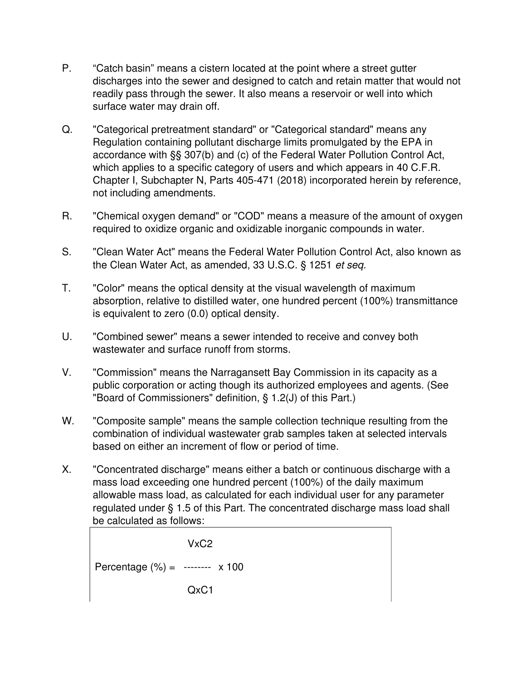- P. "Catch basin" means a cistern located at the point where a street gutter discharges into the sewer and designed to catch and retain matter that would not readily pass through the sewer. It also means a reservoir or well into which surface water may drain off.
- Q. "Categorical pretreatment standard" or "Categorical standard" means any Regulation containing pollutant discharge limits promulgated by the EPA in accordance with §§ 307(b) and (c) of the Federal Water Pollution Control Act, which applies to a specific category of users and which appears in 40 C.F.R. Chapter I, Subchapter N, Parts 405-471 (2018) incorporated herein by reference, not including amendments.
- R. "Chemical oxygen demand" or "COD" means a measure of the amount of oxygen required to oxidize organic and oxidizable inorganic compounds in water.
- S. "Clean Water Act" means the Federal Water Pollution Control Act, also known as the Clean Water Act, as amended, 33 U.S.C. § 1251 *et seq.*
- T. "Color" means the optical density at the visual wavelength of maximum absorption, relative to distilled water, one hundred percent (100%) transmittance is equivalent to zero (0.0) optical density.
- U. "Combined sewer" means a sewer intended to receive and convey both wastewater and surface runoff from storms.
- V. "Commission" means the Narragansett Bay Commission in its capacity as a public corporation or acting though its authorized employees and agents. (See "Board of Commissioners" definition, § 1.2(J) of this Part.)
- W. "Composite sample" means the sample collection technique resulting from the combination of individual wastewater grab samples taken at selected intervals based on either an increment of flow or period of time.
- X. "Concentrated discharge" means either a batch or continuous discharge with a mass load exceeding one hundred percent (100%) of the daily maximum allowable mass load, as calculated for each individual user for any parameter regulated under § 1.5 of this Part. The concentrated discharge mass load shall be calculated as follows:

$$
VxC2
$$
  
Percentage (%) = 3.100  
QxC1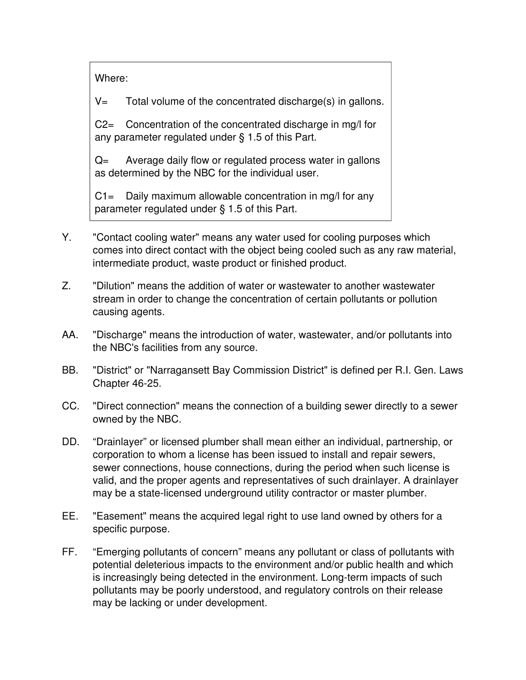Where:

 $V =$  Total volume of the concentrated discharge(s) in gallons.

C2= Concentration of the concentrated discharge in mg/l for any parameter regulated under § 1.5 of this Part.

Q= Average daily flow or regulated process water in gallons as determined by the NBC for the individual user.

 $C1 =$  Daily maximum allowable concentration in mg/l for any parameter regulated under § 1.5 of this Part.

- Y. "Contact cooling water" means any water used for cooling purposes which comes into direct contact with the object being cooled such as any raw material, intermediate product, waste product or finished product.
- Z. "Dilution" means the addition of water or wastewater to another wastewater stream in order to change the concentration of certain pollutants or pollution causing agents.
- AA. "Discharge" means the introduction of water, wastewater, and/or pollutants into the NBC's facilities from any source.
- BB. "District" or "Narragansett Bay Commission District" is defined per R.I. Gen. Laws Chapter 46-25.
- CC. "Direct connection" means the connection of a building sewer directly to a sewer owned by the NBC.
- DD. "Drainlayer" or licensed plumber shall mean either an individual, partnership, or corporation to whom a license has been issued to install and repair sewers, sewer connections, house connections, during the period when such license is valid, and the proper agents and representatives of such drainlayer. A drainlayer may be a state-licensed underground utility contractor or master plumber.
- EE. "Easement" means the acquired legal right to use land owned by others for a specific purpose.
- FF. "Emerging pollutants of concern" means any pollutant or class of pollutants with potential deleterious impacts to the environment and/or public health and which is increasingly being detected in the environment. Long-term impacts of such pollutants may be poorly understood, and regulatory controls on their release may be lacking or under development.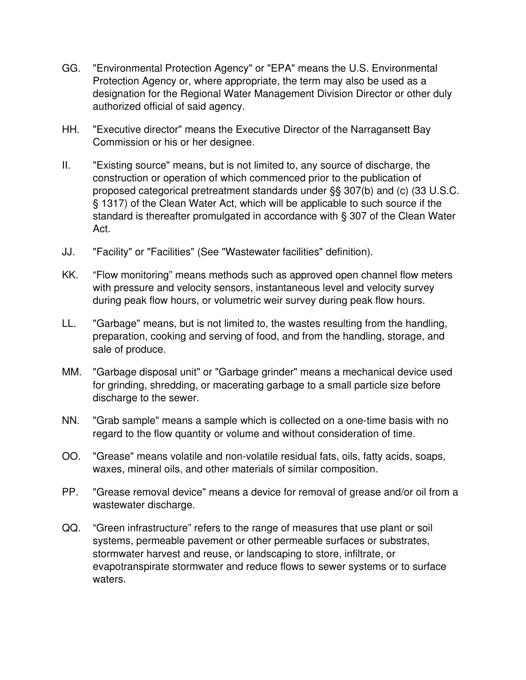- GG. "Environmental Protection Agency" or "EPA" means the U.S. Environmental Protection Agency or, where appropriate, the term may also be used as a designation for the Regional Water Management Division Director or other duly authorized official of said agency.
- HH. "Executive director" means the Executive Director of the Narragansett Bay Commission or his or her designee.
- II. "Existing source" means, but is not limited to, any source of discharge, the construction or operation of which commenced prior to the publication of proposed categorical pretreatment standards under §§ 307(b) and (c) (33 U.S.C. § 1317) of the Clean Water Act, which will be applicable to such source if the standard is thereafter promulgated in accordance with § 307 of the Clean Water Act.
- JJ. "Facility" or "Facilities" (See "Wastewater facilities" definition).
- KK. "Flow monitoring" means methods such as approved open channel flow meters with pressure and velocity sensors, instantaneous level and velocity survey during peak flow hours, or volumetric weir survey during peak flow hours.
- LL. "Garbage" means, but is not limited to, the wastes resulting from the handling, preparation, cooking and serving of food, and from the handling, storage, and sale of produce.
- MM. "Garbage disposal unit" or "Garbage grinder" means a mechanical device used for grinding, shredding, or macerating garbage to a small particle size before discharge to the sewer.
- NN. "Grab sample" means a sample which is collected on a one-time basis with no regard to the flow quantity or volume and without consideration of time.
- OO. "Grease" means volatile and non-volatile residual fats, oils, fatty acids, soaps, waxes, mineral oils, and other materials of similar composition.
- PP. "Grease removal device" means a device for removal of grease and/or oil from a wastewater discharge.
- QQ. "Green infrastructure" refers to the range of measures that use plant or soil systems, permeable pavement or other permeable surfaces or substrates, stormwater harvest and reuse, or landscaping to store, infiltrate, or evapotranspirate stormwater and reduce flows to sewer systems or to surface waters.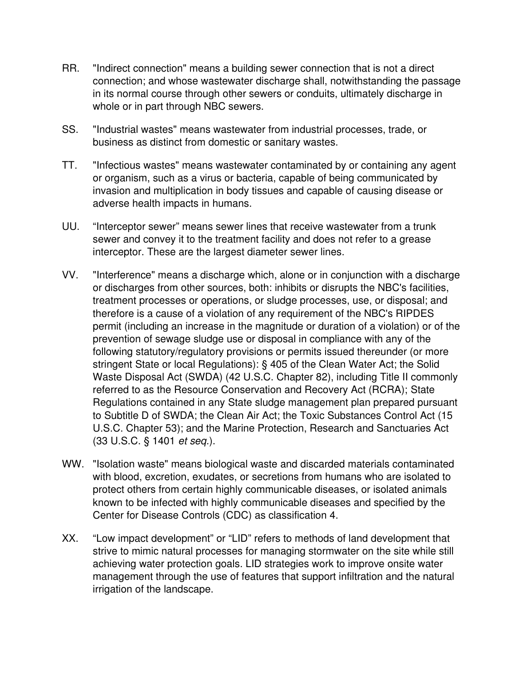- RR. "Indirect connection" means a building sewer connection that is not a direct connection; and whose wastewater discharge shall, notwithstanding the passage in its normal course through other sewers or conduits, ultimately discharge in whole or in part through NBC sewers.
- SS. "Industrial wastes" means wastewater from industrial processes, trade, or business as distinct from domestic or sanitary wastes.
- TT. "Infectious wastes" means wastewater contaminated by or containing any agent or organism, such as a virus or bacteria, capable of being communicated by invasion and multiplication in body tissues and capable of causing disease or adverse health impacts in humans.
- UU. "Interceptor sewer" means sewer lines that receive wastewater from a trunk sewer and convey it to the treatment facility and does not refer to a grease interceptor. These are the largest diameter sewer lines.
- VV. "Interference" means a discharge which, alone or in conjunction with a discharge or discharges from other sources, both: inhibits or disrupts the NBC's facilities, treatment processes or operations, or sludge processes, use, or disposal; and therefore is a cause of a violation of any requirement of the NBC's RIPDES permit (including an increase in the magnitude or duration of a violation) or of the prevention of sewage sludge use or disposal in compliance with any of the following statutory/regulatory provisions or permits issued thereunder (or more stringent State or local Regulations): § 405 of the Clean Water Act; the Solid Waste Disposal Act (SWDA) (42 U.S.C. Chapter 82), including Title II commonly referred to as the Resource Conservation and Recovery Act (RCRA); State Regulations contained in any State sludge management plan prepared pursuant to Subtitle D of SWDA; the Clean Air Act; the Toxic Substances Control Act (15 U.S.C. Chapter 53); and the Marine Protection, Research and Sanctuaries Act (33 U.S.C. § 1401 *et seq.*).
- WW. "Isolation waste" means biological waste and discarded materials contaminated with blood, excretion, exudates, or secretions from humans who are isolated to protect others from certain highly communicable diseases, or isolated animals known to be infected with highly communicable diseases and specified by the Center for Disease Controls (CDC) as classification 4.
- XX. "Low impact development" or "LID" refers to methods of land development that strive to mimic natural processes for managing stormwater on the site while still achieving water protection goals. LID strategies work to improve onsite water management through the use of features that support infiltration and the natural irrigation of the landscape.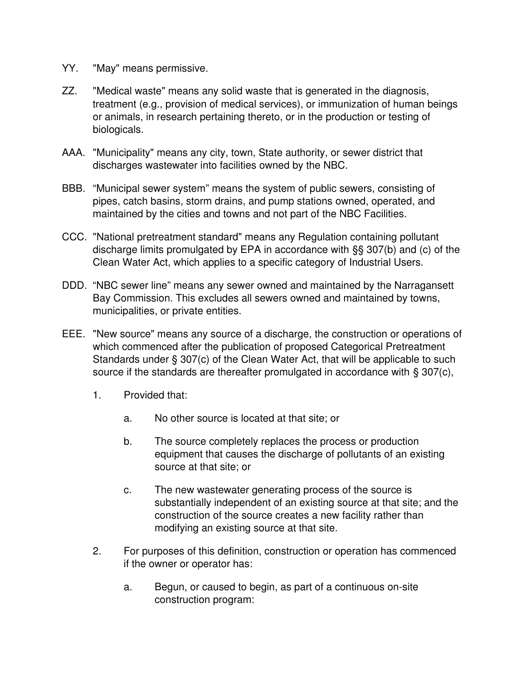- YY. "May" means permissive.
- ZZ. "Medical waste" means any solid waste that is generated in the diagnosis, treatment (e.g., provision of medical services), or immunization of human beings or animals, in research pertaining thereto, or in the production or testing of biologicals.
- AAA. "Municipality" means any city, town, State authority, or sewer district that discharges wastewater into facilities owned by the NBC.
- BBB. "Municipal sewer system" means the system of public sewers, consisting of pipes, catch basins, storm drains, and pump stations owned, operated, and maintained by the cities and towns and not part of the NBC Facilities.
- CCC. "National pretreatment standard" means any Regulation containing pollutant discharge limits promulgated by EPA in accordance with §§ 307(b) and (c) of the Clean Water Act, which applies to a specific category of Industrial Users.
- DDD. "NBC sewer line" means any sewer owned and maintained by the Narragansett Bay Commission. This excludes all sewers owned and maintained by towns, municipalities, or private entities.
- EEE. "New source" means any source of a discharge, the construction or operations of which commenced after the publication of proposed Categorical Pretreatment Standards under § 307(c) of the Clean Water Act, that will be applicable to such source if the standards are thereafter promulgated in accordance with § 307(c),
	- 1. Provided that:
		- a. No other source is located at that site; or
		- b. The source completely replaces the process or production equipment that causes the discharge of pollutants of an existing source at that site; or
		- c. The new wastewater generating process of the source is substantially independent of an existing source at that site; and the construction of the source creates a new facility rather than modifying an existing source at that site.
	- 2. For purposes of this definition, construction or operation has commenced if the owner or operator has:
		- a. Begun, or caused to begin, as part of a continuous on-site construction program: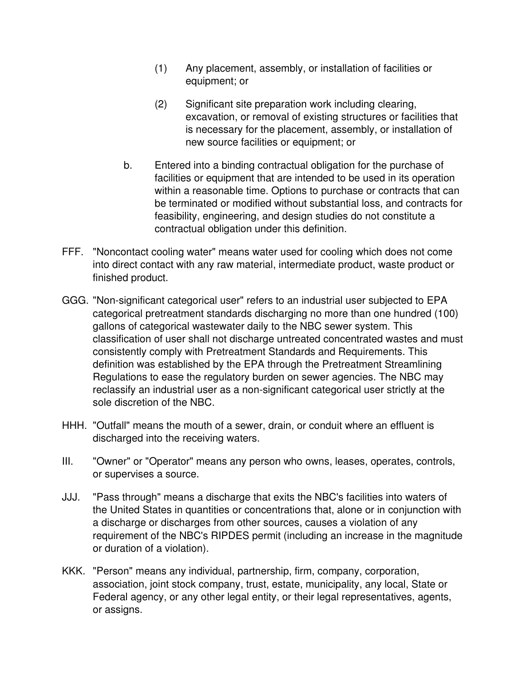- (1) Any placement, assembly, or installation of facilities or equipment; or
- (2) Significant site preparation work including clearing, excavation, or removal of existing structures or facilities that is necessary for the placement, assembly, or installation of new source facilities or equipment; or
- b. Entered into a binding contractual obligation for the purchase of facilities or equipment that are intended to be used in its operation within a reasonable time. Options to purchase or contracts that can be terminated or modified without substantial loss, and contracts for feasibility, engineering, and design studies do not constitute a contractual obligation under this definition.
- FFF. "Noncontact cooling water" means water used for cooling which does not come into direct contact with any raw material, intermediate product, waste product or finished product.
- GGG. "Non-significant categorical user" refers to an industrial user subjected to EPA categorical pretreatment standards discharging no more than one hundred (100) gallons of categorical wastewater daily to the NBC sewer system. This classification of user shall not discharge untreated concentrated wastes and must consistently comply with Pretreatment Standards and Requirements. This definition was established by the EPA through the Pretreatment Streamlining Regulations to ease the regulatory burden on sewer agencies. The NBC may reclassify an industrial user as a non-significant categorical user strictly at the sole discretion of the NBC.
- HHH. "Outfall" means the mouth of a sewer, drain, or conduit where an effluent is discharged into the receiving waters.
- III. "Owner" or "Operator" means any person who owns, leases, operates, controls, or supervises a source.
- JJJ. "Pass through" means a discharge that exits the NBC's facilities into waters of the United States in quantities or concentrations that, alone or in conjunction with a discharge or discharges from other sources, causes a violation of any requirement of the NBC's RIPDES permit (including an increase in the magnitude or duration of a violation).
- KKK. "Person" means any individual, partnership, firm, company, corporation, association, joint stock company, trust, estate, municipality, any local, State or Federal agency, or any other legal entity, or their legal representatives, agents, or assigns.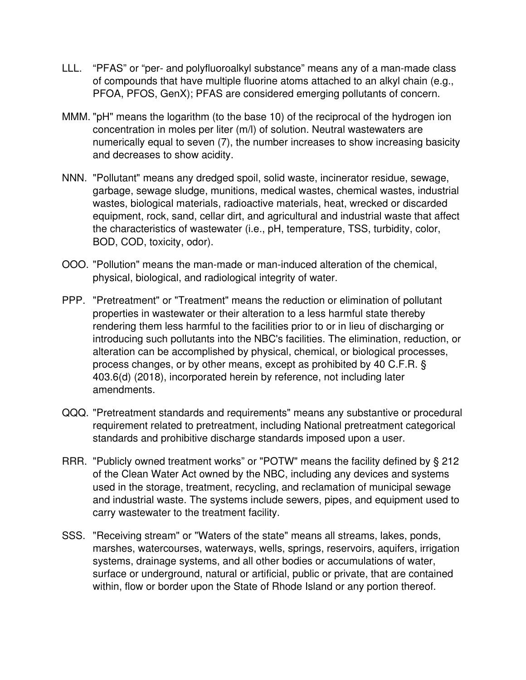- LLL. "PFAS" or "per- and polyfluoroalkyl substance" means any of a man-made class of compounds that have multiple fluorine atoms attached to an alkyl chain (e.g., PFOA, PFOS, GenX); PFAS are considered emerging pollutants of concern.
- MMM. "pH" means the logarithm (to the base 10) of the reciprocal of the hydrogen ion concentration in moles per liter (m/l) of solution. Neutral wastewaters are numerically equal to seven (7), the number increases to show increasing basicity and decreases to show acidity.
- NNN. "Pollutant" means any dredged spoil, solid waste, incinerator residue, sewage, garbage, sewage sludge, munitions, medical wastes, chemical wastes, industrial wastes, biological materials, radioactive materials, heat, wrecked or discarded equipment, rock, sand, cellar dirt, and agricultural and industrial waste that affect the characteristics of wastewater (i.e., pH, temperature, TSS, turbidity, color, BOD, COD, toxicity, odor).
- OOO. "Pollution" means the man-made or man-induced alteration of the chemical, physical, biological, and radiological integrity of water.
- PPP. "Pretreatment" or "Treatment" means the reduction or elimination of pollutant properties in wastewater or their alteration to a less harmful state thereby rendering them less harmful to the facilities prior to or in lieu of discharging or introducing such pollutants into the NBC's facilities. The elimination, reduction, or alteration can be accomplished by physical, chemical, or biological processes, process changes, or by other means, except as prohibited by 40 C.F.R. § 403.6(d) (2018), incorporated herein by reference, not including later amendments.
- QQQ. "Pretreatment standards and requirements" means any substantive or procedural requirement related to pretreatment, including National pretreatment categorical standards and prohibitive discharge standards imposed upon a user.
- RRR. "Publicly owned treatment works" or "POTW" means the facility defined by § 212 of the Clean Water Act owned by the NBC, including any devices and systems used in the storage, treatment, recycling, and reclamation of municipal sewage and industrial waste. The systems include sewers, pipes, and equipment used to carry wastewater to the treatment facility.
- SSS. "Receiving stream" or "Waters of the state" means all streams, lakes, ponds, marshes, watercourses, waterways, wells, springs, reservoirs, aquifers, irrigation systems, drainage systems, and all other bodies or accumulations of water, surface or underground, natural or artificial, public or private, that are contained within, flow or border upon the State of Rhode Island or any portion thereof.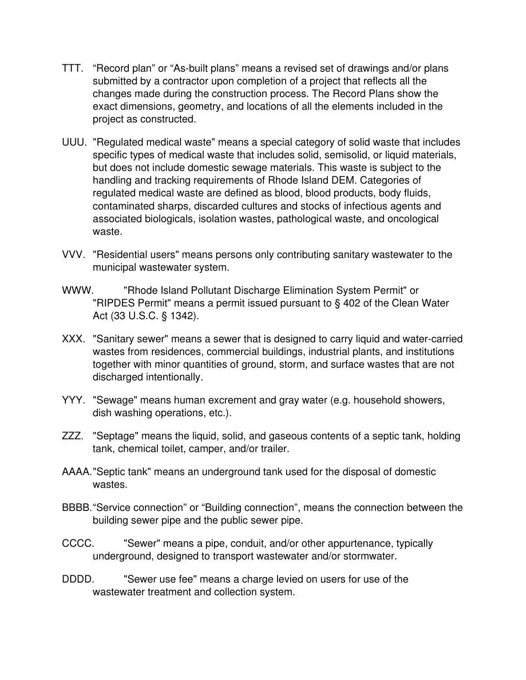- TTT. "Record plan" or "As-built plans" means a revised set of drawings and/or plans submitted by a contractor upon completion of a project that reflects all the changes made during the construction process. The Record Plans show the exact dimensions, geometry, and locations of all the elements included in the project as constructed.
- UUU. "Regulated medical waste" means a special category of solid waste that includes specific types of medical waste that includes solid, semisolid, or liquid materials, but does not include domestic sewage materials. This waste is subject to the handling and tracking requirements of Rhode Island DEM. Categories of regulated medical waste are defined as blood, blood products, body fluids, contaminated sharps, discarded cultures and stocks of infectious agents and associated biologicals, isolation wastes, pathological waste, and oncological waste.
- VVV. "Residential users" means persons only contributing sanitary wastewater to the municipal wastewater system.
- WWW. "Rhode Island Pollutant Discharge Elimination System Permit" or "RIPDES Permit" means a permit issued pursuant to § 402 of the Clean Water Act (33 U.S.C. § 1342).
- XXX. "Sanitary sewer" means a sewer that is designed to carry liquid and water-carried wastes from residences, commercial buildings, industrial plants, and institutions together with minor quantities of ground, storm, and surface wastes that are not discharged intentionally.
- YYY. "Sewage" means human excrement and gray water (e.g. household showers, dish washing operations, etc.).
- ZZZ. "Septage" means the liquid, solid, and gaseous contents of a septic tank, holding tank, chemical toilet, camper, and/or trailer.
- AAAA."Septic tank" means an underground tank used for the disposal of domestic wastes.
- BBBB."Service connection" or "Building connection", means the connection between the building sewer pipe and the public sewer pipe.
- CCCC. "Sewer" means a pipe, conduit, and/or other appurtenance, typically underground, designed to transport wastewater and/or stormwater.
- DDDD. "Sewer use fee" means a charge levied on users for use of the wastewater treatment and collection system.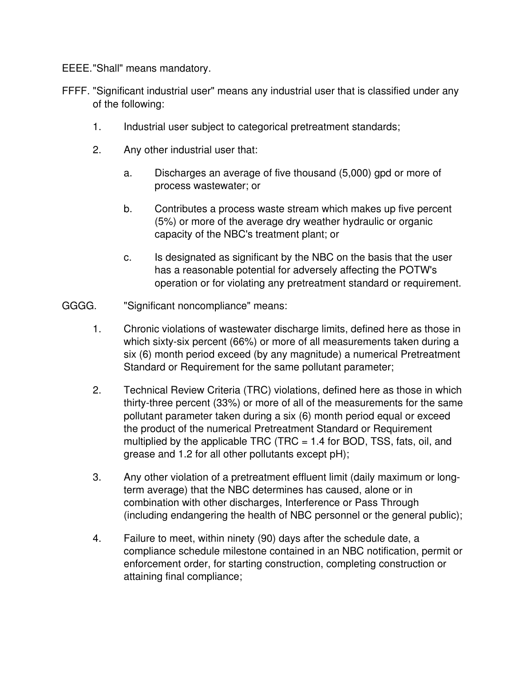EEEE."Shall" means mandatory.

- FFFF. "Significant industrial user" means any industrial user that is classified under any of the following:
	- 1. Industrial user subject to categorical pretreatment standards;
	- 2. Any other industrial user that:
		- a. Discharges an average of five thousand (5,000) gpd or more of process wastewater; or
		- b. Contributes a process waste stream which makes up five percent (5%) or more of the average dry weather hydraulic or organic capacity of the NBC's treatment plant; or
		- c. Is designated as significant by the NBC on the basis that the user has a reasonable potential for adversely affecting the POTW's operation or for violating any pretreatment standard or requirement.
- GGGG. "Significant noncompliance" means:
	- 1. Chronic violations of wastewater discharge limits, defined here as those in which sixty-six percent (66%) or more of all measurements taken during a six (6) month period exceed (by any magnitude) a numerical Pretreatment Standard or Requirement for the same pollutant parameter;
	- 2. Technical Review Criteria (TRC) violations, defined here as those in which thirty-three percent (33%) or more of all of the measurements for the same pollutant parameter taken during a six (6) month period equal or exceed the product of the numerical Pretreatment Standard or Requirement multiplied by the applicable TRC (TRC  $= 1.4$  for BOD, TSS, fats, oil, and grease and 1.2 for all other pollutants except pH);
	- 3. Any other violation of a pretreatment effluent limit (daily maximum or longterm average) that the NBC determines has caused, alone or in combination with other discharges, Interference or Pass Through (including endangering the health of NBC personnel or the general public);
	- 4. Failure to meet, within ninety (90) days after the schedule date, a compliance schedule milestone contained in an NBC notification, permit or enforcement order, for starting construction, completing construction or attaining final compliance;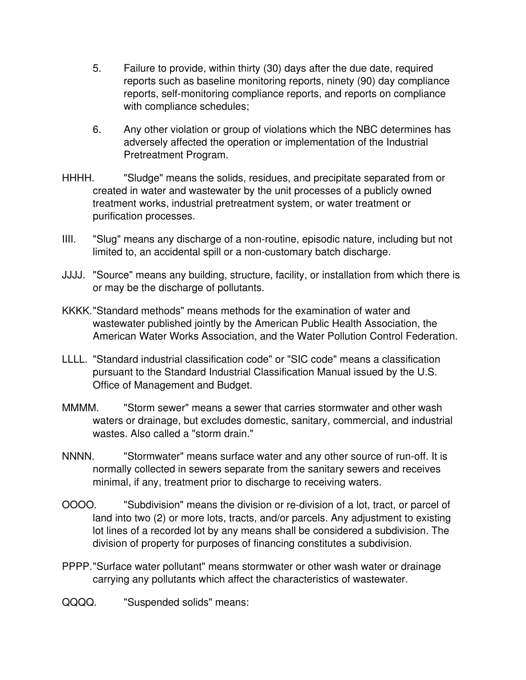- 5. Failure to provide, within thirty (30) days after the due date, required reports such as baseline monitoring reports, ninety (90) day compliance reports, self-monitoring compliance reports, and reports on compliance with compliance schedules;
- 6. Any other violation or group of violations which the NBC determines has adversely affected the operation or implementation of the Industrial Pretreatment Program.
- HHHH. "Sludge" means the solids, residues, and precipitate separated from or created in water and wastewater by the unit processes of a publicly owned treatment works, industrial pretreatment system, or water treatment or purification processes.
- IIII. "Slug" means any discharge of a non-routine, episodic nature, including but not limited to, an accidental spill or a non-customary batch discharge.
- JJJJ. "Source" means any building, structure, facility, or installation from which there is or may be the discharge of pollutants.
- KKKK."Standard methods" means methods for the examination of water and wastewater published jointly by the American Public Health Association, the American Water Works Association, and the Water Pollution Control Federation.
- LLLL. "Standard industrial classification code" or "SIC code" means a classification pursuant to the Standard Industrial Classification Manual issued by the U.S. Office of Management and Budget.
- MMMM. "Storm sewer" means a sewer that carries stormwater and other wash waters or drainage, but excludes domestic, sanitary, commercial, and industrial wastes. Also called a "storm drain."
- NNNN. "Stormwater" means surface water and any other source of run-off. It is normally collected in sewers separate from the sanitary sewers and receives minimal, if any, treatment prior to discharge to receiving waters.
- OOOO. "Subdivision" means the division or re-division of a lot, tract, or parcel of land into two (2) or more lots, tracts, and/or parcels. Any adjustment to existing lot lines of a recorded lot by any means shall be considered a subdivision. The division of property for purposes of financing constitutes a subdivision.
- PPPP."Surface water pollutant" means stormwater or other wash water or drainage carrying any pollutants which affect the characteristics of wastewater.
- QQQQ. "Suspended solids" means: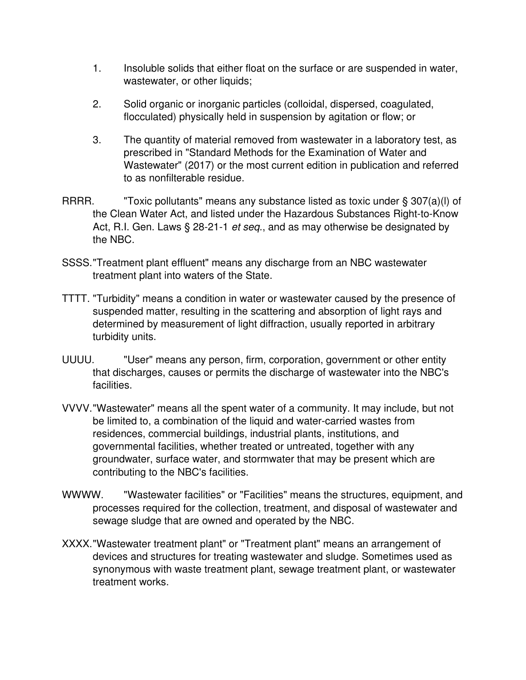- 1. Insoluble solids that either float on the surface or are suspended in water, wastewater, or other liquids;
- 2. Solid organic or inorganic particles (colloidal, dispersed, coagulated, flocculated) physically held in suspension by agitation or flow; or
- 3. The quantity of material removed from wastewater in a laboratory test, as prescribed in "Standard Methods for the Examination of Water and Wastewater" (2017) or the most current edition in publication and referred to as nonfilterable residue.
- RRR. "Toxic pollutants" means any substance listed as toxic under § 307(a)(l) of the Clean Water Act, and listed under the Hazardous Substances Right-to-Know Act, R.I. Gen. Laws § 28-21-1 *et seq.*, and as may otherwise be designated by the NBC.
- SSSS."Treatment plant effluent" means any discharge from an NBC wastewater treatment plant into waters of the State.
- TTTT. "Turbidity" means a condition in water or wastewater caused by the presence of suspended matter, resulting in the scattering and absorption of light rays and determined by measurement of light diffraction, usually reported in arbitrary turbidity units.
- UUUU. "User" means any person, firm, corporation, government or other entity that discharges, causes or permits the discharge of wastewater into the NBC's facilities.
- VVVV."Wastewater" means all the spent water of a community. It may include, but not be limited to, a combination of the liquid and water-carried wastes from residences, commercial buildings, industrial plants, institutions, and governmental facilities, whether treated or untreated, together with any groundwater, surface water, and stormwater that may be present which are contributing to the NBC's facilities.
- WWWW. "Wastewater facilities" or "Facilities" means the structures, equipment, and processes required for the collection, treatment, and disposal of wastewater and sewage sludge that are owned and operated by the NBC.
- XXXX."Wastewater treatment plant" or "Treatment plant" means an arrangement of devices and structures for treating wastewater and sludge. Sometimes used as synonymous with waste treatment plant, sewage treatment plant, or wastewater treatment works.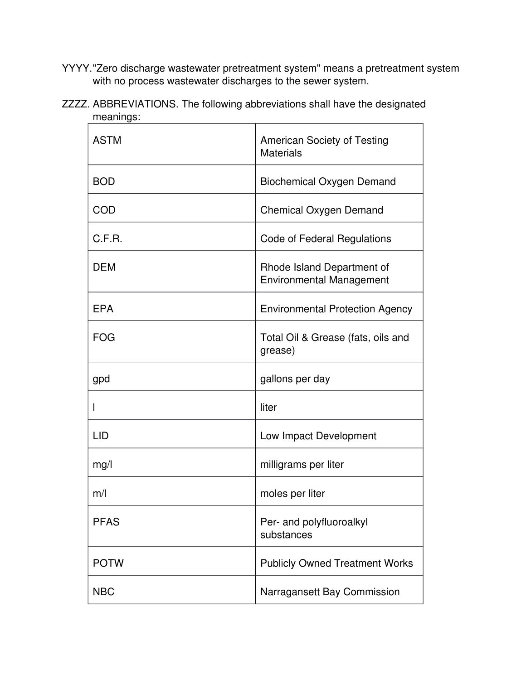YYYY."Zero discharge wastewater pretreatment system" means a pretreatment system with no process wastewater discharges to the sewer system.

| ZZZZ. ABBREVIATIONS. The following abbreviations shall have the designated |  |  |
|----------------------------------------------------------------------------|--|--|
| meanings:                                                                  |  |  |

| <b>ASTM</b> | <b>American Society of Testing</b><br><b>Materials</b>        |  |
|-------------|---------------------------------------------------------------|--|
| <b>BOD</b>  | <b>Biochemical Oxygen Demand</b>                              |  |
| <b>COD</b>  | <b>Chemical Oxygen Demand</b>                                 |  |
| C.F.R.      | <b>Code of Federal Regulations</b>                            |  |
| <b>DEM</b>  | Rhode Island Department of<br><b>Environmental Management</b> |  |
| <b>EPA</b>  | <b>Environmental Protection Agency</b>                        |  |
| <b>FOG</b>  | Total Oil & Grease (fats, oils and<br>grease)                 |  |
| gpd         | gallons per day                                               |  |
|             | liter                                                         |  |
| <b>LID</b>  | Low Impact Development                                        |  |
| mg/l        | milligrams per liter                                          |  |
| m/l         | moles per liter                                               |  |
| <b>PFAS</b> | Per- and polyfluoroalkyl<br>substances                        |  |
| <b>POTW</b> | <b>Publicly Owned Treatment Works</b>                         |  |
| <b>NBC</b>  | Narragansett Bay Commission                                   |  |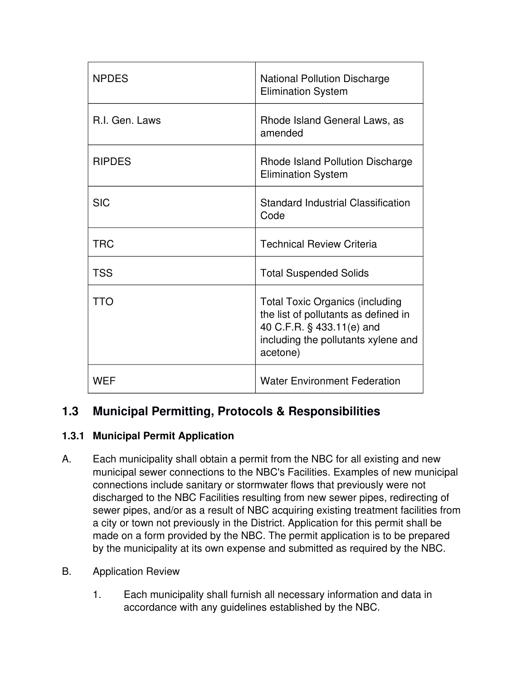| <b>NPDES</b>   | <b>National Pollution Discharge</b><br><b>Elimination System</b>                                                                                               |
|----------------|----------------------------------------------------------------------------------------------------------------------------------------------------------------|
| R.I. Gen. Laws | Rhode Island General Laws, as<br>amended                                                                                                                       |
| <b>RIPDES</b>  | Rhode Island Pollution Discharge<br><b>Elimination System</b>                                                                                                  |
| <b>SIC</b>     | <b>Standard Industrial Classification</b><br>Code                                                                                                              |
| <b>TRC</b>     | <b>Technical Review Criteria</b>                                                                                                                               |
| <b>TSS</b>     | <b>Total Suspended Solids</b>                                                                                                                                  |
| TTO            | <b>Total Toxic Organics (including</b><br>the list of pollutants as defined in<br>40 C.F.R. § 433.11(e) and<br>including the pollutants xylene and<br>acetone) |
| <b>WEF</b>     | <b>Water Environment Federation</b>                                                                                                                            |

# **1.3 Municipal Permitting, Protocols & Responsibilities**

# **1.3.1 Municipal Permit Application**

- A. Each municipality shall obtain a permit from the NBC for all existing and new municipal sewer connections to the NBC's Facilities. Examples of new municipal connections include sanitary or stormwater flows that previously were not discharged to the NBC Facilities resulting from new sewer pipes, redirecting of sewer pipes, and/or as a result of NBC acquiring existing treatment facilities from a city or town not previously in the District. Application for this permit shall be made on a form provided by the NBC. The permit application is to be prepared by the municipality at its own expense and submitted as required by the NBC.
- B. Application Review
	- 1. Each municipality shall furnish all necessary information and data in accordance with any guidelines established by the NBC.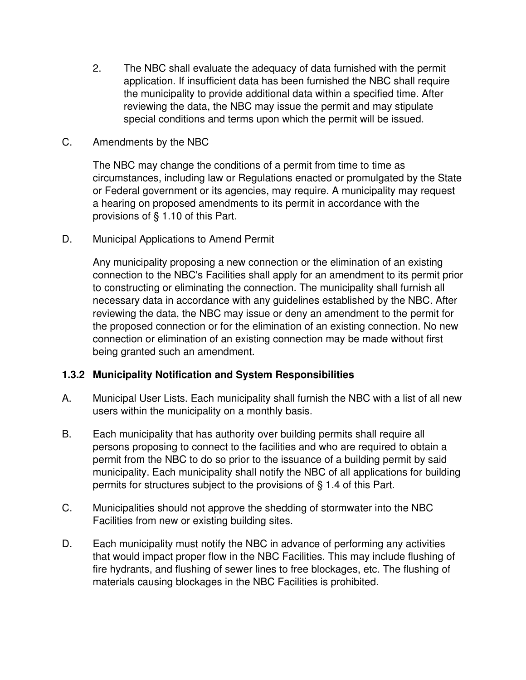- 2. The NBC shall evaluate the adequacy of data furnished with the permit application. If insufficient data has been furnished the NBC shall require the municipality to provide additional data within a specified time. After reviewing the data, the NBC may issue the permit and may stipulate special conditions and terms upon which the permit will be issued.
- C. Amendments by the NBC

The NBC may change the conditions of a permit from time to time as circumstances, including law or Regulations enacted or promulgated by the State or Federal government or its agencies, may require. A municipality may request a hearing on proposed amendments to its permit in accordance with the provisions of § 1.10 of this Part.

D. Municipal Applications to Amend Permit

Any municipality proposing a new connection or the elimination of an existing connection to the NBC's Facilities shall apply for an amendment to its permit prior to constructing or eliminating the connection. The municipality shall furnish all necessary data in accordance with any guidelines established by the NBC. After reviewing the data, the NBC may issue or deny an amendment to the permit for the proposed connection or for the elimination of an existing connection. No new connection or elimination of an existing connection may be made without first being granted such an amendment.

#### **1.3.2 Municipality Notification and System Responsibilities**

- A. Municipal User Lists. Each municipality shall furnish the NBC with a list of all new users within the municipality on a monthly basis.
- B. Each municipality that has authority over building permits shall require all persons proposing to connect to the facilities and who are required to obtain a permit from the NBC to do so prior to the issuance of a building permit by said municipality. Each municipality shall notify the NBC of all applications for building permits for structures subject to the provisions of § 1.4 of this Part.
- C. Municipalities should not approve the shedding of stormwater into the NBC Facilities from new or existing building sites.
- D. Each municipality must notify the NBC in advance of performing any activities that would impact proper flow in the NBC Facilities. This may include flushing of fire hydrants, and flushing of sewer lines to free blockages, etc. The flushing of materials causing blockages in the NBC Facilities is prohibited.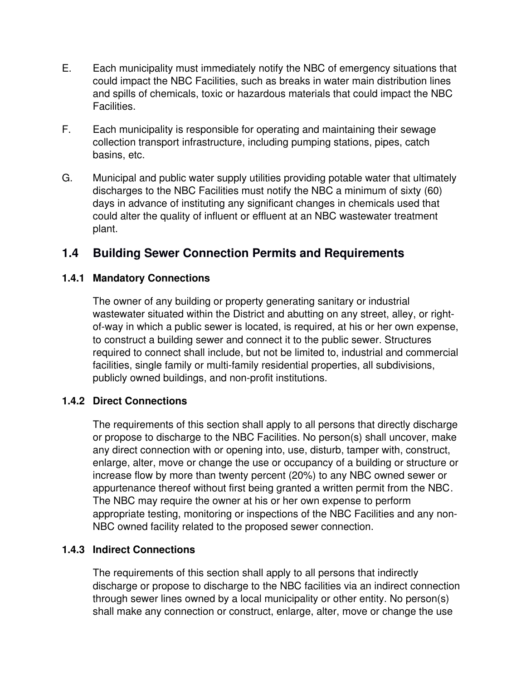- E. Each municipality must immediately notify the NBC of emergency situations that could impact the NBC Facilities, such as breaks in water main distribution lines and spills of chemicals, toxic or hazardous materials that could impact the NBC Facilities.
- F. Each municipality is responsible for operating and maintaining their sewage collection transport infrastructure, including pumping stations, pipes, catch basins, etc.
- G. Municipal and public water supply utilities providing potable water that ultimately discharges to the NBC Facilities must notify the NBC a minimum of sixty (60) days in advance of instituting any significant changes in chemicals used that could alter the quality of influent or effluent at an NBC wastewater treatment plant.

# **1.4 Building Sewer Connection Permits and Requirements**

#### **1.4.1 Mandatory Connections**

The owner of any building or property generating sanitary or industrial wastewater situated within the District and abutting on any street, alley, or rightof-way in which a public sewer is located, is required, at his or her own expense, to construct a building sewer and connect it to the public sewer. Structures required to connect shall include, but not be limited to, industrial and commercial facilities, single family or multi-family residential properties, all subdivisions, publicly owned buildings, and non-profit institutions.

#### **1.4.2 Direct Connections**

The requirements of this section shall apply to all persons that directly discharge or propose to discharge to the NBC Facilities. No person(s) shall uncover, make any direct connection with or opening into, use, disturb, tamper with, construct, enlarge, alter, move or change the use or occupancy of a building or structure or increase flow by more than twenty percent (20%) to any NBC owned sewer or appurtenance thereof without first being granted a written permit from the NBC. The NBC may require the owner at his or her own expense to perform appropriate testing, monitoring or inspections of the NBC Facilities and any non-NBC owned facility related to the proposed sewer connection.

#### **1.4.3 Indirect Connections**

The requirements of this section shall apply to all persons that indirectly discharge or propose to discharge to the NBC facilities via an indirect connection through sewer lines owned by a local municipality or other entity. No person(s) shall make any connection or construct, enlarge, alter, move or change the use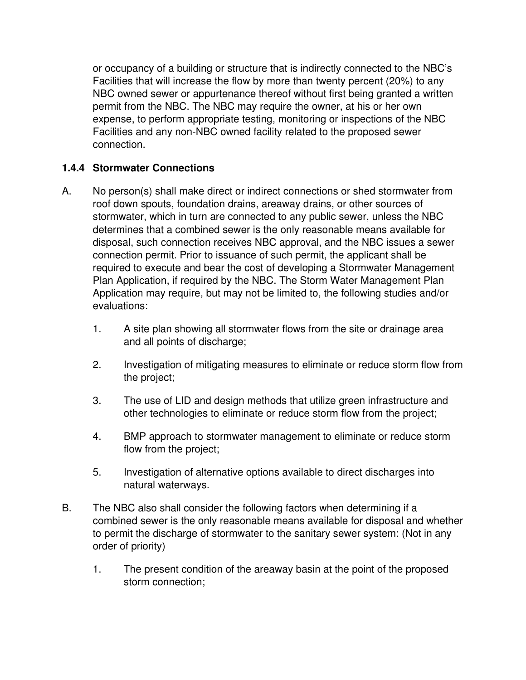or occupancy of a building or structure that is indirectly connected to the NBC's Facilities that will increase the flow by more than twenty percent (20%) to any NBC owned sewer or appurtenance thereof without first being granted a written permit from the NBC. The NBC may require the owner, at his or her own expense, to perform appropriate testing, monitoring or inspections of the NBC Facilities and any non-NBC owned facility related to the proposed sewer connection.

## **1.4.4 Stormwater Connections**

- A. No person(s) shall make direct or indirect connections or shed stormwater from roof down spouts, foundation drains, areaway drains, or other sources of stormwater, which in turn are connected to any public sewer, unless the NBC determines that a combined sewer is the only reasonable means available for disposal, such connection receives NBC approval, and the NBC issues a sewer connection permit. Prior to issuance of such permit, the applicant shall be required to execute and bear the cost of developing a Stormwater Management Plan Application, if required by the NBC. The Storm Water Management Plan Application may require, but may not be limited to, the following studies and/or evaluations:
	- 1. A site plan showing all stormwater flows from the site or drainage area and all points of discharge;
	- 2. Investigation of mitigating measures to eliminate or reduce storm flow from the project;
	- 3. The use of LID and design methods that utilize green infrastructure and other technologies to eliminate or reduce storm flow from the project;
	- 4. BMP approach to stormwater management to eliminate or reduce storm flow from the project;
	- 5. Investigation of alternative options available to direct discharges into natural waterways.
- B. The NBC also shall consider the following factors when determining if a combined sewer is the only reasonable means available for disposal and whether to permit the discharge of stormwater to the sanitary sewer system: (Not in any order of priority)
	- 1. The present condition of the areaway basin at the point of the proposed storm connection;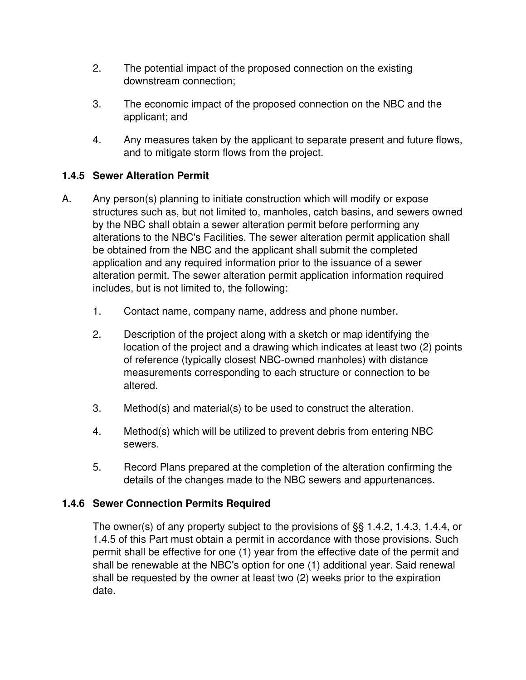- 2. The potential impact of the proposed connection on the existing downstream connection;
- 3. The economic impact of the proposed connection on the NBC and the applicant; and
- 4. Any measures taken by the applicant to separate present and future flows, and to mitigate storm flows from the project.

# **1.4.5 Sewer Alteration Permit**

- A. Any person(s) planning to initiate construction which will modify or expose structures such as, but not limited to, manholes, catch basins, and sewers owned by the NBC shall obtain a sewer alteration permit before performing any alterations to the NBC's Facilities. The sewer alteration permit application shall be obtained from the NBC and the applicant shall submit the completed application and any required information prior to the issuance of a sewer alteration permit. The sewer alteration permit application information required includes, but is not limited to, the following:
	- 1. Contact name, company name, address and phone number.
	- 2. Description of the project along with a sketch or map identifying the location of the project and a drawing which indicates at least two (2) points of reference (typically closest NBC-owned manholes) with distance measurements corresponding to each structure or connection to be altered.
	- 3. Method(s) and material(s) to be used to construct the alteration.
	- 4. Method(s) which will be utilized to prevent debris from entering NBC sewers.
	- 5. Record Plans prepared at the completion of the alteration confirming the details of the changes made to the NBC sewers and appurtenances.

#### **1.4.6 Sewer Connection Permits Required**

The owner(s) of any property subject to the provisions of §§ 1.4.2, 1.4.3, 1.4.4, or 1.4.5 of this Part must obtain a permit in accordance with those provisions. Such permit shall be effective for one (1) year from the effective date of the permit and shall be renewable at the NBC's option for one (1) additional year. Said renewal shall be requested by the owner at least two (2) weeks prior to the expiration date.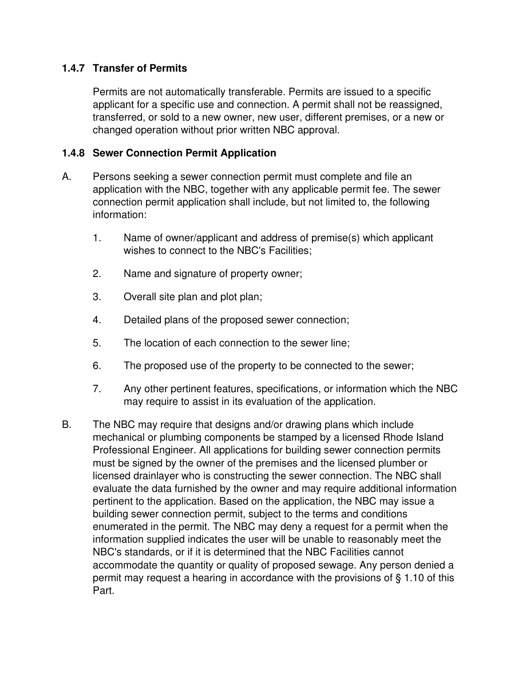## **1.4.7 Transfer of Permits**

Permits are not automatically transferable. Permits are issued to a specific applicant for a specific use and connection. A permit shall not be reassigned, transferred, or sold to a new owner, new user, different premises, or a new or changed operation without prior written NBC approval.

## **1.4.8 Sewer Connection Permit Application**

- A. Persons seeking a sewer connection permit must complete and file an application with the NBC, together with any applicable permit fee. The sewer connection permit application shall include, but not limited to, the following information:
	- 1. Name of owner/applicant and address of premise(s) which applicant wishes to connect to the NBC's Facilities;
	- 2. Name and signature of property owner;
	- 3. Overall site plan and plot plan;
	- 4. Detailed plans of the proposed sewer connection;
	- 5. The location of each connection to the sewer line;
	- 6. The proposed use of the property to be connected to the sewer;
	- 7. Any other pertinent features, specifications, or information which the NBC may require to assist in its evaluation of the application.
- B. The NBC may require that designs and/or drawing plans which include mechanical or plumbing components be stamped by a licensed Rhode Island Professional Engineer. All applications for building sewer connection permits must be signed by the owner of the premises and the licensed plumber or licensed drainlayer who is constructing the sewer connection. The NBC shall evaluate the data furnished by the owner and may require additional information pertinent to the application. Based on the application, the NBC may issue a building sewer connection permit, subject to the terms and conditions enumerated in the permit. The NBC may deny a request for a permit when the information supplied indicates the user will be unable to reasonably meet the NBC's standards, or if it is determined that the NBC Facilities cannot accommodate the quantity or quality of proposed sewage. Any person denied a permit may request a hearing in accordance with the provisions of § 1.10 of this Part.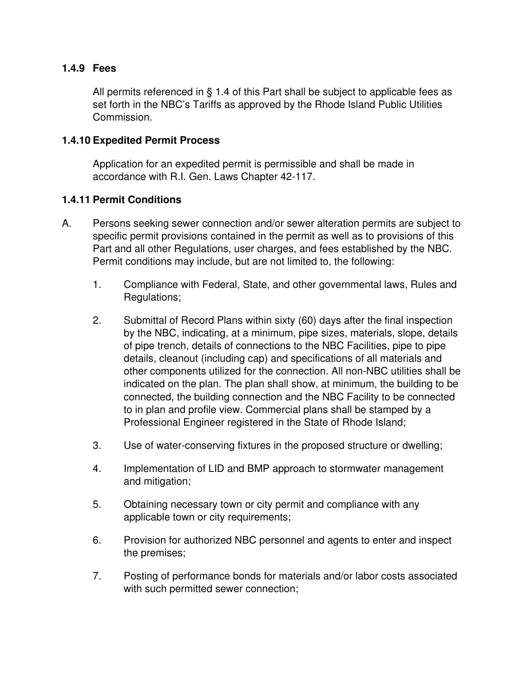#### **1.4.9 Fees**

All permits referenced in § 1.4 of this Part shall be subject to applicable fees as set forth in the NBC's Tariffs as approved by the Rhode Island Public Utilities Commission.

#### **1.4.10 Expedited Permit Process**

Application for an expedited permit is permissible and shall be made in accordance with R.I. Gen. Laws Chapter 42-117.

#### **1.4.11 Permit Conditions**

- A. Persons seeking sewer connection and/or sewer alteration permits are subject to specific permit provisions contained in the permit as well as to provisions of this Part and all other Regulations, user charges, and fees established by the NBC. Permit conditions may include, but are not limited to, the following:
	- 1. Compliance with Federal, State, and other governmental laws, Rules and Regulations;
	- 2. Submittal of Record Plans within sixty (60) days after the final inspection by the NBC, indicating, at a minimum, pipe sizes, materials, slope, details of pipe trench, details of connections to the NBC Facilities, pipe to pipe details, cleanout (including cap) and specifications of all materials and other components utilized for the connection. All non-NBC utilities shall be indicated on the plan. The plan shall show, at minimum, the building to be connected, the building connection and the NBC Facility to be connected to in plan and profile view. Commercial plans shall be stamped by a Professional Engineer registered in the State of Rhode Island;
	- 3. Use of water-conserving fixtures in the proposed structure or dwelling;
	- 4. Implementation of LID and BMP approach to stormwater management and mitigation;
	- 5. Obtaining necessary town or city permit and compliance with any applicable town or city requirements;
	- 6. Provision for authorized NBC personnel and agents to enter and inspect the premises;
	- 7. Posting of performance bonds for materials and/or labor costs associated with such permitted sewer connection;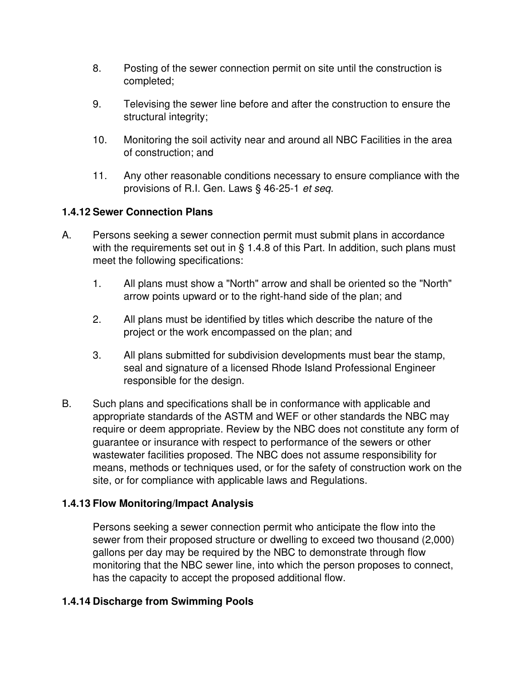- 8. Posting of the sewer connection permit on site until the construction is completed;
- 9. Televising the sewer line before and after the construction to ensure the structural integrity;
- 10. Monitoring the soil activity near and around all NBC Facilities in the area of construction; and
- 11. Any other reasonable conditions necessary to ensure compliance with the provisions of R.I. Gen. Laws § 46-25-1 *et seq.*

## **1.4.12 Sewer Connection Plans**

- A. Persons seeking a sewer connection permit must submit plans in accordance with the requirements set out in § 1.4.8 of this Part. In addition, such plans must meet the following specifications:
	- 1. All plans must show a "North" arrow and shall be oriented so the "North" arrow points upward or to the right-hand side of the plan; and
	- 2. All plans must be identified by titles which describe the nature of the project or the work encompassed on the plan; and
	- 3. All plans submitted for subdivision developments must bear the stamp, seal and signature of a licensed Rhode Island Professional Engineer responsible for the design.
- B. Such plans and specifications shall be in conformance with applicable and appropriate standards of the ASTM and WEF or other standards the NBC may require or deem appropriate. Review by the NBC does not constitute any form of guarantee or insurance with respect to performance of the sewers or other wastewater facilities proposed. The NBC does not assume responsibility for means, methods or techniques used, or for the safety of construction work on the site, or for compliance with applicable laws and Regulations.

#### **1.4.13 Flow Monitoring/Impact Analysis**

Persons seeking a sewer connection permit who anticipate the flow into the sewer from their proposed structure or dwelling to exceed two thousand (2,000) gallons per day may be required by the NBC to demonstrate through flow monitoring that the NBC sewer line, into which the person proposes to connect, has the capacity to accept the proposed additional flow.

#### **1.4.14 Discharge from Swimming Pools**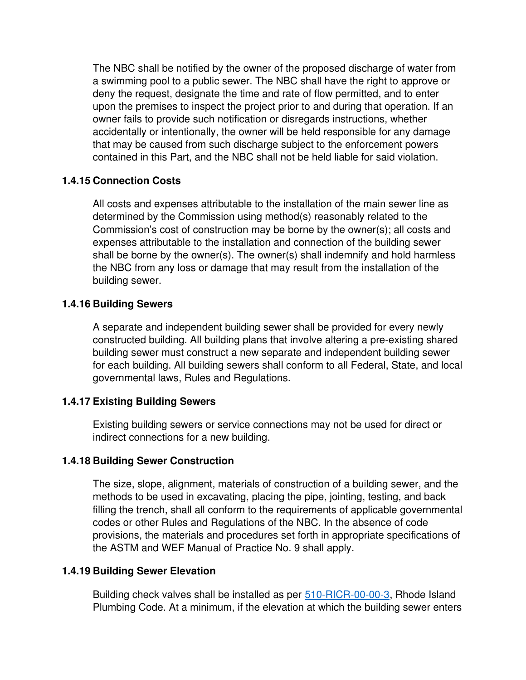The NBC shall be notified by the owner of the proposed discharge of water from a swimming pool to a public sewer. The NBC shall have the right to approve or deny the request, designate the time and rate of flow permitted, and to enter upon the premises to inspect the project prior to and during that operation. If an owner fails to provide such notification or disregards instructions, whether accidentally or intentionally, the owner will be held responsible for any damage that may be caused from such discharge subject to the enforcement powers contained in this Part, and the NBC shall not be held liable for said violation.

#### **1.4.15 Connection Costs**

All costs and expenses attributable to the installation of the main sewer line as determined by the Commission using method(s) reasonably related to the Commission's cost of construction may be borne by the owner(s); all costs and expenses attributable to the installation and connection of the building sewer shall be borne by the owner(s). The owner(s) shall indemnify and hold harmless the NBC from any loss or damage that may result from the installation of the building sewer.

#### **1.4.16 Building Sewers**

A separate and independent building sewer shall be provided for every newly constructed building. All building plans that involve altering a pre-existing shared building sewer must construct a new separate and independent building sewer for each building. All building sewers shall conform to all Federal, State, and local governmental laws, Rules and Regulations.

#### **1.4.17 Existing Building Sewers**

Existing building sewers or service connections may not be used for direct or indirect connections for a new building.

#### **1.4.18 Building Sewer Construction**

The size, slope, alignment, materials of construction of a building sewer, and the methods to be used in excavating, placing the pipe, jointing, testing, and back filling the trench, shall all conform to the requirements of applicable governmental codes or other Rules and Regulations of the NBC. In the absence of code provisions, the materials and procedures set forth in appropriate specifications of the ASTM and WEF Manual of Practice No. 9 shall apply.

#### **1.4.19 Building Sewer Elevation**

Building check valves shall be installed as per 510-RICR-00-00-3, Rhode Island Plumbing Code. At a minimum, if the elevation at which the building sewer enters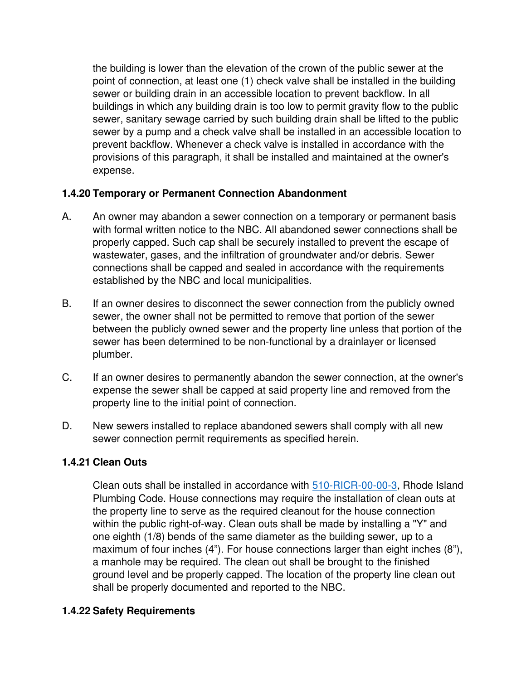the building is lower than the elevation of the crown of the public sewer at the point of connection, at least one (1) check valve shall be installed in the building sewer or building drain in an accessible location to prevent backflow. In all buildings in which any building drain is too low to permit gravity flow to the public sewer, sanitary sewage carried by such building drain shall be lifted to the public sewer by a pump and a check valve shall be installed in an accessible location to prevent backflow. Whenever a check valve is installed in accordance with the provisions of this paragraph, it shall be installed and maintained at the owner's expense.

## **1.4.20 Temporary or Permanent Connection Abandonment**

- A. An owner may abandon a sewer connection on a temporary or permanent basis with formal written notice to the NBC. All abandoned sewer connections shall be properly capped. Such cap shall be securely installed to prevent the escape of wastewater, gases, and the infiltration of groundwater and/or debris. Sewer connections shall be capped and sealed in accordance with the requirements established by the NBC and local municipalities.
- B. If an owner desires to disconnect the sewer connection from the publicly owned sewer, the owner shall not be permitted to remove that portion of the sewer between the publicly owned sewer and the property line unless that portion of the sewer has been determined to be non-functional by a drainlayer or licensed plumber.
- C. If an owner desires to permanently abandon the sewer connection, at the owner's expense the sewer shall be capped at said property line and removed from the property line to the initial point of connection.
- D. New sewers installed to replace abandoned sewers shall comply with all new sewer connection permit requirements as specified herein.

#### **1.4.21 Clean Outs**

Clean outs shall be installed in accordance with 510-RICR-00-00-3, Rhode Island Plumbing Code. House connections may require the installation of clean outs at the property line to serve as the required cleanout for the house connection within the public right-of-way. Clean outs shall be made by installing a "Y" and one eighth (1/8) bends of the same diameter as the building sewer, up to a maximum of four inches (4"). For house connections larger than eight inches (8"), a manhole may be required. The clean out shall be brought to the finished ground level and be properly capped. The location of the property line clean out shall be properly documented and reported to the NBC.

#### **1.4.22 Safety Requirements**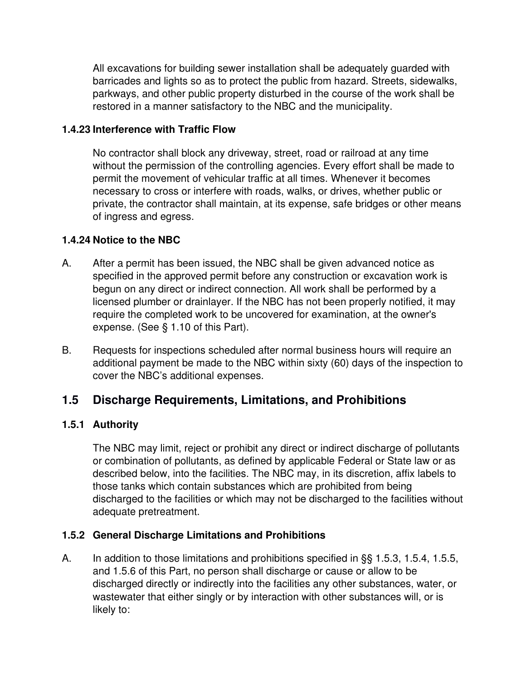All excavations for building sewer installation shall be adequately guarded with barricades and lights so as to protect the public from hazard. Streets, sidewalks, parkways, and other public property disturbed in the course of the work shall be restored in a manner satisfactory to the NBC and the municipality.

## **1.4.23 Interference with Traffic Flow**

No contractor shall block any driveway, street, road or railroad at any time without the permission of the controlling agencies. Every effort shall be made to permit the movement of vehicular traffic at all times. Whenever it becomes necessary to cross or interfere with roads, walks, or drives, whether public or private, the contractor shall maintain, at its expense, safe bridges or other means of ingress and egress.

## **1.4.24 Notice to the NBC**

- A. After a permit has been issued, the NBC shall be given advanced notice as specified in the approved permit before any construction or excavation work is begun on any direct or indirect connection. All work shall be performed by a licensed plumber or drainlayer. If the NBC has not been properly notified, it may require the completed work to be uncovered for examination, at the owner's expense. (See § 1.10 of this Part).
- B. Requests for inspections scheduled after normal business hours will require an additional payment be made to the NBC within sixty (60) days of the inspection to cover the NBC's additional expenses.

# **1.5 Discharge Requirements, Limitations, and Prohibitions**

#### **1.5.1 Authority**

The NBC may limit, reject or prohibit any direct or indirect discharge of pollutants or combination of pollutants, as defined by applicable Federal or State law or as described below, into the facilities. The NBC may, in its discretion, affix labels to those tanks which contain substances which are prohibited from being discharged to the facilities or which may not be discharged to the facilities without adequate pretreatment.

#### **1.5.2 General Discharge Limitations and Prohibitions**

A. In addition to those limitations and prohibitions specified in §§ 1.5.3, 1.5.4, 1.5.5, and 1.5.6 of this Part, no person shall discharge or cause or allow to be discharged directly or indirectly into the facilities any other substances, water, or wastewater that either singly or by interaction with other substances will, or is likely to: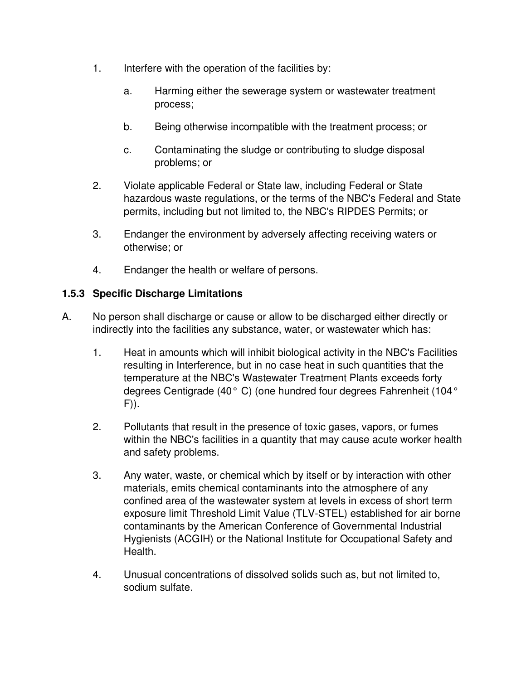- 1. Interfere with the operation of the facilities by:
	- a. Harming either the sewerage system or wastewater treatment process;
	- b. Being otherwise incompatible with the treatment process; or
	- c. Contaminating the sludge or contributing to sludge disposal problems; or
- 2. Violate applicable Federal or State law, including Federal or State hazardous waste regulations, or the terms of the NBC's Federal and State permits, including but not limited to, the NBC's RIPDES Permits; or
- 3. Endanger the environment by adversely affecting receiving waters or otherwise; or
- 4. Endanger the health or welfare of persons.

# **1.5.3 Specific Discharge Limitations**

- A. No person shall discharge or cause or allow to be discharged either directly or indirectly into the facilities any substance, water, or wastewater which has:
	- 1. Heat in amounts which will inhibit biological activity in the NBC's Facilities resulting in Interference, but in no case heat in such quantities that the temperature at the NBC's Wastewater Treatment Plants exceeds forty degrees Centigrade (40° C) (one hundred four degrees Fahrenheit (104° F)).
	- 2. Pollutants that result in the presence of toxic gases, vapors, or fumes within the NBC's facilities in a quantity that may cause acute worker health and safety problems.
	- 3. Any water, waste, or chemical which by itself or by interaction with other materials, emits chemical contaminants into the atmosphere of any confined area of the wastewater system at levels in excess of short term exposure limit Threshold Limit Value (TLV-STEL) established for air borne contaminants by the American Conference of Governmental Industrial Hygienists (ACGIH) or the National Institute for Occupational Safety and Health.
	- 4. Unusual concentrations of dissolved solids such as, but not limited to, sodium sulfate.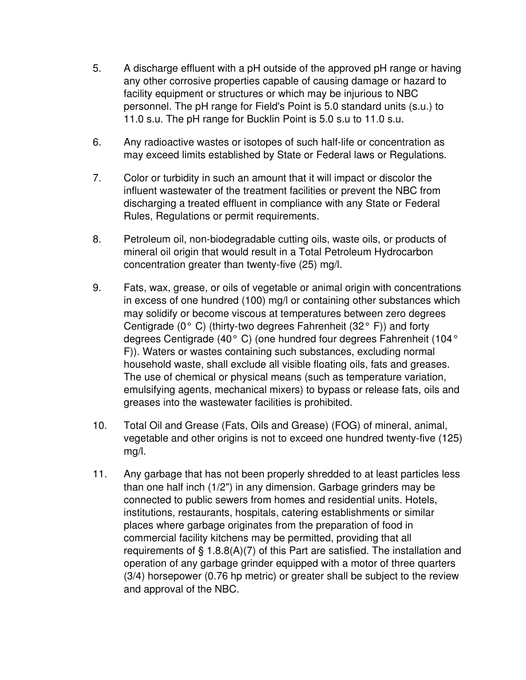- 5. A discharge effluent with a pH outside of the approved pH range or having any other corrosive properties capable of causing damage or hazard to facility equipment or structures or which may be injurious to NBC personnel. The pH range for Field's Point is 5.0 standard units (s.u.) to 11.0 s.u. The pH range for Bucklin Point is 5.0 s.u to 11.0 s.u.
- 6. Any radioactive wastes or isotopes of such half-life or concentration as may exceed limits established by State or Federal laws or Regulations.
- 7. Color or turbidity in such an amount that it will impact or discolor the influent wastewater of the treatment facilities or prevent the NBC from discharging a treated effluent in compliance with any State or Federal Rules, Regulations or permit requirements.
- 8. Petroleum oil, non-biodegradable cutting oils, waste oils, or products of mineral oil origin that would result in a Total Petroleum Hydrocarbon concentration greater than twenty-five (25) mg/l.
- 9. Fats, wax, grease, or oils of vegetable or animal origin with concentrations in excess of one hundred (100) mg/l or containing other substances which may solidify or become viscous at temperatures between zero degrees Centigrade ( $0^{\circ}$  C) (thirty-two degrees Fahrenheit (32 $^{\circ}$  F)) and forty degrees Centigrade (40° C) (one hundred four degrees Fahrenheit (104° F)). Waters or wastes containing such substances, excluding normal household waste, shall exclude all visible floating oils, fats and greases. The use of chemical or physical means (such as temperature variation, emulsifying agents, mechanical mixers) to bypass or release fats, oils and greases into the wastewater facilities is prohibited.
- 10. Total Oil and Grease (Fats, Oils and Grease) (FOG) of mineral, animal, vegetable and other origins is not to exceed one hundred twenty-five (125) mg/l.
- 11. Any garbage that has not been properly shredded to at least particles less than one half inch (1/2") in any dimension. Garbage grinders may be connected to public sewers from homes and residential units. Hotels, institutions, restaurants, hospitals, catering establishments or similar places where garbage originates from the preparation of food in commercial facility kitchens may be permitted, providing that all requirements of § 1.8.8(A)(7) of this Part are satisfied. The installation and operation of any garbage grinder equipped with a motor of three quarters (3/4) horsepower (0.76 hp metric) or greater shall be subject to the review and approval of the NBC.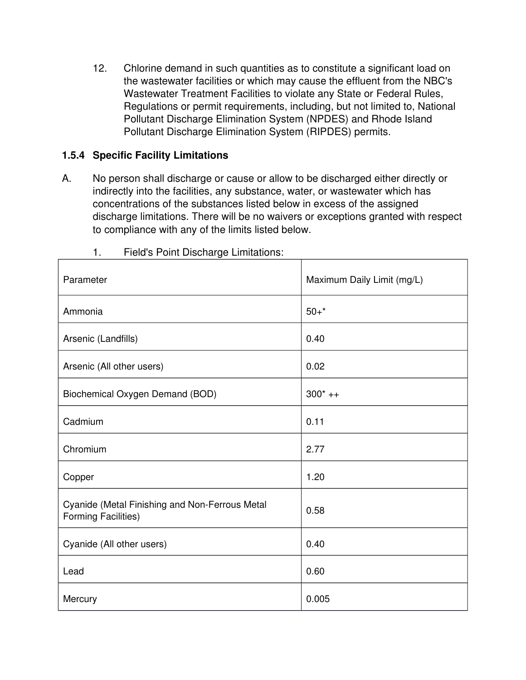12. Chlorine demand in such quantities as to constitute a significant load on the wastewater facilities or which may cause the effluent from the NBC's Wastewater Treatment Facilities to violate any State or Federal Rules, Regulations or permit requirements, including, but not limited to, National Pollutant Discharge Elimination System (NPDES) and Rhode Island Pollutant Discharge Elimination System (RIPDES) permits.

## **1.5.4 Specific Facility Limitations**

A. No person shall discharge or cause or allow to be discharged either directly or indirectly into the facilities, any substance, water, or wastewater which has concentrations of the substances listed below in excess of the assigned discharge limitations. There will be no waivers or exceptions granted with respect to compliance with any of the limits listed below.

| Parameter                                                             | Maximum Daily Limit (mg/L) |
|-----------------------------------------------------------------------|----------------------------|
| Ammonia                                                               | $50+$ *                    |
| Arsenic (Landfills)                                                   | 0.40                       |
| Arsenic (All other users)                                             | 0.02                       |
| Biochemical Oxygen Demand (BOD)                                       | $300^*$ ++                 |
| Cadmium                                                               | 0.11                       |
| Chromium                                                              | 2.77                       |
| Copper                                                                | 1.20                       |
| Cyanide (Metal Finishing and Non-Ferrous Metal<br>Forming Facilities) | 0.58                       |
| Cyanide (All other users)                                             | 0.40                       |
| Lead                                                                  | 0.60                       |
| Mercury                                                               | 0.005                      |

1. Field's Point Discharge Limitations: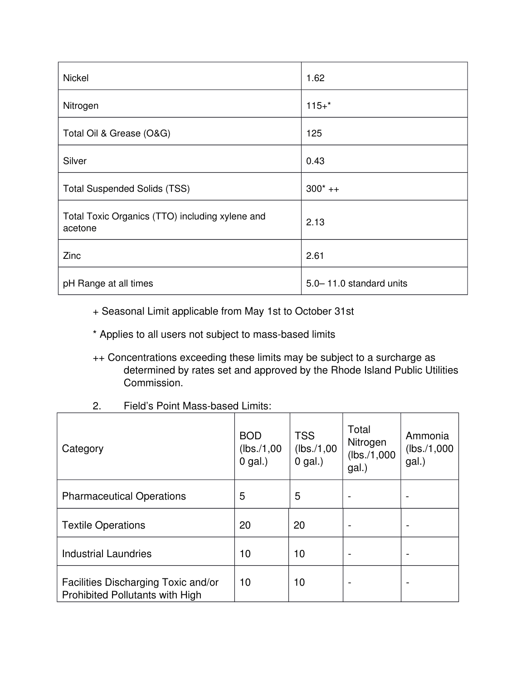| <b>Nickel</b>                                              | 1.62                      |
|------------------------------------------------------------|---------------------------|
| Nitrogen                                                   | $115+$ *                  |
| Total Oil & Grease (O&G)                                   | 125                       |
| Silver                                                     | 0.43                      |
| <b>Total Suspended Solids (TSS)</b>                        | $300^*$ ++                |
| Total Toxic Organics (TTO) including xylene and<br>acetone | 2.13                      |
| Zinc                                                       | 2.61                      |
| pH Range at all times                                      | 5.0 - 11.0 standard units |

- + Seasonal Limit applicable from May 1st to October 31st
- \* Applies to all users not subject to mass-based limits
- ++ Concentrations exceeding these limits may be subject to a surcharge as determined by rates set and approved by the Rhode Island Public Utilities Commission.
- 2. Field's Point Mass-based Limits:

| Category                                                               | <b>BOD</b><br>(lbs./1,00)<br>$0$ gal.) | <b>TSS</b><br>(lbs./1,00)<br>$0$ gal.) | Total<br>Nitrogen<br>(lbs./1,000)<br>gal.) | Ammonia<br>(lbs./1,000)<br>gal.) |
|------------------------------------------------------------------------|----------------------------------------|----------------------------------------|--------------------------------------------|----------------------------------|
| <b>Pharmaceutical Operations</b>                                       | 5                                      | 5                                      |                                            |                                  |
| <b>Textile Operations</b>                                              | 20                                     | 20                                     |                                            | $\overline{\phantom{0}}$         |
| <b>Industrial Laundries</b>                                            | 10                                     | 10                                     |                                            |                                  |
| Facilities Discharging Toxic and/or<br>Prohibited Pollutants with High | 10                                     | 10                                     |                                            |                                  |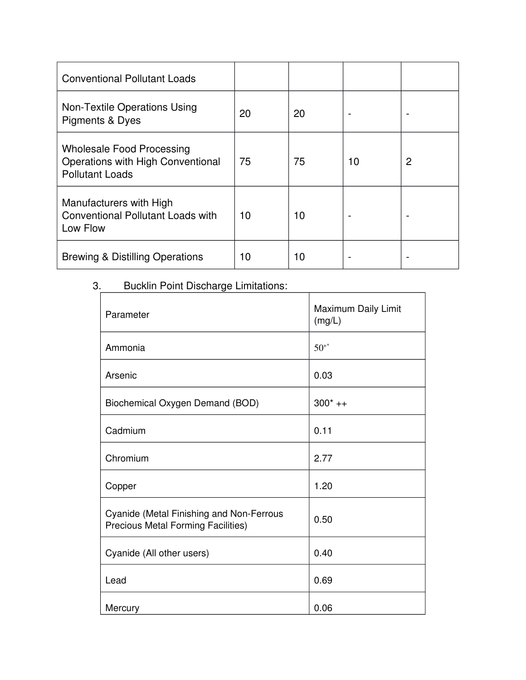| <b>Conventional Pollutant Loads</b>                                                             |    |    |    |   |
|-------------------------------------------------------------------------------------------------|----|----|----|---|
| Non-Textile Operations Using<br>Pigments & Dyes                                                 | 20 | 20 |    |   |
| <b>Wholesale Food Processing</b><br>Operations with High Conventional<br><b>Pollutant Loads</b> | 75 | 75 | 10 | 2 |
| Manufacturers with High<br><b>Conventional Pollutant Loads with</b><br>Low Flow                 | 10 | 10 |    |   |
| <b>Brewing &amp; Distilling Operations</b>                                                      | 10 | 10 |    |   |

# 3. Bucklin Point Discharge Limitations:

| Parameter                                                                                    | Maximum Daily Limit<br>(mg/L) |
|----------------------------------------------------------------------------------------------|-------------------------------|
| Ammonia                                                                                      | $50^{+*}$                     |
| Arsenic                                                                                      | 0.03                          |
| Biochemical Oxygen Demand (BOD)                                                              | $300^*$ ++                    |
| Cadmium                                                                                      | 0.11                          |
| Chromium                                                                                     | 2.77                          |
| Copper                                                                                       | 1.20                          |
| <b>Cyanide (Metal Finishing and Non-Ferrous</b><br><b>Precious Metal Forming Facilities)</b> | 0.50                          |
| Cyanide (All other users)                                                                    | 0.40                          |
| Lead                                                                                         | 0.69                          |
| Mercury                                                                                      | 0.06                          |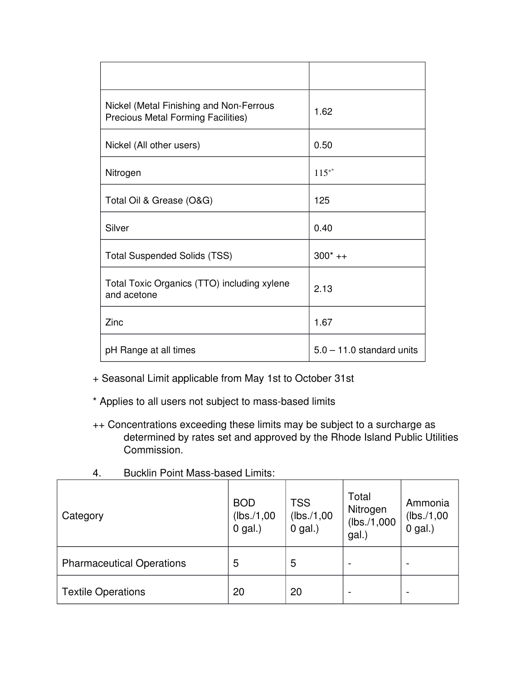| Nickel (Metal Finishing and Non-Ferrous<br><b>Precious Metal Forming Facilities)</b> | 1.62                        |
|--------------------------------------------------------------------------------------|-----------------------------|
| Nickel (All other users)                                                             | 0.50                        |
| Nitrogen                                                                             | $115^{+*}$                  |
| Total Oil & Grease (O&G)                                                             | 125                         |
| Silver                                                                               | 0.40                        |
| <b>Total Suspended Solids (TSS)</b>                                                  | $300^*$ ++                  |
| Total Toxic Organics (TTO) including xylene<br>and acetone                           | 2.13                        |
| Zinc                                                                                 | 1.67                        |
| pH Range at all times                                                                | $5.0 - 11.0$ standard units |

+ Seasonal Limit applicable from May 1st to October 31st

\* Applies to all users not subject to mass-based limits

++ Concentrations exceeding these limits may be subject to a surcharge as determined by rates set and approved by the Rhode Island Public Utilities Commission.

| Category                         | <b>BOD</b><br>(lbs./1,00)<br>$0$ gal.) | <b>TSS</b><br>(lbs./1,00)<br>$0$ gal.) | Total<br>Nitrogen<br>(lbs./1,000)<br>gal.) | Ammonia<br>(lbs./1,00)<br>$0$ gal.) |
|----------------------------------|----------------------------------------|----------------------------------------|--------------------------------------------|-------------------------------------|
| <b>Pharmaceutical Operations</b> | 5                                      | 5                                      |                                            |                                     |
| <b>Textile Operations</b>        | 20                                     | 20                                     | $\overline{\phantom{a}}$                   | -                                   |

4. Bucklin Point Mass-based Limits: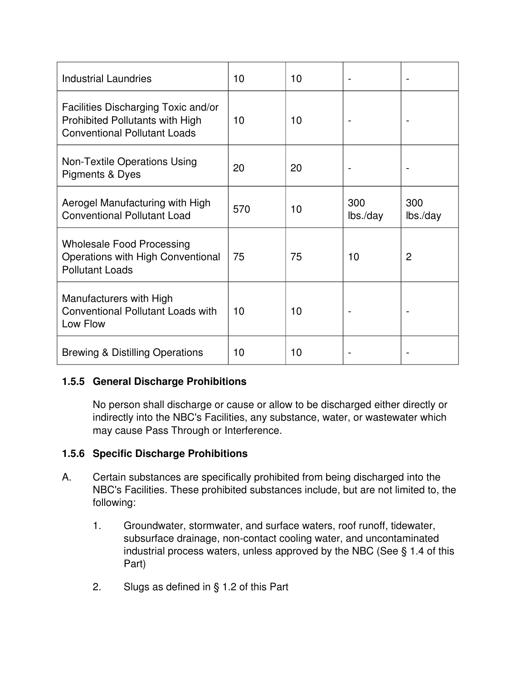| <b>Industrial Laundries</b>                                                                                          | 10  | 10 |                 |                 |
|----------------------------------------------------------------------------------------------------------------------|-----|----|-----------------|-----------------|
| Facilities Discharging Toxic and/or<br><b>Prohibited Pollutants with High</b><br><b>Conventional Pollutant Loads</b> | 10  | 10 |                 |                 |
| Non-Textile Operations Using<br><b>Pigments &amp; Dyes</b>                                                           | 20  | 20 |                 |                 |
| Aerogel Manufacturing with High<br><b>Conventional Pollutant Load</b>                                                | 570 | 10 | 300<br>lbs./day | 300<br>lbs./day |
| <b>Wholesale Food Processing</b><br>Operations with High Conventional<br><b>Pollutant Loads</b>                      | 75  | 75 | 10              | $\overline{2}$  |
| Manufacturers with High<br><b>Conventional Pollutant Loads with</b><br>Low Flow                                      | 10  | 10 |                 |                 |
| <b>Brewing &amp; Distilling Operations</b>                                                                           | 10  | 10 |                 |                 |

# **1.5.5 General Discharge Prohibitions**

No person shall discharge or cause or allow to be discharged either directly or indirectly into the NBC's Facilities, any substance, water, or wastewater which may cause Pass Through or Interference.

# **1.5.6 Specific Discharge Prohibitions**

- A. Certain substances are specifically prohibited from being discharged into the NBC's Facilities. These prohibited substances include, but are not limited to, the following:
	- 1. Groundwater, stormwater, and surface waters, roof runoff, tidewater, subsurface drainage, non-contact cooling water, and uncontaminated industrial process waters, unless approved by the NBC (See § 1.4 of this Part)
	- 2. Slugs as defined in § 1.2 of this Part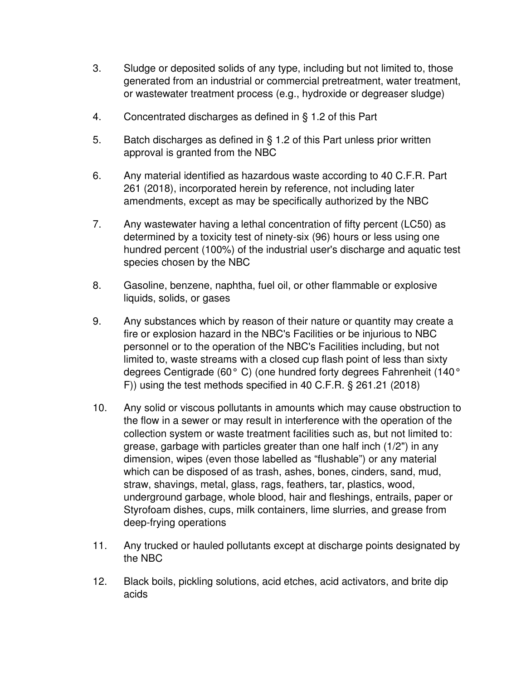- 3. Sludge or deposited solids of any type, including but not limited to, those generated from an industrial or commercial pretreatment, water treatment, or wastewater treatment process (e.g., hydroxide or degreaser sludge)
- 4. Concentrated discharges as defined in § 1.2 of this Part
- 5. Batch discharges as defined in § 1.2 of this Part unless prior written approval is granted from the NBC
- 6. Any material identified as hazardous waste according to 40 C.F.R. Part 261 (2018), incorporated herein by reference, not including later amendments, except as may be specifically authorized by the NBC
- 7. Any wastewater having a lethal concentration of fifty percent (LC50) as determined by a toxicity test of ninety-six (96) hours or less using one hundred percent (100%) of the industrial user's discharge and aquatic test species chosen by the NBC
- 8. Gasoline, benzene, naphtha, fuel oil, or other flammable or explosive liquids, solids, or gases
- 9. Any substances which by reason of their nature or quantity may create a fire or explosion hazard in the NBC's Facilities or be injurious to NBC personnel or to the operation of the NBC's Facilities including, but not limited to, waste streams with a closed cup flash point of less than sixty degrees Centigrade (60° C) (one hundred forty degrees Fahrenheit (140° F)) using the test methods specified in 40 C.F.R. § 261.21 (2018)
- 10. Any solid or viscous pollutants in amounts which may cause obstruction to the flow in a sewer or may result in interference with the operation of the collection system or waste treatment facilities such as, but not limited to: grease, garbage with particles greater than one half inch (1/2") in any dimension, wipes (even those labelled as "flushable") or any material which can be disposed of as trash, ashes, bones, cinders, sand, mud, straw, shavings, metal, glass, rags, feathers, tar, plastics, wood, underground garbage, whole blood, hair and fleshings, entrails, paper or Styrofoam dishes, cups, milk containers, lime slurries, and grease from deep-frying operations
- 11. Any trucked or hauled pollutants except at discharge points designated by the NBC
- 12. Black boils, pickling solutions, acid etches, acid activators, and brite dip acids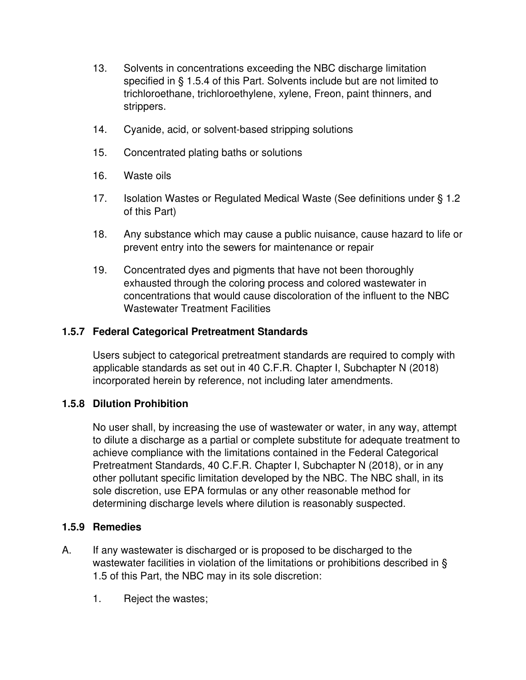- 13. Solvents in concentrations exceeding the NBC discharge limitation specified in § 1.5.4 of this Part. Solvents include but are not limited to trichloroethane, trichloroethylene, xylene, Freon, paint thinners, and strippers.
- 14. Cyanide, acid, or solvent-based stripping solutions
- 15. Concentrated plating baths or solutions
- 16. Waste oils
- 17. Isolation Wastes or Regulated Medical Waste (See definitions under § 1.2 of this Part)
- 18. Any substance which may cause a public nuisance, cause hazard to life or prevent entry into the sewers for maintenance or repair
- 19. Concentrated dyes and pigments that have not been thoroughly exhausted through the coloring process and colored wastewater in concentrations that would cause discoloration of the influent to the NBC Wastewater Treatment Facilities

#### **1.5.7 Federal Categorical Pretreatment Standards**

Users subject to categorical pretreatment standards are required to comply with applicable standards as set out in 40 C.F.R. Chapter I, Subchapter N (2018) incorporated herein by reference, not including later amendments.

#### **1.5.8 Dilution Prohibition**

No user shall, by increasing the use of wastewater or water, in any way, attempt to dilute a discharge as a partial or complete substitute for adequate treatment to achieve compliance with the limitations contained in the Federal Categorical Pretreatment Standards, 40 C.F.R. Chapter I, Subchapter N (2018), or in any other pollutant specific limitation developed by the NBC. The NBC shall, in its sole discretion, use EPA formulas or any other reasonable method for determining discharge levels where dilution is reasonably suspected.

#### **1.5.9 Remedies**

- A. If any wastewater is discharged or is proposed to be discharged to the wastewater facilities in violation of the limitations or prohibitions described in § 1.5 of this Part, the NBC may in its sole discretion:
	- 1. Reject the wastes;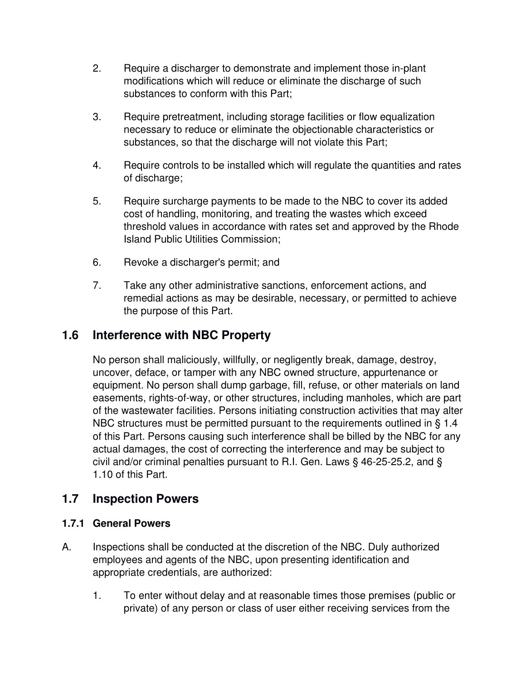- 2. Require a discharger to demonstrate and implement those in-plant modifications which will reduce or eliminate the discharge of such substances to conform with this Part;
- 3. Require pretreatment, including storage facilities or flow equalization necessary to reduce or eliminate the objectionable characteristics or substances, so that the discharge will not violate this Part;
- 4. Require controls to be installed which will regulate the quantities and rates of discharge;
- 5. Require surcharge payments to be made to the NBC to cover its added cost of handling, monitoring, and treating the wastes which exceed threshold values in accordance with rates set and approved by the Rhode Island Public Utilities Commission;
- 6. Revoke a discharger's permit; and
- 7. Take any other administrative sanctions, enforcement actions, and remedial actions as may be desirable, necessary, or permitted to achieve the purpose of this Part.

# **1.6 Interference with NBC Property**

No person shall maliciously, willfully, or negligently break, damage, destroy, uncover, deface, or tamper with any NBC owned structure, appurtenance or equipment. No person shall dump garbage, fill, refuse, or other materials on land easements, rights-of-way, or other structures, including manholes, which are part of the wastewater facilities. Persons initiating construction activities that may alter NBC structures must be permitted pursuant to the requirements outlined in § 1.4 of this Part. Persons causing such interference shall be billed by the NBC for any actual damages, the cost of correcting the interference and may be subject to civil and/or criminal penalties pursuant to R.I. Gen. Laws § 46-25-25.2, and § 1.10 of this Part.

# **1.7 Inspection Powers**

#### **1.7.1 General Powers**

- A. Inspections shall be conducted at the discretion of the NBC. Duly authorized employees and agents of the NBC, upon presenting identification and appropriate credentials, are authorized:
	- 1. To enter without delay and at reasonable times those premises (public or private) of any person or class of user either receiving services from the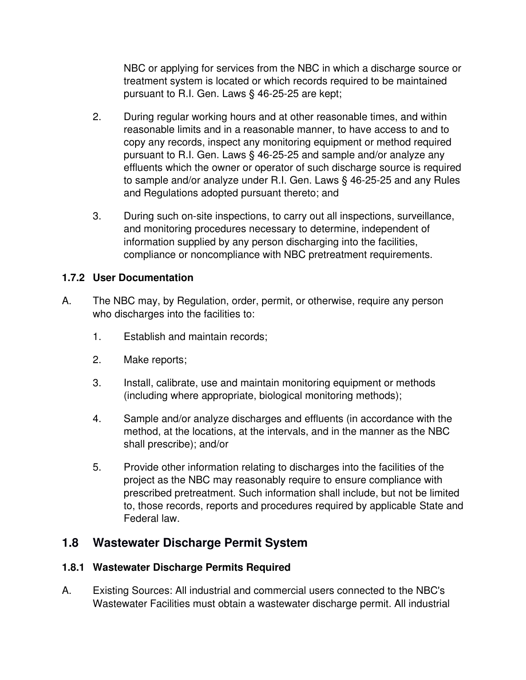NBC or applying for services from the NBC in which a discharge source or treatment system is located or which records required to be maintained pursuant to R.I. Gen. Laws § 46-25-25 are kept;

- 2. During regular working hours and at other reasonable times, and within reasonable limits and in a reasonable manner, to have access to and to copy any records, inspect any monitoring equipment or method required pursuant to R.I. Gen. Laws § 46-25-25 and sample and/or analyze any effluents which the owner or operator of such discharge source is required to sample and/or analyze under R.I. Gen. Laws § 46-25-25 and any Rules and Regulations adopted pursuant thereto; and
- 3. During such on-site inspections, to carry out all inspections, surveillance, and monitoring procedures necessary to determine, independent of information supplied by any person discharging into the facilities, compliance or noncompliance with NBC pretreatment requirements.

## **1.7.2 User Documentation**

- A. The NBC may, by Regulation, order, permit, or otherwise, require any person who discharges into the facilities to:
	- 1. Establish and maintain records;
	- 2. Make reports;
	- 3. Install, calibrate, use and maintain monitoring equipment or methods (including where appropriate, biological monitoring methods);
	- 4. Sample and/or analyze discharges and effluents (in accordance with the method, at the locations, at the intervals, and in the manner as the NBC shall prescribe); and/or
	- 5. Provide other information relating to discharges into the facilities of the project as the NBC may reasonably require to ensure compliance with prescribed pretreatment. Such information shall include, but not be limited to, those records, reports and procedures required by applicable State and Federal law.

## **1.8 Wastewater Discharge Permit System**

## **1.8.1 Wastewater Discharge Permits Required**

A. Existing Sources: All industrial and commercial users connected to the NBC's Wastewater Facilities must obtain a wastewater discharge permit. All industrial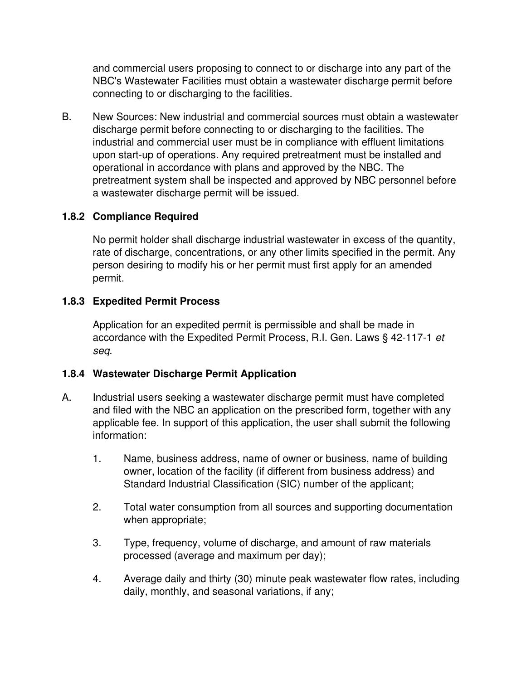and commercial users proposing to connect to or discharge into any part of the NBC's Wastewater Facilities must obtain a wastewater discharge permit before connecting to or discharging to the facilities.

B. New Sources: New industrial and commercial sources must obtain a wastewater discharge permit before connecting to or discharging to the facilities. The industrial and commercial user must be in compliance with effluent limitations upon start-up of operations. Any required pretreatment must be installed and operational in accordance with plans and approved by the NBC. The pretreatment system shall be inspected and approved by NBC personnel before a wastewater discharge permit will be issued.

## **1.8.2 Compliance Required**

No permit holder shall discharge industrial wastewater in excess of the quantity, rate of discharge, concentrations, or any other limits specified in the permit. Any person desiring to modify his or her permit must first apply for an amended permit.

## **1.8.3 Expedited Permit Process**

Application for an expedited permit is permissible and shall be made in accordance with the Expedited Permit Process, R.I. Gen. Laws § 42-117-1 *et seq*.

## **1.8.4 Wastewater Discharge Permit Application**

- A. Industrial users seeking a wastewater discharge permit must have completed and filed with the NBC an application on the prescribed form, together with any applicable fee. In support of this application, the user shall submit the following information:
	- 1. Name, business address, name of owner or business, name of building owner, location of the facility (if different from business address) and Standard Industrial Classification (SIC) number of the applicant;
	- 2. Total water consumption from all sources and supporting documentation when appropriate;
	- 3. Type, frequency, volume of discharge, and amount of raw materials processed (average and maximum per day);
	- 4. Average daily and thirty (30) minute peak wastewater flow rates, including daily, monthly, and seasonal variations, if any;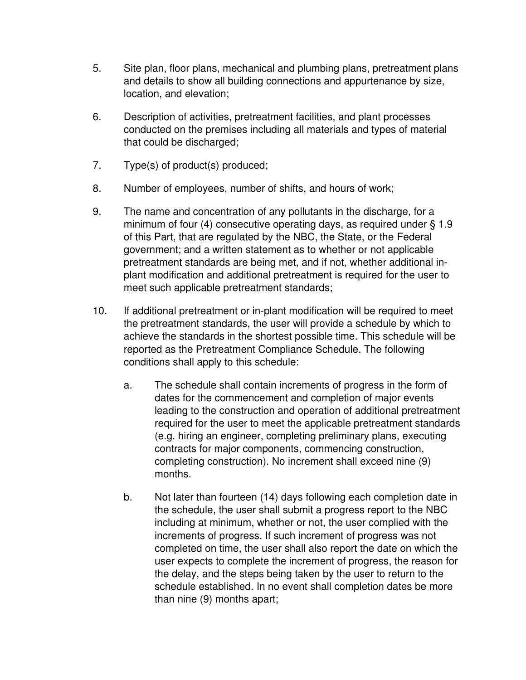- 5. Site plan, floor plans, mechanical and plumbing plans, pretreatment plans and details to show all building connections and appurtenance by size, location, and elevation;
- 6. Description of activities, pretreatment facilities, and plant processes conducted on the premises including all materials and types of material that could be discharged;
- 7. Type(s) of product(s) produced;
- 8. Number of employees, number of shifts, and hours of work;
- 9. The name and concentration of any pollutants in the discharge, for a minimum of four (4) consecutive operating days, as required under § 1.9 of this Part, that are regulated by the NBC, the State, or the Federal government; and a written statement as to whether or not applicable pretreatment standards are being met, and if not, whether additional inplant modification and additional pretreatment is required for the user to meet such applicable pretreatment standards;
- 10. If additional pretreatment or in-plant modification will be required to meet the pretreatment standards, the user will provide a schedule by which to achieve the standards in the shortest possible time. This schedule will be reported as the Pretreatment Compliance Schedule. The following conditions shall apply to this schedule:
	- a. The schedule shall contain increments of progress in the form of dates for the commencement and completion of major events leading to the construction and operation of additional pretreatment required for the user to meet the applicable pretreatment standards (e.g. hiring an engineer, completing preliminary plans, executing contracts for major components, commencing construction, completing construction). No increment shall exceed nine (9) months.
	- b. Not later than fourteen (14) days following each completion date in the schedule, the user shall submit a progress report to the NBC including at minimum, whether or not, the user complied with the increments of progress. If such increment of progress was not completed on time, the user shall also report the date on which the user expects to complete the increment of progress, the reason for the delay, and the steps being taken by the user to return to the schedule established. In no event shall completion dates be more than nine (9) months apart;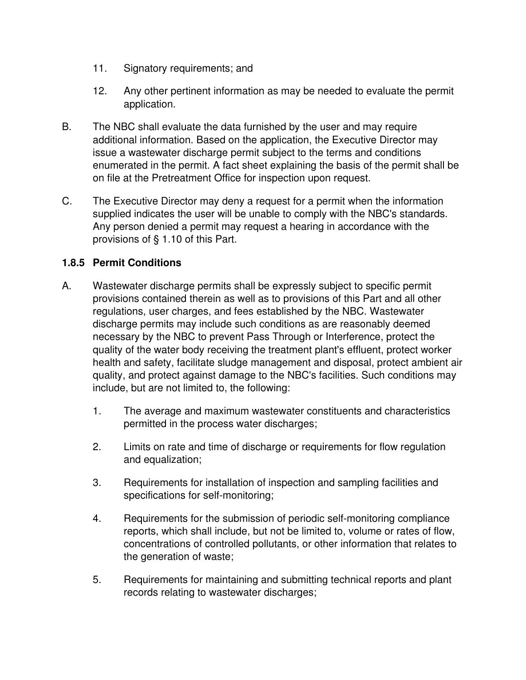- 11. Signatory requirements; and
- 12. Any other pertinent information as may be needed to evaluate the permit application.
- B. The NBC shall evaluate the data furnished by the user and may require additional information. Based on the application, the Executive Director may issue a wastewater discharge permit subject to the terms and conditions enumerated in the permit. A fact sheet explaining the basis of the permit shall be on file at the Pretreatment Office for inspection upon request.
- C. The Executive Director may deny a request for a permit when the information supplied indicates the user will be unable to comply with the NBC's standards. Any person denied a permit may request a hearing in accordance with the provisions of § 1.10 of this Part.

## **1.8.5 Permit Conditions**

- A. Wastewater discharge permits shall be expressly subject to specific permit provisions contained therein as well as to provisions of this Part and all other regulations, user charges, and fees established by the NBC. Wastewater discharge permits may include such conditions as are reasonably deemed necessary by the NBC to prevent Pass Through or Interference, protect the quality of the water body receiving the treatment plant's effluent, protect worker health and safety, facilitate sludge management and disposal, protect ambient air quality, and protect against damage to the NBC's facilities. Such conditions may include, but are not limited to, the following:
	- 1. The average and maximum wastewater constituents and characteristics permitted in the process water discharges;
	- 2. Limits on rate and time of discharge or requirements for flow regulation and equalization;
	- 3. Requirements for installation of inspection and sampling facilities and specifications for self-monitoring;
	- 4. Requirements for the submission of periodic self-monitoring compliance reports, which shall include, but not be limited to, volume or rates of flow, concentrations of controlled pollutants, or other information that relates to the generation of waste;
	- 5. Requirements for maintaining and submitting technical reports and plant records relating to wastewater discharges;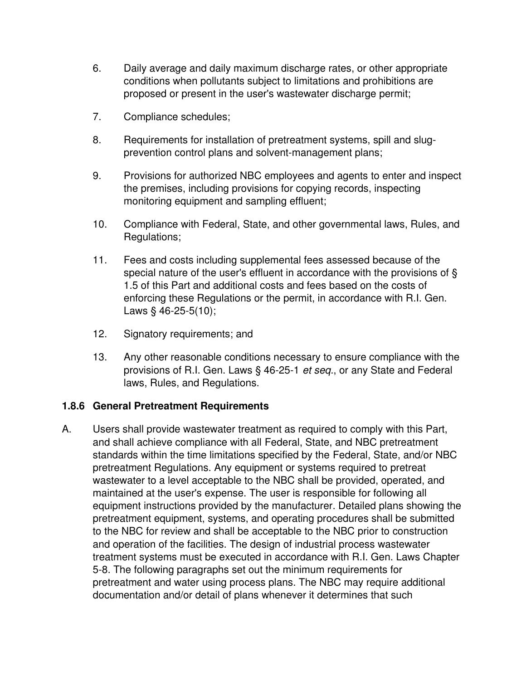- 6. Daily average and daily maximum discharge rates, or other appropriate conditions when pollutants subject to limitations and prohibitions are proposed or present in the user's wastewater discharge permit;
- 7. Compliance schedules;
- 8. Requirements for installation of pretreatment systems, spill and slugprevention control plans and solvent-management plans;
- 9. Provisions for authorized NBC employees and agents to enter and inspect the premises, including provisions for copying records, inspecting monitoring equipment and sampling effluent;
- 10. Compliance with Federal, State, and other governmental laws, Rules, and Regulations;
- 11. Fees and costs including supplemental fees assessed because of the special nature of the user's effluent in accordance with the provisions of § 1.5 of this Part and additional costs and fees based on the costs of enforcing these Regulations or the permit, in accordance with R.I. Gen. Laws § 46-25-5(10);
- 12. Signatory requirements; and
- 13. Any other reasonable conditions necessary to ensure compliance with the provisions of R.I. Gen. Laws § 46-25-1 *et seq.*, or any State and Federal laws, Rules, and Regulations.

## **1.8.6 General Pretreatment Requirements**

A. Users shall provide wastewater treatment as required to comply with this Part, and shall achieve compliance with all Federal, State, and NBC pretreatment standards within the time limitations specified by the Federal, State, and/or NBC pretreatment Regulations. Any equipment or systems required to pretreat wastewater to a level acceptable to the NBC shall be provided, operated, and maintained at the user's expense. The user is responsible for following all equipment instructions provided by the manufacturer. Detailed plans showing the pretreatment equipment, systems, and operating procedures shall be submitted to the NBC for review and shall be acceptable to the NBC prior to construction and operation of the facilities. The design of industrial process wastewater treatment systems must be executed in accordance with R.I. Gen. Laws Chapter 5-8. The following paragraphs set out the minimum requirements for pretreatment and water using process plans. The NBC may require additional documentation and/or detail of plans whenever it determines that such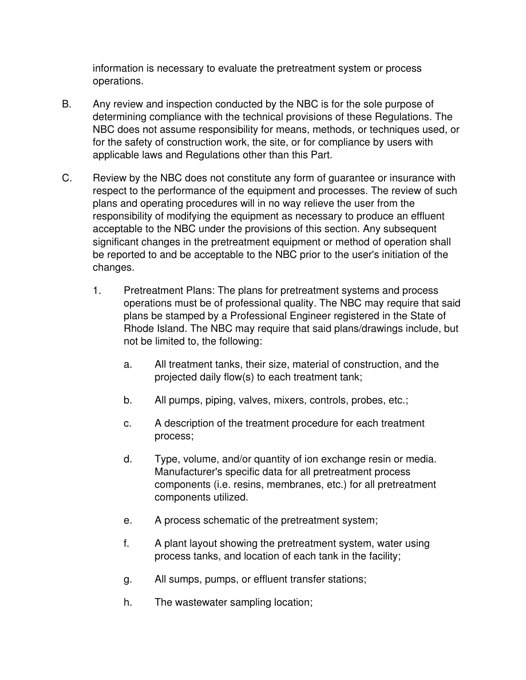information is necessary to evaluate the pretreatment system or process operations.

- B. Any review and inspection conducted by the NBC is for the sole purpose of determining compliance with the technical provisions of these Regulations. The NBC does not assume responsibility for means, methods, or techniques used, or for the safety of construction work, the site, or for compliance by users with applicable laws and Regulations other than this Part.
- C. Review by the NBC does not constitute any form of guarantee or insurance with respect to the performance of the equipment and processes. The review of such plans and operating procedures will in no way relieve the user from the responsibility of modifying the equipment as necessary to produce an effluent acceptable to the NBC under the provisions of this section. Any subsequent significant changes in the pretreatment equipment or method of operation shall be reported to and be acceptable to the NBC prior to the user's initiation of the changes.
	- 1. Pretreatment Plans: The plans for pretreatment systems and process operations must be of professional quality. The NBC may require that said plans be stamped by a Professional Engineer registered in the State of Rhode Island. The NBC may require that said plans/drawings include, but not be limited to, the following:
		- a. All treatment tanks, their size, material of construction, and the projected daily flow(s) to each treatment tank;
		- b. All pumps, piping, valves, mixers, controls, probes, etc.;
		- c. A description of the treatment procedure for each treatment process;
		- d. Type, volume, and/or quantity of ion exchange resin or media. Manufacturer's specific data for all pretreatment process components (i.e. resins, membranes, etc.) for all pretreatment components utilized.
		- e. A process schematic of the pretreatment system;
		- f. A plant layout showing the pretreatment system, water using process tanks, and location of each tank in the facility;
		- g. All sumps, pumps, or effluent transfer stations;
		- h. The wastewater sampling location;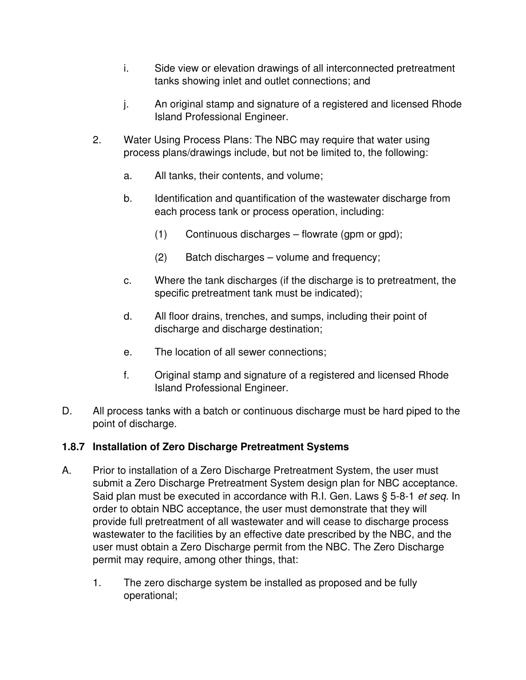- i. Side view or elevation drawings of all interconnected pretreatment tanks showing inlet and outlet connections; and
- j. An original stamp and signature of a registered and licensed Rhode Island Professional Engineer.
- 2. Water Using Process Plans: The NBC may require that water using process plans/drawings include, but not be limited to, the following:
	- a. All tanks, their contents, and volume;
	- b. Identification and quantification of the wastewater discharge from each process tank or process operation, including:
		- (1) Continuous discharges flowrate (gpm or gpd);
		- (2) Batch discharges volume and frequency;
	- c. Where the tank discharges (if the discharge is to pretreatment, the specific pretreatment tank must be indicated);
	- d. All floor drains, trenches, and sumps, including their point of discharge and discharge destination;
	- e. The location of all sewer connections;
	- f. Original stamp and signature of a registered and licensed Rhode Island Professional Engineer.
- D. All process tanks with a batch or continuous discharge must be hard piped to the point of discharge.

## **1.8.7 Installation of Zero Discharge Pretreatment Systems**

- A. Prior to installation of a Zero Discharge Pretreatment System, the user must submit a Zero Discharge Pretreatment System design plan for NBC acceptance. Said plan must be executed in accordance with R.I. Gen. Laws § 5-8-1 *et seq.* In order to obtain NBC acceptance, the user must demonstrate that they will provide full pretreatment of all wastewater and will cease to discharge process wastewater to the facilities by an effective date prescribed by the NBC, and the user must obtain a Zero Discharge permit from the NBC. The Zero Discharge permit may require, among other things, that:
	- 1. The zero discharge system be installed as proposed and be fully operational;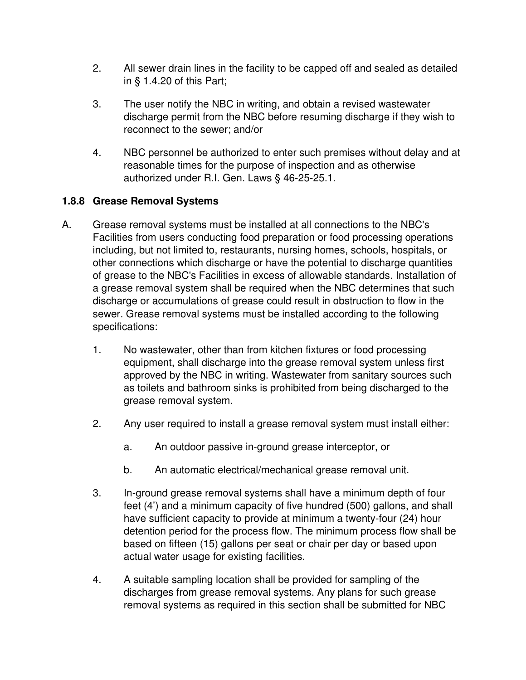- 2. All sewer drain lines in the facility to be capped off and sealed as detailed in § 1.4.20 of this Part;
- 3. The user notify the NBC in writing, and obtain a revised wastewater discharge permit from the NBC before resuming discharge if they wish to reconnect to the sewer; and/or
- 4. NBC personnel be authorized to enter such premises without delay and at reasonable times for the purpose of inspection and as otherwise authorized under R.I. Gen. Laws § 46-25-25.1.

## **1.8.8 Grease Removal Systems**

- A. Grease removal systems must be installed at all connections to the NBC's Facilities from users conducting food preparation or food processing operations including, but not limited to, restaurants, nursing homes, schools, hospitals, or other connections which discharge or have the potential to discharge quantities of grease to the NBC's Facilities in excess of allowable standards. Installation of a grease removal system shall be required when the NBC determines that such discharge or accumulations of grease could result in obstruction to flow in the sewer. Grease removal systems must be installed according to the following specifications:
	- 1. No wastewater, other than from kitchen fixtures or food processing equipment, shall discharge into the grease removal system unless first approved by the NBC in writing. Wastewater from sanitary sources such as toilets and bathroom sinks is prohibited from being discharged to the grease removal system.
	- 2. Any user required to install a grease removal system must install either:
		- a. An outdoor passive in-ground grease interceptor, or
		- b. An automatic electrical/mechanical grease removal unit.
	- 3. In-ground grease removal systems shall have a minimum depth of four feet (4') and a minimum capacity of five hundred (500) gallons, and shall have sufficient capacity to provide at minimum a twenty-four (24) hour detention period for the process flow. The minimum process flow shall be based on fifteen (15) gallons per seat or chair per day or based upon actual water usage for existing facilities.
	- 4. A suitable sampling location shall be provided for sampling of the discharges from grease removal systems. Any plans for such grease removal systems as required in this section shall be submitted for NBC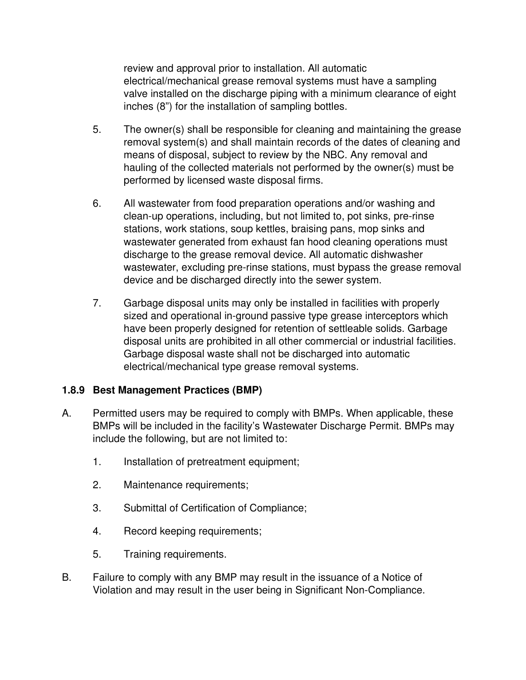review and approval prior to installation. All automatic electrical/mechanical grease removal systems must have a sampling valve installed on the discharge piping with a minimum clearance of eight inches (8") for the installation of sampling bottles.

- 5. The owner(s) shall be responsible for cleaning and maintaining the grease removal system(s) and shall maintain records of the dates of cleaning and means of disposal, subject to review by the NBC. Any removal and hauling of the collected materials not performed by the owner(s) must be performed by licensed waste disposal firms.
- 6. All wastewater from food preparation operations and/or washing and clean-up operations, including, but not limited to, pot sinks, pre-rinse stations, work stations, soup kettles, braising pans, mop sinks and wastewater generated from exhaust fan hood cleaning operations must discharge to the grease removal device. All automatic dishwasher wastewater, excluding pre-rinse stations, must bypass the grease removal device and be discharged directly into the sewer system.
- 7. Garbage disposal units may only be installed in facilities with properly sized and operational in-ground passive type grease interceptors which have been properly designed for retention of settleable solids. Garbage disposal units are prohibited in all other commercial or industrial facilities. Garbage disposal waste shall not be discharged into automatic electrical/mechanical type grease removal systems.

## **1.8.9 Best Management Practices (BMP)**

- A. Permitted users may be required to comply with BMPs. When applicable, these BMPs will be included in the facility's Wastewater Discharge Permit. BMPs may include the following, but are not limited to:
	- 1. Installation of pretreatment equipment;
	- 2. Maintenance requirements;
	- 3. Submittal of Certification of Compliance;
	- 4. Record keeping requirements;
	- 5. Training requirements.
- B. Failure to comply with any BMP may result in the issuance of a Notice of Violation and may result in the user being in Significant Non-Compliance.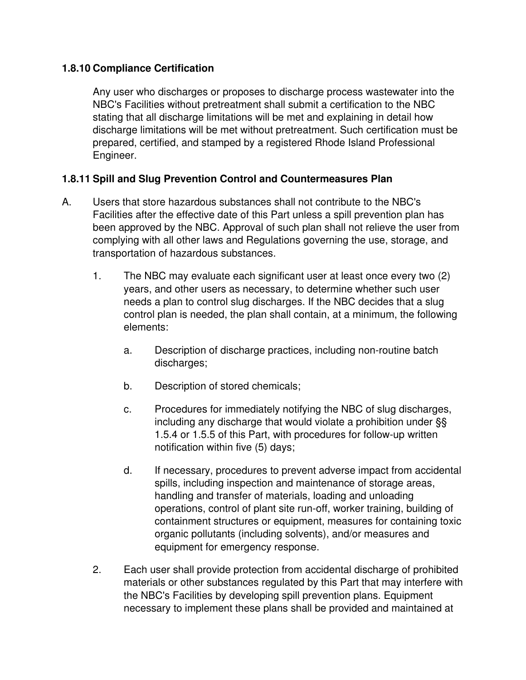## **1.8.10 Compliance Certification**

Any user who discharges or proposes to discharge process wastewater into the NBC's Facilities without pretreatment shall submit a certification to the NBC stating that all discharge limitations will be met and explaining in detail how discharge limitations will be met without pretreatment. Such certification must be prepared, certified, and stamped by a registered Rhode Island Professional Engineer.

## **1.8.11 Spill and Slug Prevention Control and Countermeasures Plan**

- A. Users that store hazardous substances shall not contribute to the NBC's Facilities after the effective date of this Part unless a spill prevention plan has been approved by the NBC. Approval of such plan shall not relieve the user from complying with all other laws and Regulations governing the use, storage, and transportation of hazardous substances.
	- 1. The NBC may evaluate each significant user at least once every two (2) years, and other users as necessary, to determine whether such user needs a plan to control slug discharges. If the NBC decides that a slug control plan is needed, the plan shall contain, at a minimum, the following elements:
		- a. Description of discharge practices, including non-routine batch discharges;
		- b. Description of stored chemicals;
		- c. Procedures for immediately notifying the NBC of slug discharges, including any discharge that would violate a prohibition under §§ 1.5.4 or 1.5.5 of this Part, with procedures for follow-up written notification within five (5) days;
		- d. If necessary, procedures to prevent adverse impact from accidental spills, including inspection and maintenance of storage areas, handling and transfer of materials, loading and unloading operations, control of plant site run-off, worker training, building of containment structures or equipment, measures for containing toxic organic pollutants (including solvents), and/or measures and equipment for emergency response.
	- 2. Each user shall provide protection from accidental discharge of prohibited materials or other substances regulated by this Part that may interfere with the NBC's Facilities by developing spill prevention plans. Equipment necessary to implement these plans shall be provided and maintained at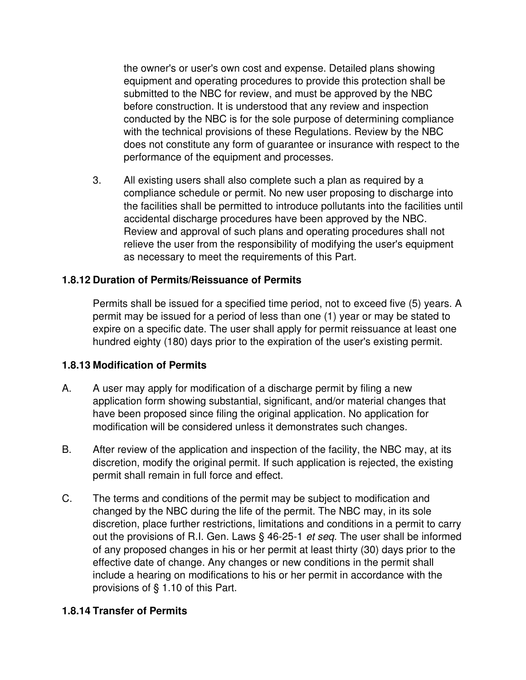the owner's or user's own cost and expense. Detailed plans showing equipment and operating procedures to provide this protection shall be submitted to the NBC for review, and must be approved by the NBC before construction. It is understood that any review and inspection conducted by the NBC is for the sole purpose of determining compliance with the technical provisions of these Regulations. Review by the NBC does not constitute any form of guarantee or insurance with respect to the performance of the equipment and processes.

3. All existing users shall also complete such a plan as required by a compliance schedule or permit. No new user proposing to discharge into the facilities shall be permitted to introduce pollutants into the facilities until accidental discharge procedures have been approved by the NBC. Review and approval of such plans and operating procedures shall not relieve the user from the responsibility of modifying the user's equipment as necessary to meet the requirements of this Part.

## **1.8.12 Duration of Permits/Reissuance of Permits**

Permits shall be issued for a specified time period, not to exceed five (5) years. A permit may be issued for a period of less than one (1) year or may be stated to expire on a specific date. The user shall apply for permit reissuance at least one hundred eighty (180) days prior to the expiration of the user's existing permit.

## **1.8.13 Modification of Permits**

- A. A user may apply for modification of a discharge permit by filing a new application form showing substantial, significant, and/or material changes that have been proposed since filing the original application. No application for modification will be considered unless it demonstrates such changes.
- B. After review of the application and inspection of the facility, the NBC may, at its discretion, modify the original permit. If such application is rejected, the existing permit shall remain in full force and effect.
- C. The terms and conditions of the permit may be subject to modification and changed by the NBC during the life of the permit. The NBC may, in its sole discretion, place further restrictions, limitations and conditions in a permit to carry out the provisions of R.I. Gen. Laws § 46-25-1 *et seq.* The user shall be informed of any proposed changes in his or her permit at least thirty (30) days prior to the effective date of change. Any changes or new conditions in the permit shall include a hearing on modifications to his or her permit in accordance with the provisions of § 1.10 of this Part.

## **1.8.14 Transfer of Permits**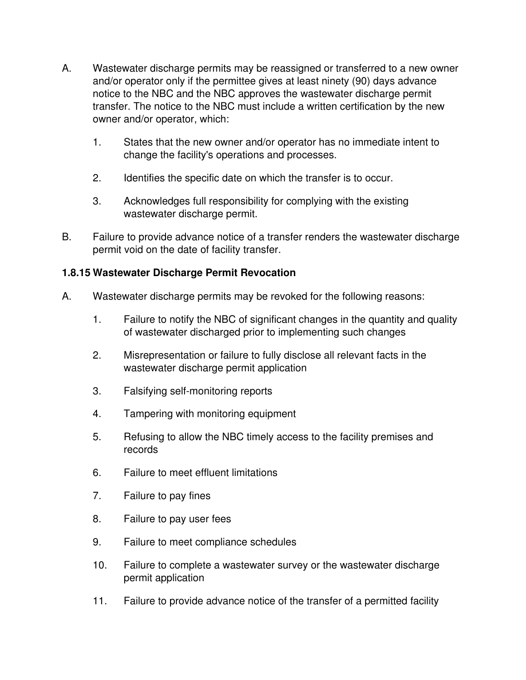- A. Wastewater discharge permits may be reassigned or transferred to a new owner and/or operator only if the permittee gives at least ninety (90) days advance notice to the NBC and the NBC approves the wastewater discharge permit transfer. The notice to the NBC must include a written certification by the new owner and/or operator, which:
	- 1. States that the new owner and/or operator has no immediate intent to change the facility's operations and processes.
	- 2. Identifies the specific date on which the transfer is to occur.
	- 3. Acknowledges full responsibility for complying with the existing wastewater discharge permit.
- B. Failure to provide advance notice of a transfer renders the wastewater discharge permit void on the date of facility transfer.

## **1.8.15 Wastewater Discharge Permit Revocation**

- A. Wastewater discharge permits may be revoked for the following reasons:
	- 1. Failure to notify the NBC of significant changes in the quantity and quality of wastewater discharged prior to implementing such changes
	- 2. Misrepresentation or failure to fully disclose all relevant facts in the wastewater discharge permit application
	- 3. Falsifying self-monitoring reports
	- 4. Tampering with monitoring equipment
	- 5. Refusing to allow the NBC timely access to the facility premises and records
	- 6. Failure to meet effluent limitations
	- 7. Failure to pay fines
	- 8. Failure to pay user fees
	- 9. Failure to meet compliance schedules
	- 10. Failure to complete a wastewater survey or the wastewater discharge permit application
	- 11. Failure to provide advance notice of the transfer of a permitted facility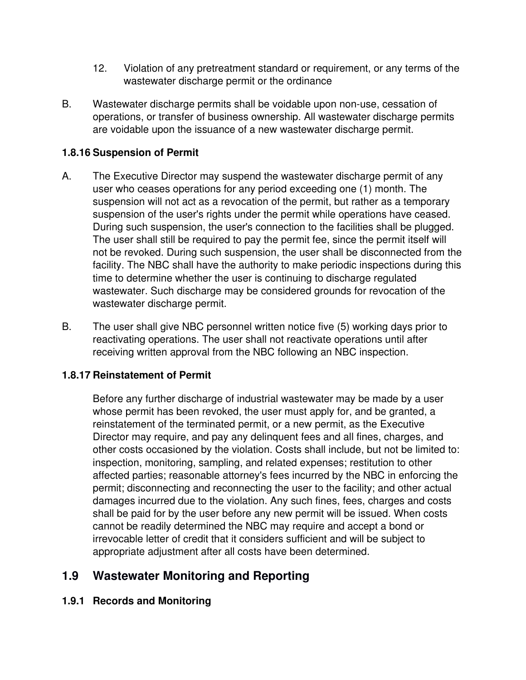- 12. Violation of any pretreatment standard or requirement, or any terms of the wastewater discharge permit or the ordinance
- B. Wastewater discharge permits shall be voidable upon non-use, cessation of operations, or transfer of business ownership. All wastewater discharge permits are voidable upon the issuance of a new wastewater discharge permit.

## **1.8.16 Suspension of Permit**

- A. The Executive Director may suspend the wastewater discharge permit of any user who ceases operations for any period exceeding one (1) month. The suspension will not act as a revocation of the permit, but rather as a temporary suspension of the user's rights under the permit while operations have ceased. During such suspension, the user's connection to the facilities shall be plugged. The user shall still be required to pay the permit fee, since the permit itself will not be revoked. During such suspension, the user shall be disconnected from the facility. The NBC shall have the authority to make periodic inspections during this time to determine whether the user is continuing to discharge regulated wastewater. Such discharge may be considered grounds for revocation of the wastewater discharge permit.
- B. The user shall give NBC personnel written notice five (5) working days prior to reactivating operations. The user shall not reactivate operations until after receiving written approval from the NBC following an NBC inspection.

## **1.8.17 Reinstatement of Permit**

Before any further discharge of industrial wastewater may be made by a user whose permit has been revoked, the user must apply for, and be granted, a reinstatement of the terminated permit, or a new permit, as the Executive Director may require, and pay any delinquent fees and all fines, charges, and other costs occasioned by the violation. Costs shall include, but not be limited to: inspection, monitoring, sampling, and related expenses; restitution to other affected parties; reasonable attorney's fees incurred by the NBC in enforcing the permit; disconnecting and reconnecting the user to the facility; and other actual damages incurred due to the violation. Any such fines, fees, charges and costs shall be paid for by the user before any new permit will be issued. When costs cannot be readily determined the NBC may require and accept a bond or irrevocable letter of credit that it considers sufficient and will be subject to appropriate adjustment after all costs have been determined.

# **1.9 Wastewater Monitoring and Reporting**

## **1.9.1 Records and Monitoring**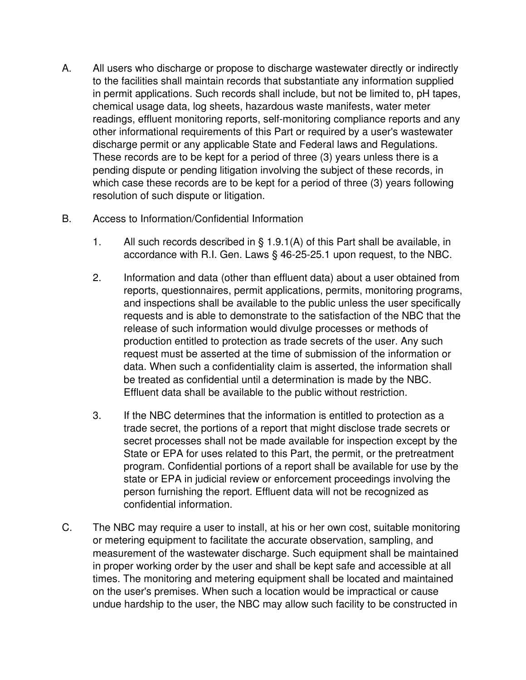- A. All users who discharge or propose to discharge wastewater directly or indirectly to the facilities shall maintain records that substantiate any information supplied in permit applications. Such records shall include, but not be limited to, pH tapes, chemical usage data, log sheets, hazardous waste manifests, water meter readings, effluent monitoring reports, self-monitoring compliance reports and any other informational requirements of this Part or required by a user's wastewater discharge permit or any applicable State and Federal laws and Regulations. These records are to be kept for a period of three (3) years unless there is a pending dispute or pending litigation involving the subject of these records, in which case these records are to be kept for a period of three (3) years following resolution of such dispute or litigation.
- B. Access to Information/Confidential Information
	- 1. All such records described in § 1.9.1(A) of this Part shall be available, in accordance with R.I. Gen. Laws § 46-25-25.1 upon request, to the NBC.
	- 2. Information and data (other than effluent data) about a user obtained from reports, questionnaires, permit applications, permits, monitoring programs, and inspections shall be available to the public unless the user specifically requests and is able to demonstrate to the satisfaction of the NBC that the release of such information would divulge processes or methods of production entitled to protection as trade secrets of the user. Any such request must be asserted at the time of submission of the information or data. When such a confidentiality claim is asserted, the information shall be treated as confidential until a determination is made by the NBC. Effluent data shall be available to the public without restriction.
	- 3. If the NBC determines that the information is entitled to protection as a trade secret, the portions of a report that might disclose trade secrets or secret processes shall not be made available for inspection except by the State or EPA for uses related to this Part, the permit, or the pretreatment program. Confidential portions of a report shall be available for use by the state or EPA in judicial review or enforcement proceedings involving the person furnishing the report. Effluent data will not be recognized as confidential information.
- C. The NBC may require a user to install, at his or her own cost, suitable monitoring or metering equipment to facilitate the accurate observation, sampling, and measurement of the wastewater discharge. Such equipment shall be maintained in proper working order by the user and shall be kept safe and accessible at all times. The monitoring and metering equipment shall be located and maintained on the user's premises. When such a location would be impractical or cause undue hardship to the user, the NBC may allow such facility to be constructed in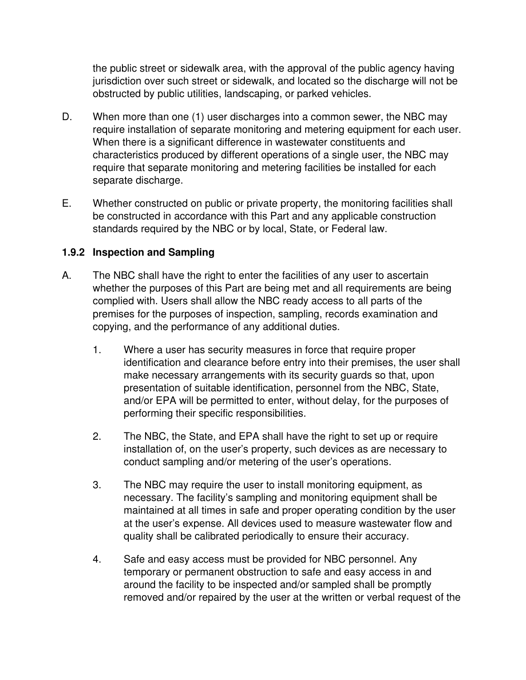the public street or sidewalk area, with the approval of the public agency having jurisdiction over such street or sidewalk, and located so the discharge will not be obstructed by public utilities, landscaping, or parked vehicles.

- D. When more than one (1) user discharges into a common sewer, the NBC may require installation of separate monitoring and metering equipment for each user. When there is a significant difference in wastewater constituents and characteristics produced by different operations of a single user, the NBC may require that separate monitoring and metering facilities be installed for each separate discharge.
- E. Whether constructed on public or private property, the monitoring facilities shall be constructed in accordance with this Part and any applicable construction standards required by the NBC or by local, State, or Federal law.

## **1.9.2 Inspection and Sampling**

- A. The NBC shall have the right to enter the facilities of any user to ascertain whether the purposes of this Part are being met and all requirements are being complied with. Users shall allow the NBC ready access to all parts of the premises for the purposes of inspection, sampling, records examination and copying, and the performance of any additional duties.
	- 1. Where a user has security measures in force that require proper identification and clearance before entry into their premises, the user shall make necessary arrangements with its security guards so that, upon presentation of suitable identification, personnel from the NBC, State, and/or EPA will be permitted to enter, without delay, for the purposes of performing their specific responsibilities.
	- 2. The NBC, the State, and EPA shall have the right to set up or require installation of, on the user's property, such devices as are necessary to conduct sampling and/or metering of the user's operations.
	- 3. The NBC may require the user to install monitoring equipment, as necessary. The facility's sampling and monitoring equipment shall be maintained at all times in safe and proper operating condition by the user at the user's expense. All devices used to measure wastewater flow and quality shall be calibrated periodically to ensure their accuracy.
	- 4. Safe and easy access must be provided for NBC personnel. Any temporary or permanent obstruction to safe and easy access in and around the facility to be inspected and/or sampled shall be promptly removed and/or repaired by the user at the written or verbal request of the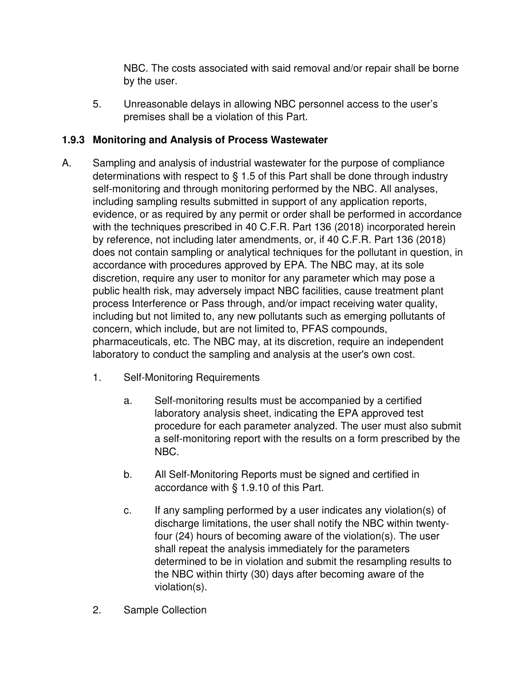NBC. The costs associated with said removal and/or repair shall be borne by the user.

5. Unreasonable delays in allowing NBC personnel access to the user's premises shall be a violation of this Part.

## **1.9.3 Monitoring and Analysis of Process Wastewater**

- A. Sampling and analysis of industrial wastewater for the purpose of compliance determinations with respect to § 1.5 of this Part shall be done through industry self-monitoring and through monitoring performed by the NBC. All analyses, including sampling results submitted in support of any application reports, evidence, or as required by any permit or order shall be performed in accordance with the techniques prescribed in 40 C.F.R. Part 136 (2018) incorporated herein by reference, not including later amendments, or, if 40 C.F.R. Part 136 (2018) does not contain sampling or analytical techniques for the pollutant in question, in accordance with procedures approved by EPA. The NBC may, at its sole discretion, require any user to monitor for any parameter which may pose a public health risk, may adversely impact NBC facilities, cause treatment plant process Interference or Pass through, and/or impact receiving water quality, including but not limited to, any new pollutants such as emerging pollutants of concern, which include, but are not limited to, PFAS compounds, pharmaceuticals, etc. The NBC may, at its discretion, require an independent laboratory to conduct the sampling and analysis at the user's own cost.
	- 1. Self-Monitoring Requirements
		- a. Self-monitoring results must be accompanied by a certified laboratory analysis sheet, indicating the EPA approved test procedure for each parameter analyzed. The user must also submit a self-monitoring report with the results on a form prescribed by the NBC.
		- b. All Self-Monitoring Reports must be signed and certified in accordance with § 1.9.10 of this Part.
		- c. If any sampling performed by a user indicates any violation(s) of discharge limitations, the user shall notify the NBC within twentyfour (24) hours of becoming aware of the violation(s). The user shall repeat the analysis immediately for the parameters determined to be in violation and submit the resampling results to the NBC within thirty (30) days after becoming aware of the violation(s).
	- 2. Sample Collection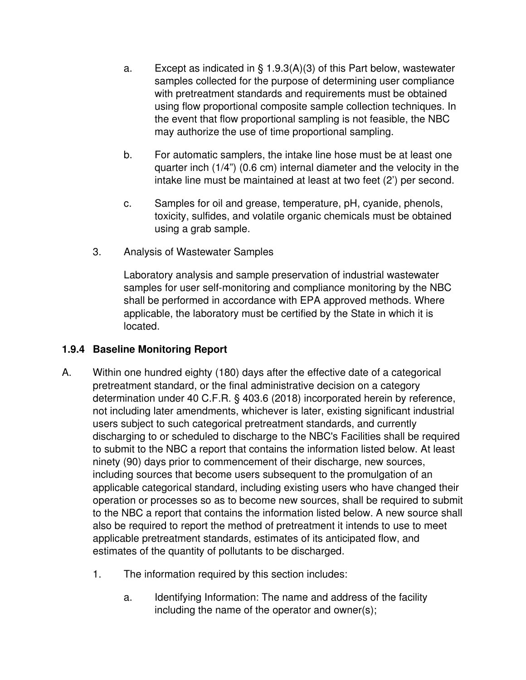- a. Except as indicated in § 1.9.3(A)(3) of this Part below, wastewater samples collected for the purpose of determining user compliance with pretreatment standards and requirements must be obtained using flow proportional composite sample collection techniques. In the event that flow proportional sampling is not feasible, the NBC may authorize the use of time proportional sampling.
- b. For automatic samplers, the intake line hose must be at least one quarter inch (1/4") (0.6 cm) internal diameter and the velocity in the intake line must be maintained at least at two feet (2') per second.
- c. Samples for oil and grease, temperature, pH, cyanide, phenols, toxicity, sulfides, and volatile organic chemicals must be obtained using a grab sample.
- 3. Analysis of Wastewater Samples

Laboratory analysis and sample preservation of industrial wastewater samples for user self-monitoring and compliance monitoring by the NBC shall be performed in accordance with EPA approved methods. Where applicable, the laboratory must be certified by the State in which it is located.

## **1.9.4 Baseline Monitoring Report**

- A. Within one hundred eighty (180) days after the effective date of a categorical pretreatment standard, or the final administrative decision on a category determination under 40 C.F.R. § 403.6 (2018) incorporated herein by reference, not including later amendments, whichever is later, existing significant industrial users subject to such categorical pretreatment standards, and currently discharging to or scheduled to discharge to the NBC's Facilities shall be required to submit to the NBC a report that contains the information listed below. At least ninety (90) days prior to commencement of their discharge, new sources, including sources that become users subsequent to the promulgation of an applicable categorical standard, including existing users who have changed their operation or processes so as to become new sources, shall be required to submit to the NBC a report that contains the information listed below. A new source shall also be required to report the method of pretreatment it intends to use to meet applicable pretreatment standards, estimates of its anticipated flow, and estimates of the quantity of pollutants to be discharged.
	- 1. The information required by this section includes:
		- a. Identifying Information: The name and address of the facility including the name of the operator and owner(s);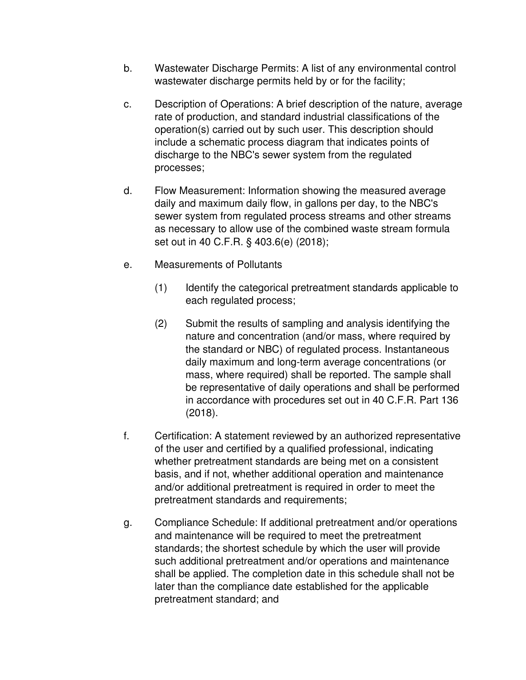- b. Wastewater Discharge Permits: A list of any environmental control wastewater discharge permits held by or for the facility;
- c. Description of Operations: A brief description of the nature, average rate of production, and standard industrial classifications of the operation(s) carried out by such user. This description should include a schematic process diagram that indicates points of discharge to the NBC's sewer system from the regulated processes;
- d. Flow Measurement: Information showing the measured average daily and maximum daily flow, in gallons per day, to the NBC's sewer system from regulated process streams and other streams as necessary to allow use of the combined waste stream formula set out in 40 C.F.R. § 403.6(e) (2018);
- e. Measurements of Pollutants
	- (1) Identify the categorical pretreatment standards applicable to each regulated process;
	- (2) Submit the results of sampling and analysis identifying the nature and concentration (and/or mass, where required by the standard or NBC) of regulated process. Instantaneous daily maximum and long-term average concentrations (or mass, where required) shall be reported. The sample shall be representative of daily operations and shall be performed in accordance with procedures set out in 40 C.F.R. Part 136 (2018).
- f. Certification: A statement reviewed by an authorized representative of the user and certified by a qualified professional, indicating whether pretreatment standards are being met on a consistent basis, and if not, whether additional operation and maintenance and/or additional pretreatment is required in order to meet the pretreatment standards and requirements;
- g. Compliance Schedule: If additional pretreatment and/or operations and maintenance will be required to meet the pretreatment standards; the shortest schedule by which the user will provide such additional pretreatment and/or operations and maintenance shall be applied. The completion date in this schedule shall not be later than the compliance date established for the applicable pretreatment standard; and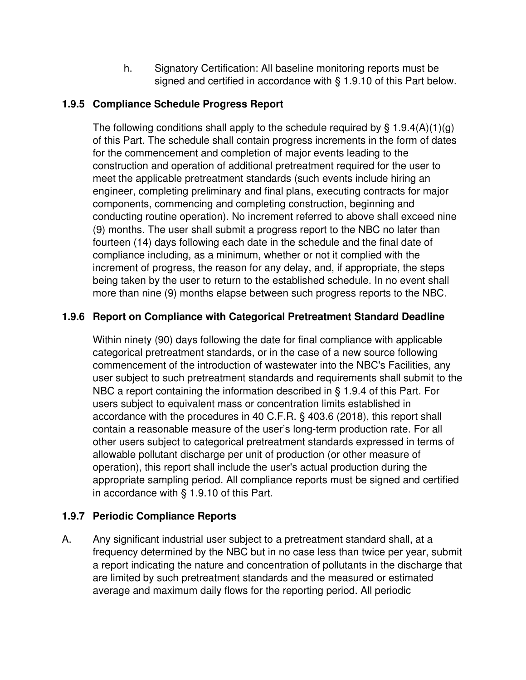h. Signatory Certification: All baseline monitoring reports must be signed and certified in accordance with § 1.9.10 of this Part below.

## **1.9.5 Compliance Schedule Progress Report**

The following conditions shall apply to the schedule required by  $\S$  1.9.4(A)(1)(g) of this Part. The schedule shall contain progress increments in the form of dates for the commencement and completion of major events leading to the construction and operation of additional pretreatment required for the user to meet the applicable pretreatment standards (such events include hiring an engineer, completing preliminary and final plans, executing contracts for major components, commencing and completing construction, beginning and conducting routine operation). No increment referred to above shall exceed nine (9) months. The user shall submit a progress report to the NBC no later than fourteen (14) days following each date in the schedule and the final date of compliance including, as a minimum, whether or not it complied with the increment of progress, the reason for any delay, and, if appropriate, the steps being taken by the user to return to the established schedule. In no event shall more than nine (9) months elapse between such progress reports to the NBC.

## **1.9.6 Report on Compliance with Categorical Pretreatment Standard Deadline**

Within ninety (90) days following the date for final compliance with applicable categorical pretreatment standards, or in the case of a new source following commencement of the introduction of wastewater into the NBC's Facilities, any user subject to such pretreatment standards and requirements shall submit to the NBC a report containing the information described in § 1.9.4 of this Part. For users subject to equivalent mass or concentration limits established in accordance with the procedures in 40 C.F.R. § 403.6 (2018), this report shall contain a reasonable measure of the user's long-term production rate. For all other users subject to categorical pretreatment standards expressed in terms of allowable pollutant discharge per unit of production (or other measure of operation), this report shall include the user's actual production during the appropriate sampling period. All compliance reports must be signed and certified in accordance with § 1.9.10 of this Part.

## **1.9.7 Periodic Compliance Reports**

A. Any significant industrial user subject to a pretreatment standard shall, at a frequency determined by the NBC but in no case less than twice per year, submit a report indicating the nature and concentration of pollutants in the discharge that are limited by such pretreatment standards and the measured or estimated average and maximum daily flows for the reporting period. All periodic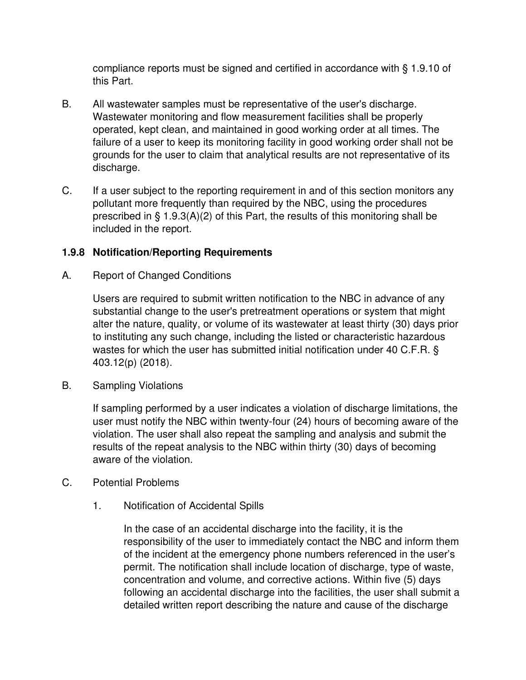compliance reports must be signed and certified in accordance with § 1.9.10 of this Part.

- B. All wastewater samples must be representative of the user's discharge. Wastewater monitoring and flow measurement facilities shall be properly operated, kept clean, and maintained in good working order at all times. The failure of a user to keep its monitoring facility in good working order shall not be grounds for the user to claim that analytical results are not representative of its discharge.
- C. If a user subject to the reporting requirement in and of this section monitors any pollutant more frequently than required by the NBC, using the procedures prescribed in § 1.9.3(A)(2) of this Part, the results of this monitoring shall be included in the report.

## **1.9.8 Notification/Reporting Requirements**

A. Report of Changed Conditions

Users are required to submit written notification to the NBC in advance of any substantial change to the user's pretreatment operations or system that might alter the nature, quality, or volume of its wastewater at least thirty (30) days prior to instituting any such change, including the listed or characteristic hazardous wastes for which the user has submitted initial notification under 40 C.F.R. § 403.12(p) (2018).

B. Sampling Violations

If sampling performed by a user indicates a violation of discharge limitations, the user must notify the NBC within twenty-four (24) hours of becoming aware of the violation. The user shall also repeat the sampling and analysis and submit the results of the repeat analysis to the NBC within thirty (30) days of becoming aware of the violation.

- C. Potential Problems
	- 1. Notification of Accidental Spills

In the case of an accidental discharge into the facility, it is the responsibility of the user to immediately contact the NBC and inform them of the incident at the emergency phone numbers referenced in the user's permit. The notification shall include location of discharge, type of waste, concentration and volume, and corrective actions. Within five (5) days following an accidental discharge into the facilities, the user shall submit a detailed written report describing the nature and cause of the discharge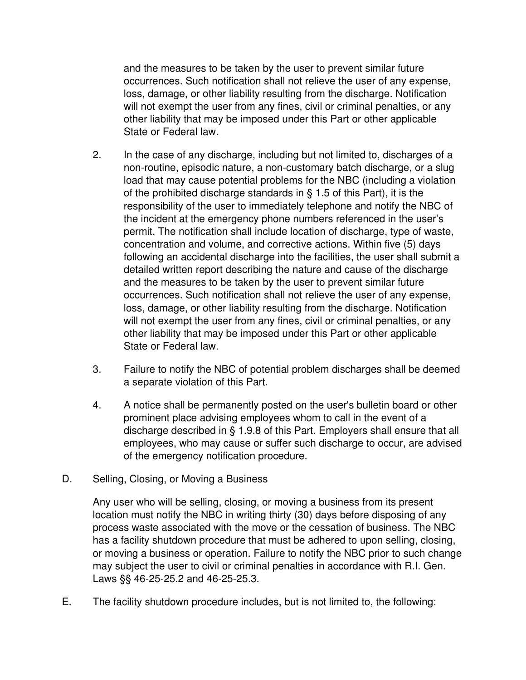and the measures to be taken by the user to prevent similar future occurrences. Such notification shall not relieve the user of any expense, loss, damage, or other liability resulting from the discharge. Notification will not exempt the user from any fines, civil or criminal penalties, or any other liability that may be imposed under this Part or other applicable State or Federal law.

- 2. In the case of any discharge, including but not limited to, discharges of a non-routine, episodic nature, a non-customary batch discharge, or a slug load that may cause potential problems for the NBC (including a violation of the prohibited discharge standards in § 1.5 of this Part), it is the responsibility of the user to immediately telephone and notify the NBC of the incident at the emergency phone numbers referenced in the user's permit. The notification shall include location of discharge, type of waste, concentration and volume, and corrective actions. Within five (5) days following an accidental discharge into the facilities, the user shall submit a detailed written report describing the nature and cause of the discharge and the measures to be taken by the user to prevent similar future occurrences. Such notification shall not relieve the user of any expense, loss, damage, or other liability resulting from the discharge. Notification will not exempt the user from any fines, civil or criminal penalties, or any other liability that may be imposed under this Part or other applicable State or Federal law.
- 3. Failure to notify the NBC of potential problem discharges shall be deemed a separate violation of this Part.
- 4. A notice shall be permanently posted on the user's bulletin board or other prominent place advising employees whom to call in the event of a discharge described in § 1.9.8 of this Part. Employers shall ensure that all employees, who may cause or suffer such discharge to occur, are advised of the emergency notification procedure.
- D. Selling, Closing, or Moving a Business

Any user who will be selling, closing, or moving a business from its present location must notify the NBC in writing thirty (30) days before disposing of any process waste associated with the move or the cessation of business. The NBC has a facility shutdown procedure that must be adhered to upon selling, closing, or moving a business or operation. Failure to notify the NBC prior to such change may subject the user to civil or criminal penalties in accordance with R.I. Gen. Laws §§ 46-25-25.2 and 46-25-25.3.

E. The facility shutdown procedure includes, but is not limited to, the following: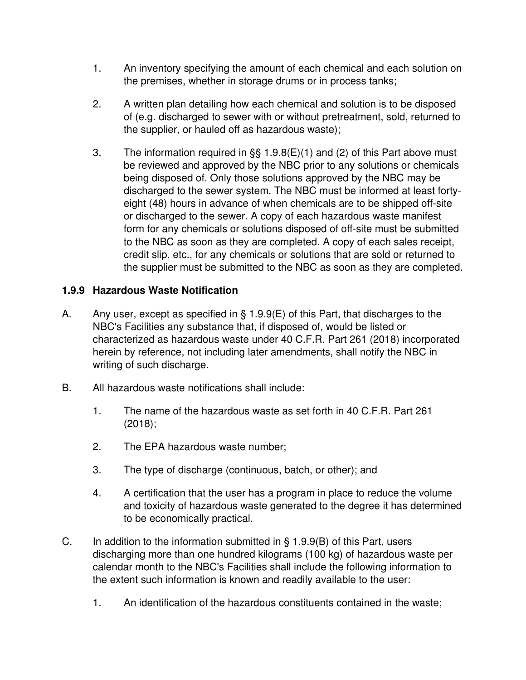- 1. An inventory specifying the amount of each chemical and each solution on the premises, whether in storage drums or in process tanks;
- 2. A written plan detailing how each chemical and solution is to be disposed of (e.g. discharged to sewer with or without pretreatment, sold, returned to the supplier, or hauled off as hazardous waste);
- 3. The information required in §§ 1.9.8(E)(1) and (2) of this Part above must be reviewed and approved by the NBC prior to any solutions or chemicals being disposed of. Only those solutions approved by the NBC may be discharged to the sewer system. The NBC must be informed at least fortyeight (48) hours in advance of when chemicals are to be shipped off-site or discharged to the sewer. A copy of each hazardous waste manifest form for any chemicals or solutions disposed of off-site must be submitted to the NBC as soon as they are completed. A copy of each sales receipt, credit slip, etc., for any chemicals or solutions that are sold or returned to the supplier must be submitted to the NBC as soon as they are completed.

## **1.9.9 Hazardous Waste Notification**

- A. Any user, except as specified in § 1.9.9(E) of this Part, that discharges to the NBC's Facilities any substance that, if disposed of, would be listed or characterized as hazardous waste under 40 C.F.R. Part 261 (2018) incorporated herein by reference, not including later amendments, shall notify the NBC in writing of such discharge.
- B. All hazardous waste notifications shall include:
	- 1. The name of the hazardous waste as set forth in 40 C.F.R. Part 261 (2018);
	- 2. The EPA hazardous waste number;
	- 3. The type of discharge (continuous, batch, or other); and
	- 4. A certification that the user has a program in place to reduce the volume and toxicity of hazardous waste generated to the degree it has determined to be economically practical.
- C. In addition to the information submitted in  $\S$  1.9.9(B) of this Part, users discharging more than one hundred kilograms (100 kg) of hazardous waste per calendar month to the NBC's Facilities shall include the following information to the extent such information is known and readily available to the user:
	- 1. An identification of the hazardous constituents contained in the waste;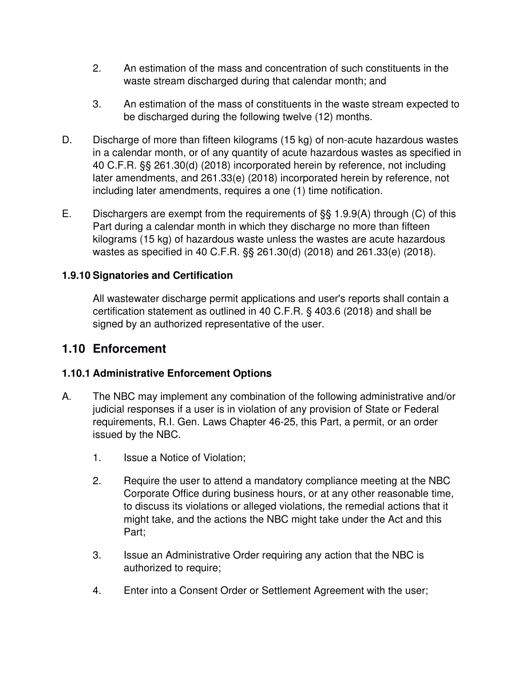- 2. An estimation of the mass and concentration of such constituents in the waste stream discharged during that calendar month; and
- 3. An estimation of the mass of constituents in the waste stream expected to be discharged during the following twelve (12) months.
- D. Discharge of more than fifteen kilograms (15 kg) of non-acute hazardous wastes in a calendar month, or of any quantity of acute hazardous wastes as specified in 40 C.F.R. §§ 261.30(d) (2018) incorporated herein by reference, not including later amendments, and 261.33(e) (2018) incorporated herein by reference, not including later amendments, requires a one (1) time notification.
- E. Dischargers are exempt from the requirements of §§ 1.9.9(A) through (C) of this Part during a calendar month in which they discharge no more than fifteen kilograms (15 kg) of hazardous waste unless the wastes are acute hazardous wastes as specified in 40 C.F.R. §§ 261.30(d) (2018) and 261.33(e) (2018).

## **1.9.10 Signatories and Certification**

All wastewater discharge permit applications and user's reports shall contain a certification statement as outlined in 40 C.F.R. § 403.6 (2018) and shall be signed by an authorized representative of the user.

## **1.10 Enforcement**

## **1.10.1 Administrative Enforcement Options**

- A. The NBC may implement any combination of the following administrative and/or judicial responses if a user is in violation of any provision of State or Federal requirements, R.I. Gen. Laws Chapter 46-25, this Part, a permit, or an order issued by the NBC.
	- 1. Issue a Notice of Violation;
	- 2. Require the user to attend a mandatory compliance meeting at the NBC Corporate Office during business hours, or at any other reasonable time, to discuss its violations or alleged violations, the remedial actions that it might take, and the actions the NBC might take under the Act and this Part;
	- 3. Issue an Administrative Order requiring any action that the NBC is authorized to require;
	- 4. Enter into a Consent Order or Settlement Agreement with the user;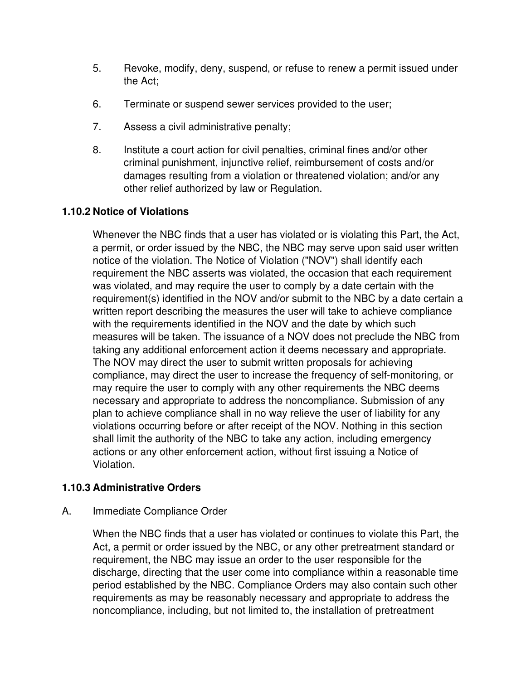- 5. Revoke, modify, deny, suspend, or refuse to renew a permit issued under the Act;
- 6. Terminate or suspend sewer services provided to the user;
- 7. Assess a civil administrative penalty;
- 8. Institute a court action for civil penalties, criminal fines and/or other criminal punishment, injunctive relief, reimbursement of costs and/or damages resulting from a violation or threatened violation; and/or any other relief authorized by law or Regulation.

## **1.10.2 Notice of Violations**

Whenever the NBC finds that a user has violated or is violating this Part, the Act, a permit, or order issued by the NBC, the NBC may serve upon said user written notice of the violation. The Notice of Violation ("NOV") shall identify each requirement the NBC asserts was violated, the occasion that each requirement was violated, and may require the user to comply by a date certain with the requirement(s) identified in the NOV and/or submit to the NBC by a date certain a written report describing the measures the user will take to achieve compliance with the requirements identified in the NOV and the date by which such measures will be taken. The issuance of a NOV does not preclude the NBC from taking any additional enforcement action it deems necessary and appropriate. The NOV may direct the user to submit written proposals for achieving compliance, may direct the user to increase the frequency of self-monitoring, or may require the user to comply with any other requirements the NBC deems necessary and appropriate to address the noncompliance. Submission of any plan to achieve compliance shall in no way relieve the user of liability for any violations occurring before or after receipt of the NOV. Nothing in this section shall limit the authority of the NBC to take any action, including emergency actions or any other enforcement action, without first issuing a Notice of Violation.

## **1.10.3 Administrative Orders**

#### A. Immediate Compliance Order

When the NBC finds that a user has violated or continues to violate this Part, the Act, a permit or order issued by the NBC, or any other pretreatment standard or requirement, the NBC may issue an order to the user responsible for the discharge, directing that the user come into compliance within a reasonable time period established by the NBC. Compliance Orders may also contain such other requirements as may be reasonably necessary and appropriate to address the noncompliance, including, but not limited to, the installation of pretreatment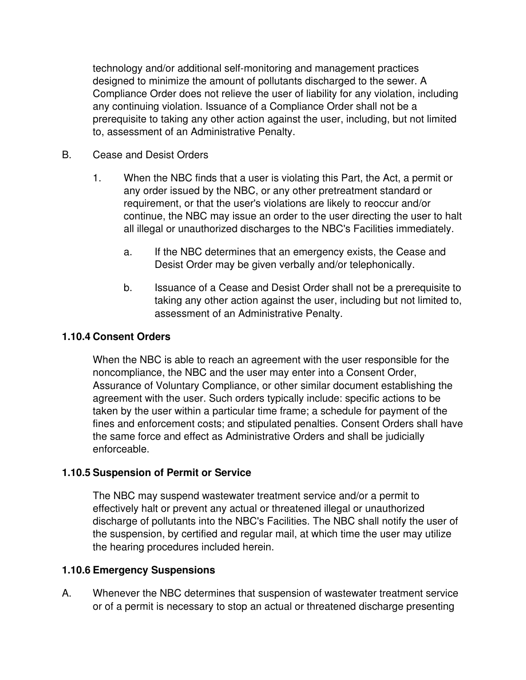technology and/or additional self-monitoring and management practices designed to minimize the amount of pollutants discharged to the sewer. A Compliance Order does not relieve the user of liability for any violation, including any continuing violation. Issuance of a Compliance Order shall not be a prerequisite to taking any other action against the user, including, but not limited to, assessment of an Administrative Penalty.

- B. Cease and Desist Orders
	- 1. When the NBC finds that a user is violating this Part, the Act, a permit or any order issued by the NBC, or any other pretreatment standard or requirement, or that the user's violations are likely to reoccur and/or continue, the NBC may issue an order to the user directing the user to halt all illegal or unauthorized discharges to the NBC's Facilities immediately.
		- a. If the NBC determines that an emergency exists, the Cease and Desist Order may be given verbally and/or telephonically.
		- b. Issuance of a Cease and Desist Order shall not be a prerequisite to taking any other action against the user, including but not limited to, assessment of an Administrative Penalty.

#### **1.10.4 Consent Orders**

When the NBC is able to reach an agreement with the user responsible for the noncompliance, the NBC and the user may enter into a Consent Order, Assurance of Voluntary Compliance, or other similar document establishing the agreement with the user. Such orders typically include: specific actions to be taken by the user within a particular time frame; a schedule for payment of the fines and enforcement costs; and stipulated penalties. Consent Orders shall have the same force and effect as Administrative Orders and shall be judicially enforceable.

#### **1.10.5 Suspension of Permit or Service**

The NBC may suspend wastewater treatment service and/or a permit to effectively halt or prevent any actual or threatened illegal or unauthorized discharge of pollutants into the NBC's Facilities. The NBC shall notify the user of the suspension, by certified and regular mail, at which time the user may utilize the hearing procedures included herein.

#### **1.10.6 Emergency Suspensions**

A. Whenever the NBC determines that suspension of wastewater treatment service or of a permit is necessary to stop an actual or threatened discharge presenting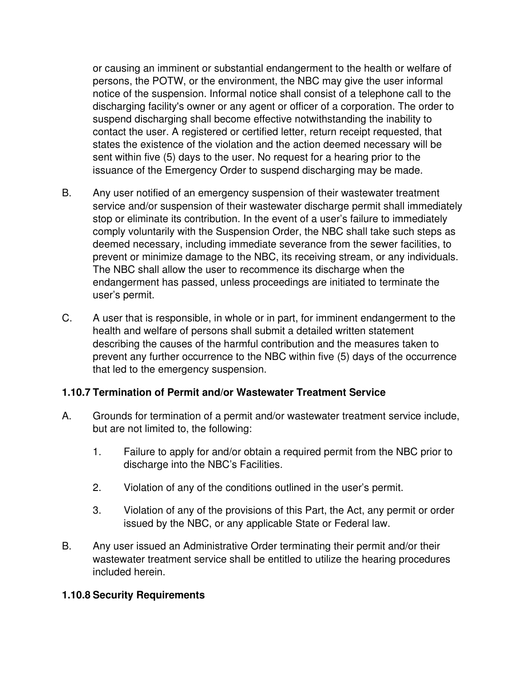or causing an imminent or substantial endangerment to the health or welfare of persons, the POTW, or the environment, the NBC may give the user informal notice of the suspension. Informal notice shall consist of a telephone call to the discharging facility's owner or any agent or officer of a corporation. The order to suspend discharging shall become effective notwithstanding the inability to contact the user. A registered or certified letter, return receipt requested, that states the existence of the violation and the action deemed necessary will be sent within five (5) days to the user. No request for a hearing prior to the issuance of the Emergency Order to suspend discharging may be made.

- B. Any user notified of an emergency suspension of their wastewater treatment service and/or suspension of their wastewater discharge permit shall immediately stop or eliminate its contribution. In the event of a user's failure to immediately comply voluntarily with the Suspension Order, the NBC shall take such steps as deemed necessary, including immediate severance from the sewer facilities, to prevent or minimize damage to the NBC, its receiving stream, or any individuals. The NBC shall allow the user to recommence its discharge when the endangerment has passed, unless proceedings are initiated to terminate the user's permit.
- C. A user that is responsible, in whole or in part, for imminent endangerment to the health and welfare of persons shall submit a detailed written statement describing the causes of the harmful contribution and the measures taken to prevent any further occurrence to the NBC within five (5) days of the occurrence that led to the emergency suspension.

## **1.10.7 Termination of Permit and/or Wastewater Treatment Service**

- A. Grounds for termination of a permit and/or wastewater treatment service include, but are not limited to, the following:
	- 1. Failure to apply for and/or obtain a required permit from the NBC prior to discharge into the NBC's Facilities.
	- 2. Violation of any of the conditions outlined in the user's permit.
	- 3. Violation of any of the provisions of this Part, the Act, any permit or order issued by the NBC, or any applicable State or Federal law.
- B. Any user issued an Administrative Order terminating their permit and/or their wastewater treatment service shall be entitled to utilize the hearing procedures included herein.

## **1.10.8 Security Requirements**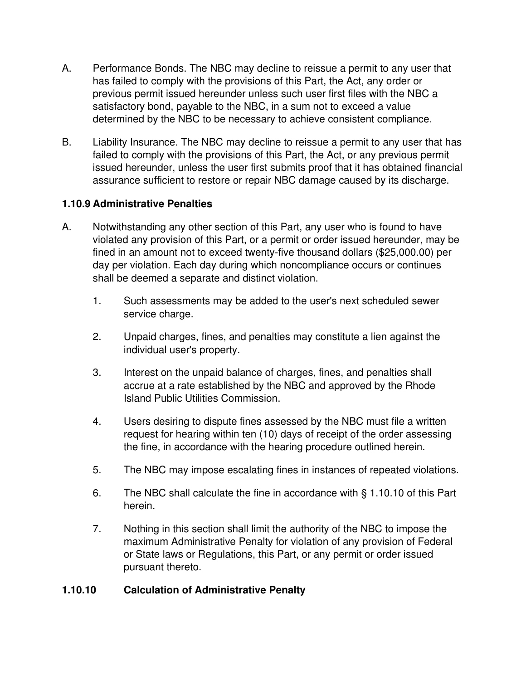- A. Performance Bonds. The NBC may decline to reissue a permit to any user that has failed to comply with the provisions of this Part, the Act, any order or previous permit issued hereunder unless such user first files with the NBC a satisfactory bond, payable to the NBC, in a sum not to exceed a value determined by the NBC to be necessary to achieve consistent compliance.
- B. Liability Insurance. The NBC may decline to reissue a permit to any user that has failed to comply with the provisions of this Part, the Act, or any previous permit issued hereunder, unless the user first submits proof that it has obtained financial assurance sufficient to restore or repair NBC damage caused by its discharge.

## **1.10.9 Administrative Penalties**

- A. Notwithstanding any other section of this Part, any user who is found to have violated any provision of this Part, or a permit or order issued hereunder, may be fined in an amount not to exceed twenty-five thousand dollars (\$25,000.00) per day per violation. Each day during which noncompliance occurs or continues shall be deemed a separate and distinct violation.
	- 1. Such assessments may be added to the user's next scheduled sewer service charge.
	- 2. Unpaid charges, fines, and penalties may constitute a lien against the individual user's property.
	- 3. Interest on the unpaid balance of charges, fines, and penalties shall accrue at a rate established by the NBC and approved by the Rhode Island Public Utilities Commission.
	- 4. Users desiring to dispute fines assessed by the NBC must file a written request for hearing within ten (10) days of receipt of the order assessing the fine, in accordance with the hearing procedure outlined herein.
	- 5. The NBC may impose escalating fines in instances of repeated violations.
	- 6. The NBC shall calculate the fine in accordance with § 1.10.10 of this Part herein.
	- 7. Nothing in this section shall limit the authority of the NBC to impose the maximum Administrative Penalty for violation of any provision of Federal or State laws or Regulations, this Part, or any permit or order issued pursuant thereto.

## **1.10.10 Calculation of Administrative Penalty**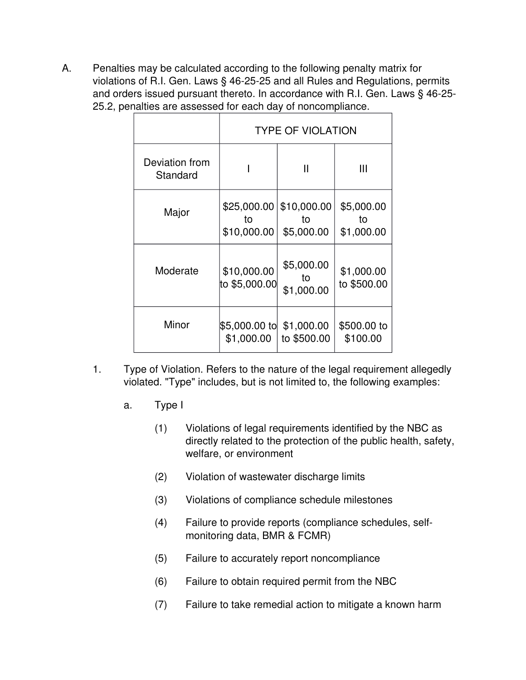A. Penalties may be calculated according to the following penalty matrix for violations of R.I. Gen. Laws § 46-25-25 and all Rules and Regulations, permits and orders issued pursuant thereto. In accordance with R.I. Gen. Laws § 46-25- 25.2, penalties are assessed for each day of noncompliance.

|                            | <b>TYPE OF VIOLATION</b>         |                                 |                                |
|----------------------------|----------------------------------|---------------------------------|--------------------------------|
| Deviation from<br>Standard |                                  | Ш                               | Ш                              |
| Major                      | \$25,000.00<br>to<br>\$10,000.00 | \$10,000.00<br>to<br>\$5,000.00 | \$5,000.00<br>to<br>\$1,000.00 |
| Moderate                   | \$10,000.00<br>to \$5,000.00∣    | \$5,000.00<br>to<br>\$1,000.00  | \$1,000.00<br>to \$500.00      |
| Minor                      | \$5,000.00 to<br>\$1,000.00      | \$1,000.00<br>to \$500.00       | \$500.00 to<br>\$100.00        |

- 1. Type of Violation. Refers to the nature of the legal requirement allegedly violated. "Type" includes, but is not limited to, the following examples:
	- a. Type I
		- (1) Violations of legal requirements identified by the NBC as directly related to the protection of the public health, safety, welfare, or environment
		- (2) Violation of wastewater discharge limits
		- (3) Violations of compliance schedule milestones
		- (4) Failure to provide reports (compliance schedules, selfmonitoring data, BMR & FCMR)
		- (5) Failure to accurately report noncompliance
		- (6) Failure to obtain required permit from the NBC
		- (7) Failure to take remedial action to mitigate a known harm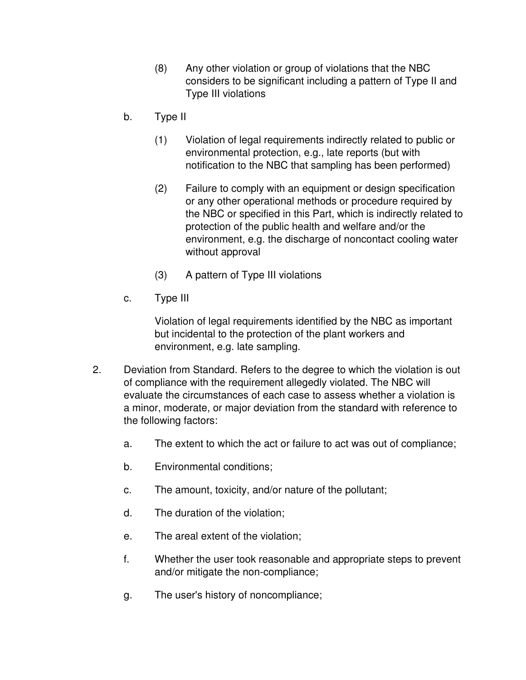- (8) Any other violation or group of violations that the NBC considers to be significant including a pattern of Type II and Type III violations
- b. Type II
	- (1) Violation of legal requirements indirectly related to public or environmental protection, e.g., late reports (but with notification to the NBC that sampling has been performed)
	- (2) Failure to comply with an equipment or design specification or any other operational methods or procedure required by the NBC or specified in this Part, which is indirectly related to protection of the public health and welfare and/or the environment, e.g. the discharge of noncontact cooling water without approval
	- (3) A pattern of Type III violations
- c. Type III

Violation of legal requirements identified by the NBC as important but incidental to the protection of the plant workers and environment, e.g. late sampling.

- 2. Deviation from Standard. Refers to the degree to which the violation is out of compliance with the requirement allegedly violated. The NBC will evaluate the circumstances of each case to assess whether a violation is a minor, moderate, or major deviation from the standard with reference to the following factors:
	- a. The extent to which the act or failure to act was out of compliance;
	- b. Environmental conditions;
	- c. The amount, toxicity, and/or nature of the pollutant;
	- d. The duration of the violation;
	- e. The areal extent of the violation;
	- f. Whether the user took reasonable and appropriate steps to prevent and/or mitigate the non-compliance;
	- g. The user's history of noncompliance;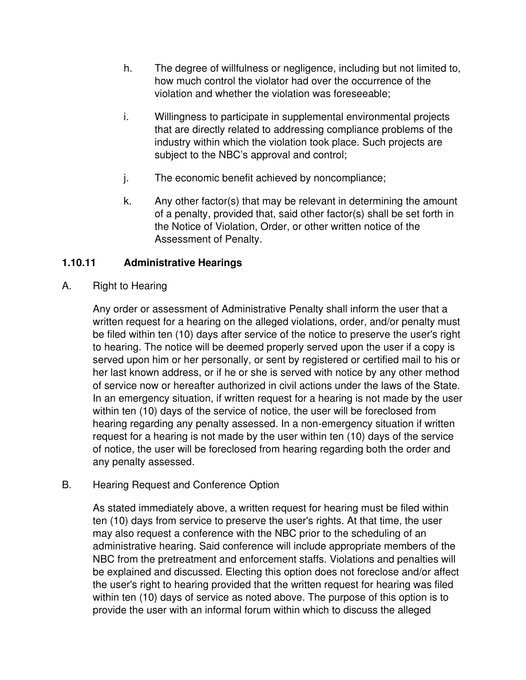- h. The degree of willfulness or negligence, including but not limited to, how much control the violator had over the occurrence of the violation and whether the violation was foreseeable;
- i. Willingness to participate in supplemental environmental projects that are directly related to addressing compliance problems of the industry within which the violation took place. Such projects are subject to the NBC's approval and control;
- j. The economic benefit achieved by noncompliance;
- k. Any other factor(s) that may be relevant in determining the amount of a penalty, provided that, said other factor(s) shall be set forth in the Notice of Violation, Order, or other written notice of the Assessment of Penalty.

## **1.10.11 Administrative Hearings**

A. Right to Hearing

Any order or assessment of Administrative Penalty shall inform the user that a written request for a hearing on the alleged violations, order, and/or penalty must be filed within ten (10) days after service of the notice to preserve the user's right to hearing. The notice will be deemed properly served upon the user if a copy is served upon him or her personally, or sent by registered or certified mail to his or her last known address, or if he or she is served with notice by any other method of service now or hereafter authorized in civil actions under the laws of the State. In an emergency situation, if written request for a hearing is not made by the user within ten (10) days of the service of notice, the user will be foreclosed from hearing regarding any penalty assessed. In a non-emergency situation if written request for a hearing is not made by the user within ten (10) days of the service of notice, the user will be foreclosed from hearing regarding both the order and any penalty assessed.

B. Hearing Request and Conference Option

As stated immediately above, a written request for hearing must be filed within ten (10) days from service to preserve the user's rights. At that time, the user may also request a conference with the NBC prior to the scheduling of an administrative hearing. Said conference will include appropriate members of the NBC from the pretreatment and enforcement staffs. Violations and penalties will be explained and discussed. Electing this option does not foreclose and/or affect the user's right to hearing provided that the written request for hearing was filed within ten (10) days of service as noted above. The purpose of this option is to provide the user with an informal forum within which to discuss the alleged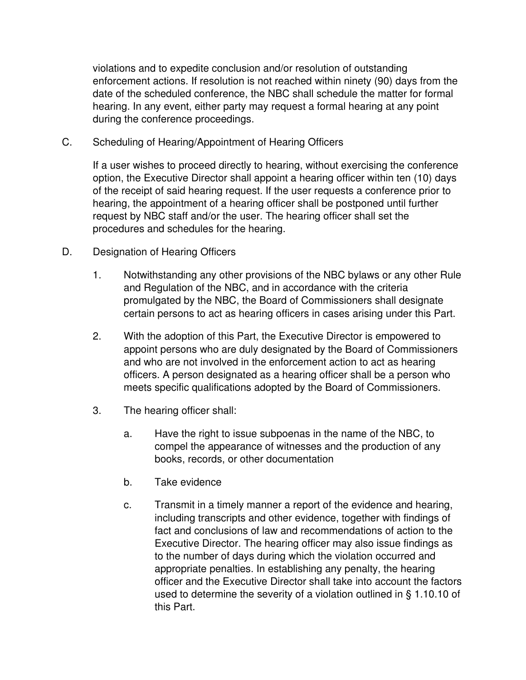violations and to expedite conclusion and/or resolution of outstanding enforcement actions. If resolution is not reached within ninety (90) days from the date of the scheduled conference, the NBC shall schedule the matter for formal hearing. In any event, either party may request a formal hearing at any point during the conference proceedings.

C. Scheduling of Hearing/Appointment of Hearing Officers

If a user wishes to proceed directly to hearing, without exercising the conference option, the Executive Director shall appoint a hearing officer within ten (10) days of the receipt of said hearing request. If the user requests a conference prior to hearing, the appointment of a hearing officer shall be postponed until further request by NBC staff and/or the user. The hearing officer shall set the procedures and schedules for the hearing.

- D. Designation of Hearing Officers
	- 1. Notwithstanding any other provisions of the NBC bylaws or any other Rule and Regulation of the NBC, and in accordance with the criteria promulgated by the NBC, the Board of Commissioners shall designate certain persons to act as hearing officers in cases arising under this Part.
	- 2. With the adoption of this Part, the Executive Director is empowered to appoint persons who are duly designated by the Board of Commissioners and who are not involved in the enforcement action to act as hearing officers. A person designated as a hearing officer shall be a person who meets specific qualifications adopted by the Board of Commissioners.
	- 3. The hearing officer shall:
		- a. Have the right to issue subpoenas in the name of the NBC, to compel the appearance of witnesses and the production of any books, records, or other documentation
		- b. Take evidence
		- c. Transmit in a timely manner a report of the evidence and hearing, including transcripts and other evidence, together with findings of fact and conclusions of law and recommendations of action to the Executive Director. The hearing officer may also issue findings as to the number of days during which the violation occurred and appropriate penalties. In establishing any penalty, the hearing officer and the Executive Director shall take into account the factors used to determine the severity of a violation outlined in § 1.10.10 of this Part.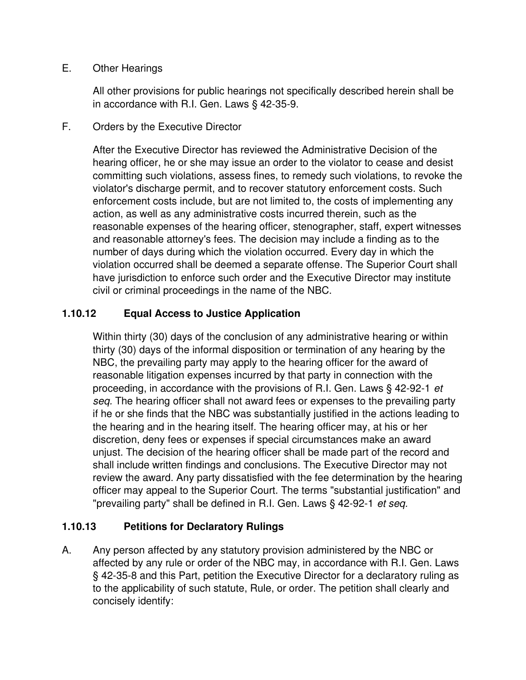#### E. Other Hearings

All other provisions for public hearings not specifically described herein shall be in accordance with R.I. Gen. Laws § 42-35-9.

F. Orders by the Executive Director

After the Executive Director has reviewed the Administrative Decision of the hearing officer, he or she may issue an order to the violator to cease and desist committing such violations, assess fines, to remedy such violations, to revoke the violator's discharge permit, and to recover statutory enforcement costs. Such enforcement costs include, but are not limited to, the costs of implementing any action, as well as any administrative costs incurred therein, such as the reasonable expenses of the hearing officer, stenographer, staff, expert witnesses and reasonable attorney's fees. The decision may include a finding as to the number of days during which the violation occurred. Every day in which the violation occurred shall be deemed a separate offense. The Superior Court shall have jurisdiction to enforce such order and the Executive Director may institute civil or criminal proceedings in the name of the NBC.

## **1.10.12 Equal Access to Justice Application**

Within thirty (30) days of the conclusion of any administrative hearing or within thirty (30) days of the informal disposition or termination of any hearing by the NBC, the prevailing party may apply to the hearing officer for the award of reasonable litigation expenses incurred by that party in connection with the proceeding, in accordance with the provisions of R.I. Gen. Laws § 42-92-1 *et seq.* The hearing officer shall not award fees or expenses to the prevailing party if he or she finds that the NBC was substantially justified in the actions leading to the hearing and in the hearing itself. The hearing officer may, at his or her discretion, deny fees or expenses if special circumstances make an award unjust. The decision of the hearing officer shall be made part of the record and shall include written findings and conclusions. The Executive Director may not review the award. Any party dissatisfied with the fee determination by the hearing officer may appeal to the Superior Court. The terms "substantial justification" and "prevailing party" shall be defined in R.I. Gen. Laws § 42-92-1 *et seq.*

## **1.10.13 Petitions for Declaratory Rulings**

A. Any person affected by any statutory provision administered by the NBC or affected by any rule or order of the NBC may, in accordance with R.I. Gen. Laws § 42-35-8 and this Part, petition the Executive Director for a declaratory ruling as to the applicability of such statute, Rule, or order. The petition shall clearly and concisely identify: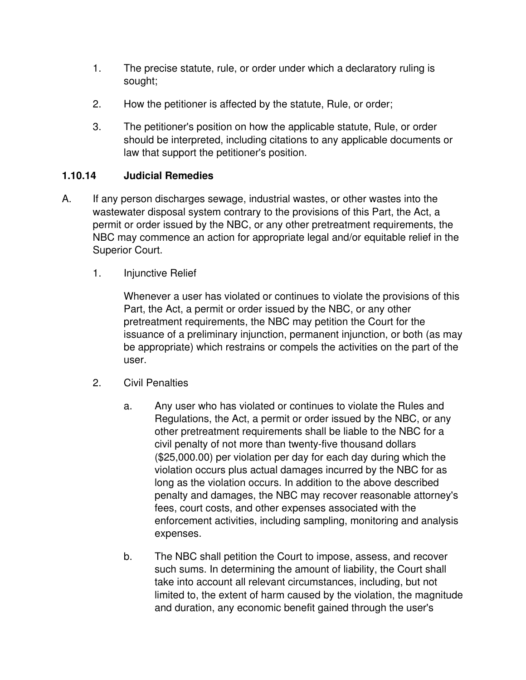- 1. The precise statute, rule, or order under which a declaratory ruling is sought;
- 2. How the petitioner is affected by the statute, Rule, or order;
- 3. The petitioner's position on how the applicable statute, Rule, or order should be interpreted, including citations to any applicable documents or law that support the petitioner's position.

## **1.10.14 Judicial Remedies**

- A. If any person discharges sewage, industrial wastes, or other wastes into the wastewater disposal system contrary to the provisions of this Part, the Act, a permit or order issued by the NBC, or any other pretreatment requirements, the NBC may commence an action for appropriate legal and/or equitable relief in the Superior Court.
	- 1. Injunctive Relief

Whenever a user has violated or continues to violate the provisions of this Part, the Act, a permit or order issued by the NBC, or any other pretreatment requirements, the NBC may petition the Court for the issuance of a preliminary injunction, permanent injunction, or both (as may be appropriate) which restrains or compels the activities on the part of the user.

- 2. Civil Penalties
	- a. Any user who has violated or continues to violate the Rules and Regulations, the Act, a permit or order issued by the NBC, or any other pretreatment requirements shall be liable to the NBC for a civil penalty of not more than twenty-five thousand dollars (\$25,000.00) per violation per day for each day during which the violation occurs plus actual damages incurred by the NBC for as long as the violation occurs. In addition to the above described penalty and damages, the NBC may recover reasonable attorney's fees, court costs, and other expenses associated with the enforcement activities, including sampling, monitoring and analysis expenses.
	- b. The NBC shall petition the Court to impose, assess, and recover such sums. In determining the amount of liability, the Court shall take into account all relevant circumstances, including, but not limited to, the extent of harm caused by the violation, the magnitude and duration, any economic benefit gained through the user's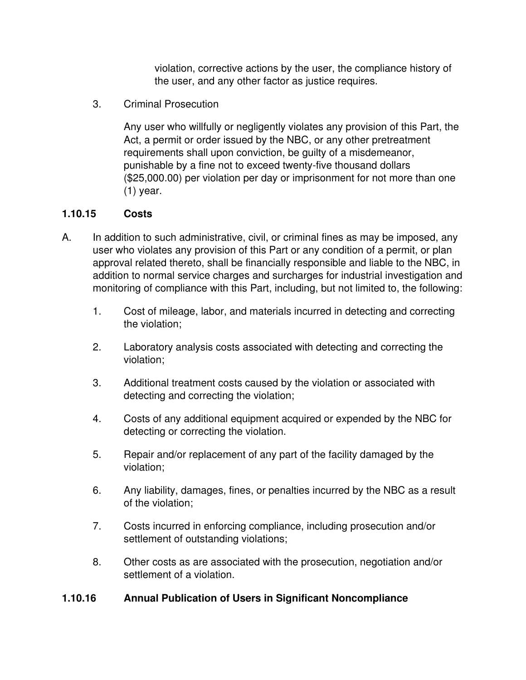violation, corrective actions by the user, the compliance history of the user, and any other factor as justice requires.

3. Criminal Prosecution

Any user who willfully or negligently violates any provision of this Part, the Act, a permit or order issued by the NBC, or any other pretreatment requirements shall upon conviction, be guilty of a misdemeanor, punishable by a fine not to exceed twenty-five thousand dollars (\$25,000.00) per violation per day or imprisonment for not more than one (1) year.

## **1.10.15 Costs**

- A. In addition to such administrative, civil, or criminal fines as may be imposed, any user who violates any provision of this Part or any condition of a permit, or plan approval related thereto, shall be financially responsible and liable to the NBC, in addition to normal service charges and surcharges for industrial investigation and monitoring of compliance with this Part, including, but not limited to, the following:
	- 1. Cost of mileage, labor, and materials incurred in detecting and correcting the violation;
	- 2. Laboratory analysis costs associated with detecting and correcting the violation;
	- 3. Additional treatment costs caused by the violation or associated with detecting and correcting the violation;
	- 4. Costs of any additional equipment acquired or expended by the NBC for detecting or correcting the violation.
	- 5. Repair and/or replacement of any part of the facility damaged by the violation;
	- 6. Any liability, damages, fines, or penalties incurred by the NBC as a result of the violation;
	- 7. Costs incurred in enforcing compliance, including prosecution and/or settlement of outstanding violations;
	- 8. Other costs as are associated with the prosecution, negotiation and/or settlement of a violation.

## **1.10.16 Annual Publication of Users in Significant Noncompliance**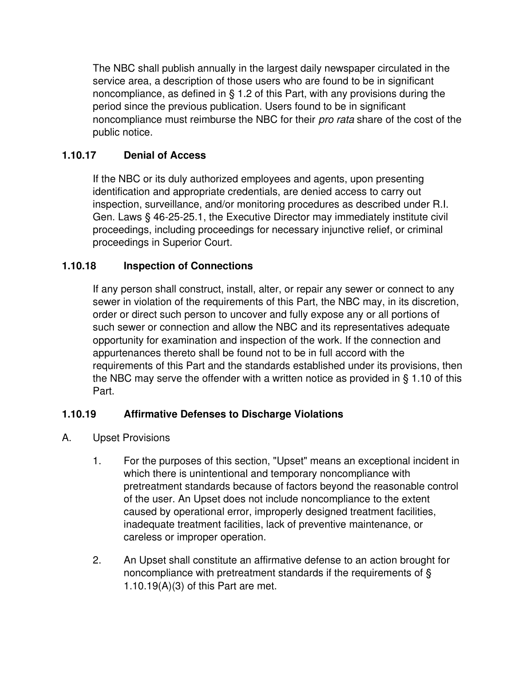The NBC shall publish annually in the largest daily newspaper circulated in the service area, a description of those users who are found to be in significant noncompliance, as defined in § 1.2 of this Part, with any provisions during the period since the previous publication. Users found to be in significant noncompliance must reimburse the NBC for their *pro rata* share of the cost of the public notice.

## **1.10.17 Denial of Access**

If the NBC or its duly authorized employees and agents, upon presenting identification and appropriate credentials, are denied access to carry out inspection, surveillance, and/or monitoring procedures as described under R.I. Gen. Laws § 46-25-25.1, the Executive Director may immediately institute civil proceedings, including proceedings for necessary injunctive relief, or criminal proceedings in Superior Court.

## **1.10.18 Inspection of Connections**

If any person shall construct, install, alter, or repair any sewer or connect to any sewer in violation of the requirements of this Part, the NBC may, in its discretion, order or direct such person to uncover and fully expose any or all portions of such sewer or connection and allow the NBC and its representatives adequate opportunity for examination and inspection of the work. If the connection and appurtenances thereto shall be found not to be in full accord with the requirements of this Part and the standards established under its provisions, then the NBC may serve the offender with a written notice as provided in § 1.10 of this Part.

## **1.10.19 Affirmative Defenses to Discharge Violations**

- A. Upset Provisions
	- 1. For the purposes of this section, "Upset" means an exceptional incident in which there is unintentional and temporary noncompliance with pretreatment standards because of factors beyond the reasonable control of the user. An Upset does not include noncompliance to the extent caused by operational error, improperly designed treatment facilities, inadequate treatment facilities, lack of preventive maintenance, or careless or improper operation.
	- 2. An Upset shall constitute an affirmative defense to an action brought for noncompliance with pretreatment standards if the requirements of § 1.10.19(A)(3) of this Part are met.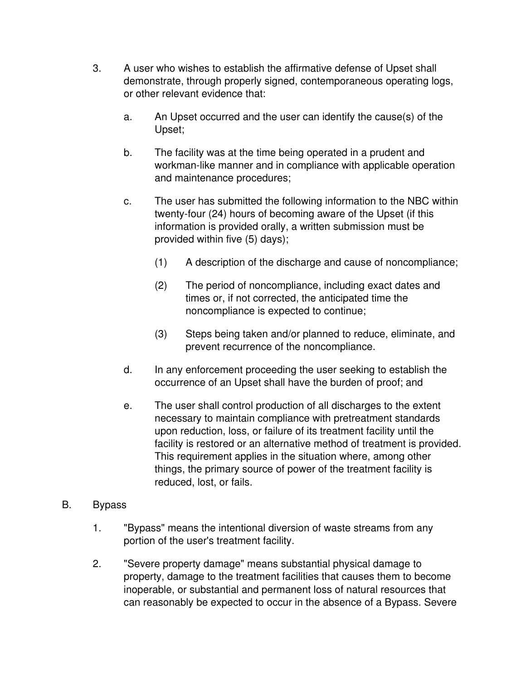- 3. A user who wishes to establish the affirmative defense of Upset shall demonstrate, through properly signed, contemporaneous operating logs, or other relevant evidence that:
	- a. An Upset occurred and the user can identify the cause(s) of the Upset;
	- b. The facility was at the time being operated in a prudent and workman-like manner and in compliance with applicable operation and maintenance procedures;
	- c. The user has submitted the following information to the NBC within twenty-four (24) hours of becoming aware of the Upset (if this information is provided orally, a written submission must be provided within five (5) days);
		- (1) A description of the discharge and cause of noncompliance;
		- (2) The period of noncompliance, including exact dates and times or, if not corrected, the anticipated time the noncompliance is expected to continue;
		- (3) Steps being taken and/or planned to reduce, eliminate, and prevent recurrence of the noncompliance.
	- d. In any enforcement proceeding the user seeking to establish the occurrence of an Upset shall have the burden of proof; and
	- e. The user shall control production of all discharges to the extent necessary to maintain compliance with pretreatment standards upon reduction, loss, or failure of its treatment facility until the facility is restored or an alternative method of treatment is provided. This requirement applies in the situation where, among other things, the primary source of power of the treatment facility is reduced, lost, or fails.
- B. Bypass
	- 1. "Bypass" means the intentional diversion of waste streams from any portion of the user's treatment facility.
	- 2. "Severe property damage" means substantial physical damage to property, damage to the treatment facilities that causes them to become inoperable, or substantial and permanent loss of natural resources that can reasonably be expected to occur in the absence of a Bypass. Severe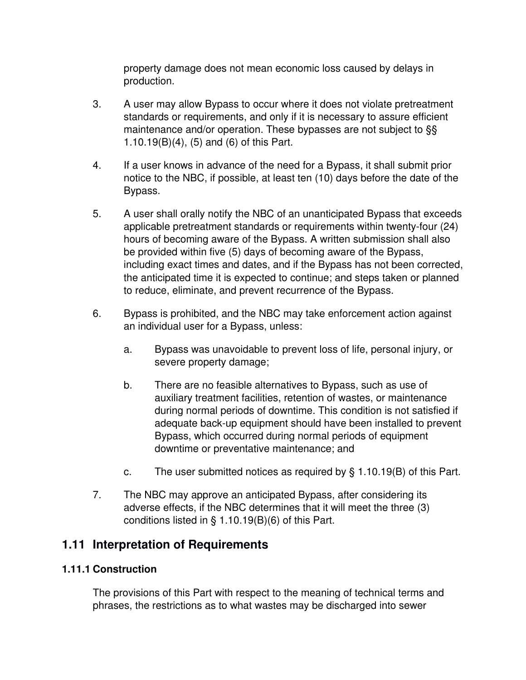property damage does not mean economic loss caused by delays in production.

- 3. A user may allow Bypass to occur where it does not violate pretreatment standards or requirements, and only if it is necessary to assure efficient maintenance and/or operation. These bypasses are not subject to §§ 1.10.19(B)(4), (5) and (6) of this Part.
- 4. If a user knows in advance of the need for a Bypass, it shall submit prior notice to the NBC, if possible, at least ten (10) days before the date of the Bypass.
- 5. A user shall orally notify the NBC of an unanticipated Bypass that exceeds applicable pretreatment standards or requirements within twenty-four (24) hours of becoming aware of the Bypass. A written submission shall also be provided within five (5) days of becoming aware of the Bypass, including exact times and dates, and if the Bypass has not been corrected, the anticipated time it is expected to continue; and steps taken or planned to reduce, eliminate, and prevent recurrence of the Bypass.
- 6. Bypass is prohibited, and the NBC may take enforcement action against an individual user for a Bypass, unless:
	- a. Bypass was unavoidable to prevent loss of life, personal injury, or severe property damage;
	- b. There are no feasible alternatives to Bypass, such as use of auxiliary treatment facilities, retention of wastes, or maintenance during normal periods of downtime. This condition is not satisfied if adequate back-up equipment should have been installed to prevent Bypass, which occurred during normal periods of equipment downtime or preventative maintenance; and
	- c. The user submitted notices as required by § 1.10.19(B) of this Part.
- 7. The NBC may approve an anticipated Bypass, after considering its adverse effects, if the NBC determines that it will meet the three (3) conditions listed in § 1.10.19(B)(6) of this Part.

# **1.11 Interpretation of Requirements**

### **1.11.1 Construction**

The provisions of this Part with respect to the meaning of technical terms and phrases, the restrictions as to what wastes may be discharged into sewer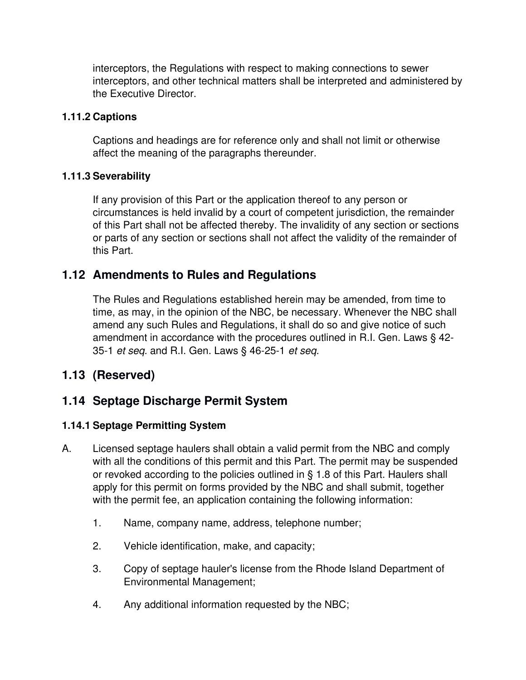interceptors, the Regulations with respect to making connections to sewer interceptors, and other technical matters shall be interpreted and administered by the Executive Director.

### **1.11.2 Captions**

Captions and headings are for reference only and shall not limit or otherwise affect the meaning of the paragraphs thereunder.

### **1.11.3 Severability**

If any provision of this Part or the application thereof to any person or circumstances is held invalid by a court of competent jurisdiction, the remainder of this Part shall not be affected thereby. The invalidity of any section or sections or parts of any section or sections shall not affect the validity of the remainder of this Part.

## **1.12 Amendments to Rules and Regulations**

The Rules and Regulations established herein may be amended, from time to time, as may, in the opinion of the NBC, be necessary. Whenever the NBC shall amend any such Rules and Regulations, it shall do so and give notice of such amendment in accordance with the procedures outlined in R.I. Gen. Laws § 42- 35-1 *et seq.* and R.I. Gen. Laws § 46-25-1 *et seq.*

# **1.13 (Reserved)**

# **1.14 Septage Discharge Permit System**

### **1.14.1 Septage Permitting System**

- A. Licensed septage haulers shall obtain a valid permit from the NBC and comply with all the conditions of this permit and this Part. The permit may be suspended or revoked according to the policies outlined in § 1.8 of this Part. Haulers shall apply for this permit on forms provided by the NBC and shall submit, together with the permit fee, an application containing the following information:
	- 1. Name, company name, address, telephone number;
	- 2. Vehicle identification, make, and capacity;
	- 3. Copy of septage hauler's license from the Rhode Island Department of Environmental Management;
	- 4. Any additional information requested by the NBC;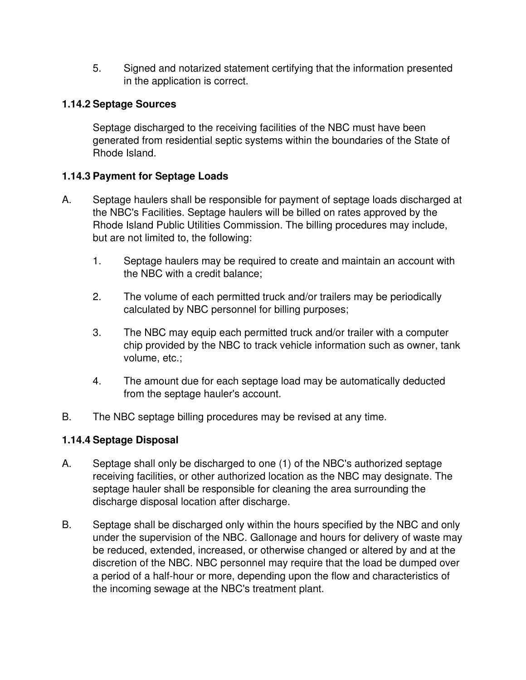5. Signed and notarized statement certifying that the information presented in the application is correct.

### **1.14.2 Septage Sources**

Septage discharged to the receiving facilities of the NBC must have been generated from residential septic systems within the boundaries of the State of Rhode Island.

## **1.14.3 Payment for Septage Loads**

- A. Septage haulers shall be responsible for payment of septage loads discharged at the NBC's Facilities. Septage haulers will be billed on rates approved by the Rhode Island Public Utilities Commission. The billing procedures may include, but are not limited to, the following:
	- 1. Septage haulers may be required to create and maintain an account with the NBC with a credit balance;
	- 2. The volume of each permitted truck and/or trailers may be periodically calculated by NBC personnel for billing purposes;
	- 3. The NBC may equip each permitted truck and/or trailer with a computer chip provided by the NBC to track vehicle information such as owner, tank volume, etc.;
	- 4. The amount due for each septage load may be automatically deducted from the septage hauler's account.
- B. The NBC septage billing procedures may be revised at any time.

## **1.14.4 Septage Disposal**

- A. Septage shall only be discharged to one (1) of the NBC's authorized septage receiving facilities, or other authorized location as the NBC may designate. The septage hauler shall be responsible for cleaning the area surrounding the discharge disposal location after discharge.
- B. Septage shall be discharged only within the hours specified by the NBC and only under the supervision of the NBC. Gallonage and hours for delivery of waste may be reduced, extended, increased, or otherwise changed or altered by and at the discretion of the NBC. NBC personnel may require that the load be dumped over a period of a half-hour or more, depending upon the flow and characteristics of the incoming sewage at the NBC's treatment plant.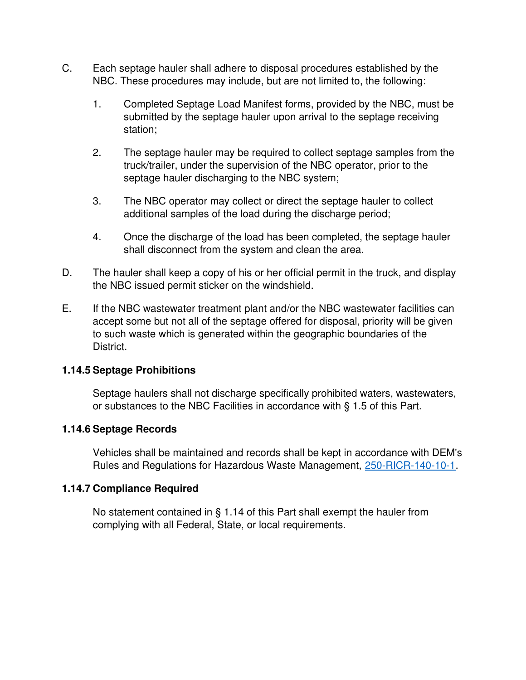- C. Each septage hauler shall adhere to disposal procedures established by the NBC. These procedures may include, but are not limited to, the following:
	- 1. Completed Septage Load Manifest forms, provided by the NBC, must be submitted by the septage hauler upon arrival to the septage receiving station;
	- 2. The septage hauler may be required to collect septage samples from the truck/trailer, under the supervision of the NBC operator, prior to the septage hauler discharging to the NBC system;
	- 3. The NBC operator may collect or direct the septage hauler to collect additional samples of the load during the discharge period;
	- 4. Once the discharge of the load has been completed, the septage hauler shall disconnect from the system and clean the area.
- D. The hauler shall keep a copy of his or her official permit in the truck, and display the NBC issued permit sticker on the windshield.
- E. If the NBC wastewater treatment plant and/or the NBC wastewater facilities can accept some but not all of the septage offered for disposal, priority will be given to such waste which is generated within the geographic boundaries of the District.

### **1.14.5 Septage Prohibitions**

Septage haulers shall not discharge specifically prohibited waters, wastewaters, or substances to the NBC Facilities in accordance with § 1.5 of this Part.

### **1.14.6 Septage Records**

Vehicles shall be maintained and records shall be kept in accordance with DEM's Rules and Regulations for Hazardous Waste Management, 250-RICR-140-10-1.

#### **1.14.7 Compliance Required**

No statement contained in § 1.14 of this Part shall exempt the hauler from complying with all Federal, State, or local requirements.